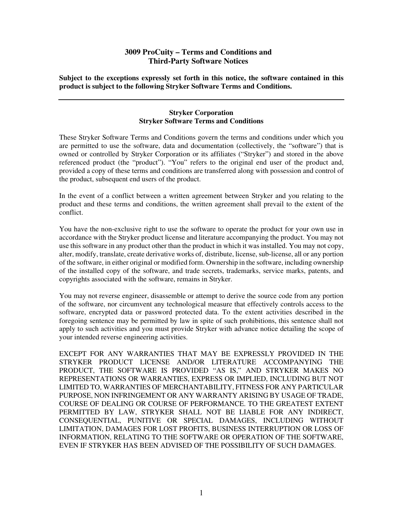# **3009 ProCuity – Terms and Conditions and Third-Party Software Notices**

**Subject to the exceptions expressly set forth in this notice, the software contained in this product is subject to the following Stryker Software Terms and Conditions.** 

## **Stryker Corporation Stryker Software Terms and Conditions**

These Stryker Software Terms and Conditions govern the terms and conditions under which you are permitted to use the software, data and documentation (collectively, the "software") that is owned or controlled by Stryker Corporation or its affiliates ("Stryker") and stored in the above referenced product (the "product"). "You" refers to the original end user of the product and, provided a copy of these terms and conditions are transferred along with possession and control of the product, subsequent end users of the product.

In the event of a conflict between a written agreement between Stryker and you relating to the product and these terms and conditions, the written agreement shall prevail to the extent of the conflict.

You have the non-exclusive right to use the software to operate the product for your own use in accordance with the Stryker product license and literature accompanying the product. You may not use this software in any product other than the product in which it was installed. You may not copy, alter, modify, translate, create derivative works of, distribute, license, sub-license, all or any portion of the software, in either original or modified form. Ownership in the software, including ownership of the installed copy of the software, and trade secrets, trademarks, service marks, patents, and copyrights associated with the software, remains in Stryker.

You may not reverse engineer, disassemble or attempt to derive the source code from any portion of the software, nor circumvent any technological measure that effectively controls access to the software, encrypted data or password protected data. To the extent activities described in the foregoing sentence may be permitted by law in spite of such prohibitions, this sentence shall not apply to such activities and you must provide Stryker with advance notice detailing the scope of your intended reverse engineering activities.

EXCEPT FOR ANY WARRANTIES THAT MAY BE EXPRESSLY PROVIDED IN THE STRYKER PRODUCT LICENSE AND/OR LITERATURE ACCOMPANYING THE PRODUCT, THE SOFTWARE IS PROVIDED "AS IS," AND STRYKER MAKES NO REPRESENTATIONS OR WARRANTIES, EXPRESS OR IMPLIED, INCLUDING BUT NOT LIMITED TO, WARRANTIES OF MERCHANTABILITY, FITNESS FOR ANY PARTICULAR PURPOSE, NON INFRINGEMENT OR ANY WARRANTY ARISING BY USAGE OF TRADE, COURSE OF DEALING OR COURSE OF PERFORMANCE. TO THE GREATEST EXTENT PERMITTED BY LAW, STRYKER SHALL NOT BE LIABLE FOR ANY INDIRECT, CONSEQUENTIAL, PUNITIVE OR SPECIAL DAMAGES, INCLUDING WITHOUT LIMITATION, DAMAGES FOR LOST PROFITS, BUSINESS INTERRUPTION OR LOSS OF INFORMATION, RELATING TO THE SOFTWARE OR OPERATION OF THE SOFTWARE, EVEN IF STRYKER HAS BEEN ADVISED OF THE POSSIBILITY OF SUCH DAMAGES.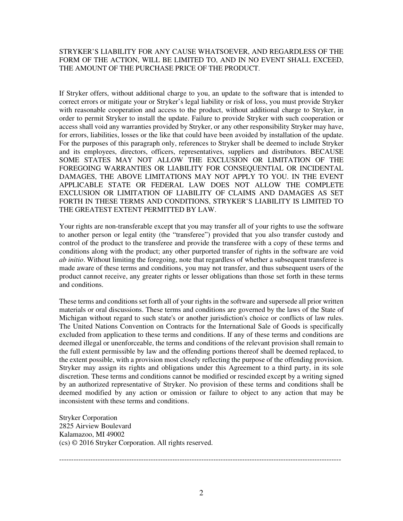## STRYKER'S LIABILITY FOR ANY CAUSE WHATSOEVER, AND REGARDLESS OF THE FORM OF THE ACTION, WILL BE LIMITED TO, AND IN NO EVENT SHALL EXCEED, THE AMOUNT OF THE PURCHASE PRICE OF THE PRODUCT.

If Stryker offers, without additional charge to you, an update to the software that is intended to correct errors or mitigate your or Stryker's legal liability or risk of loss, you must provide Stryker with reasonable cooperation and access to the product, without additional charge to Stryker, in order to permit Stryker to install the update. Failure to provide Stryker with such cooperation or access shall void any warranties provided by Stryker, or any other responsibility Stryker may have, for errors, liabilities, losses or the like that could have been avoided by installation of the update. For the purposes of this paragraph only, references to Stryker shall be deemed to include Stryker and its employees, directors, officers, representatives, suppliers and distributors. BECAUSE SOME STATES MAY NOT ALLOW THE EXCLUSION OR LIMITATION OF THE FOREGOING WARRANTIES OR LIABILITY FOR CONSEQUENTIAL OR INCIDENTAL DAMAGES, THE ABOVE LIMITATIONS MAY NOT APPLY TO YOU. IN THE EVENT APPLICABLE STATE OR FEDERAL LAW DOES NOT ALLOW THE COMPLETE EXCLUSION OR LIMITATION OF LIABILITY OF CLAIMS AND DAMAGES AS SET FORTH IN THESE TERMS AND CONDITIONS, STRYKER'S LIABILITY IS LIMITED TO THE GREATEST EXTENT PERMITTED BY LAW.

Your rights are non-transferable except that you may transfer all of your rights to use the software to another person or legal entity (the "transferee") provided that you also transfer custody and control of the product to the transferee and provide the transferee with a copy of these terms and conditions along with the product; any other purported transfer of rights in the software are void *ab initio*. Without limiting the foregoing, note that regardless of whether a subsequent transferee is made aware of these terms and conditions, you may not transfer, and thus subsequent users of the product cannot receive, any greater rights or lesser obligations than those set forth in these terms and conditions.

These terms and conditions set forth all of your rights in the software and supersede all prior written materials or oral discussions. These terms and conditions are governed by the laws of the State of Michigan without regard to such state's or another jurisdiction's choice or conflicts of law rules. The United Nations Convention on Contracts for the International Sale of Goods is specifically excluded from application to these terms and conditions. If any of these terms and conditions are deemed illegal or unenforceable, the terms and conditions of the relevant provision shall remain to the full extent permissible by law and the offending portions thereof shall be deemed replaced, to the extent possible, with a provision most closely reflecting the purpose of the offending provision. Stryker may assign its rights and obligations under this Agreement to a third party, in its sole discretion. These terms and conditions cannot be modified or rescinded except by a writing signed by an authorized representative of Stryker. No provision of these terms and conditions shall be deemed modified by any action or omission or failure to object to any action that may be inconsistent with these terms and conditions.

Stryker Corporation 2825 Airview Boulevard Kalamazoo, MI 49002 (cs) © 2016 Stryker Corporation. All rights reserved.

---------------------------------------------------------------------------------------------------------------------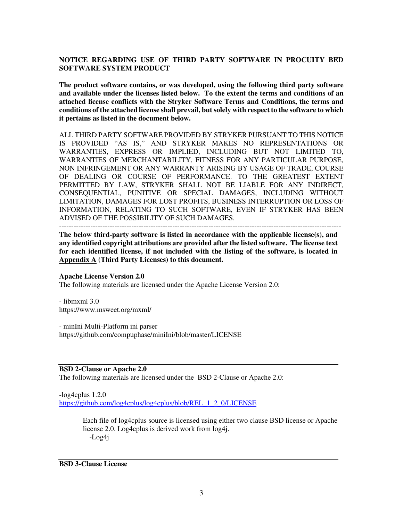# **NOTICE REGARDING USE OF THIRD PARTY SOFTWARE IN PROCUITY BED SOFTWARE SYSTEM PRODUCT**

**The product software contains, or was developed, using the following third party software and available under the licenses listed below. To the extent the terms and conditions of an attached license conflicts with the Stryker Software Terms and Conditions, the terms and conditions of the attached license shall prevail, but solely with respect to the software to which it pertains as listed in the document below.** 

ALL THIRD PARTY SOFTWARE PROVIDED BY STRYKER PURSUANT TO THIS NOTICE IS PROVIDED "AS IS," AND STRYKER MAKES NO REPRESENTATIONS OR WARRANTIES, EXPRESS OR IMPLIED, INCLUDING BUT NOT LIMITED TO, WARRANTIES OF MERCHANTABILITY, FITNESS FOR ANY PARTICULAR PURPOSE, NON INFRINGEMENT OR ANY WARRANTY ARISING BY USAGE OF TRADE, COURSE OF DEALING OR COURSE OF PERFORMANCE. TO THE GREATEST EXTENT PERMITTED BY LAW, STRYKER SHALL NOT BE LIABLE FOR ANY INDIRECT, CONSEQUENTIAL, PUNITIVE OR SPECIAL DAMAGES, INCLUDING WITHOUT LIMITATION, DAMAGES FOR LOST PROFITS, BUSINESS INTERRUPTION OR LOSS OF INFORMATION, RELATING TO SUCH SOFTWARE, EVEN IF STRYKER HAS BEEN ADVISED OF THE POSSIBILITY OF SUCH DAMAGES.

--------------------------------------------------------------------------------------------------------------------- **The below third-party software is listed in accordance with the applicable license(s), and any identified copyright attributions are provided after the listed software. The license text for each identified license, if not included with the listing of the software, is located in Appendix A (Third Party Licenses) to this document.** 

#### **Apache License Version 2.0**

The following materials are licensed under the Apache License Version 2.0:

- libmxml 3.0 https://www.msweet.org/mxml/

- minIni Multi-Platform ini parser https://github.com/compuphase/miniIni/blob/master/LICENSE

## **BSD 2-Clause or Apache 2.0**

The following materials are licensed under the BSD 2-Clause or Apache 2.0:

-log4cplus 1.2.0 https://github.com/log4cplus/log4cplus/blob/REL\_1\_2\_0/LICENSE

> Each file of log4cplus source is licensed using either two clause BSD license or Apache license 2.0. Log4cplus is derived work from log4j. -Log4j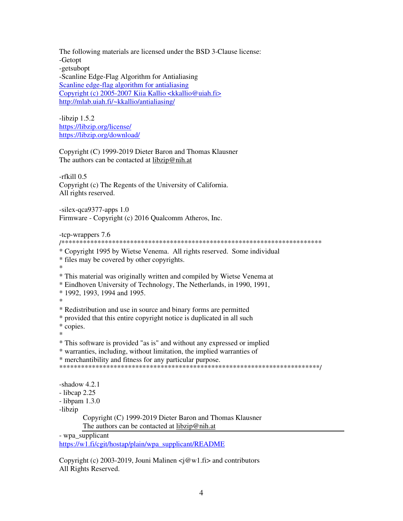The following materials are licensed under the BSD 3-Clause license: -Getopt -getsubopt -Scanline Edge-Flag Algorithm for Antialiasing Scanline edge-flag algorithm for antialiasing Copyright (c) 2005-2007 Kiia Kallio <kkallio@uiah.fi> http://mlab.uiah.fi/~kkallio/antialiasing/

-libzip 1.5.2 https://libzip.org/license/ https://libzip.org/download/

Copyright (C) 1999-2019 Dieter Baron and Thomas Klausner The authors can be contacted at libzip@nih.at

-rfkill 0.5 Copyright (c) The Regents of the University of California. All rights reserved.

-silex-qca9377-apps 1.0 Firmware - Copyright (c) 2016 Qualcomm Atheros, Inc.

-tcp-wrappers 7.6

/\*\*\*\*\*\*\*\*\*\*\*\*\*\*\*\*\*\*\*\*\*\*\*\*\*\*\*\*\*\*\*\*\*\*\*\*\*\*\*\*\*\*\*\*\*\*\*\*\*\*\*\*\*\*\*\*\*\*\*\*\*\*\*\*\*\*\*\*\*\*\*\*

- \* Copyright 1995 by Wietse Venema. All rights reserved. Some individual
- \* files may be covered by other copyrights. \*

\* This material was originally written and compiled by Wietse Venema at

\* Eindhoven University of Technology, The Netherlands, in 1990, 1991,

\* 1992, 1993, 1994 and 1995.

\*

\* Redistribution and use in source and binary forms are permitted

\* provided that this entire copyright notice is duplicated in all such

\* copies.

\*

\* This software is provided "as is" and without any expressed or implied

\* warranties, including, without limitation, the implied warranties of

\* merchantibility and fitness for any particular purpose.

\*\*\*\*\*\*\*\*\*\*\*\*\*\*\*\*\*\*\*\*\*\*\*\*\*\*\*\*\*\*\*\*\*\*\*\*\*\*\*\*\*\*\*\*\*\*\*\*\*\*\*\*\*\*\*\*\*\*\*\*\*\*\*\*\*\*\*\*\*\*\*\*/

```
-shadow 4.2.1
```
- libcap 2.25

- libpam 1.3.0

-libzip

Copyright (C) 1999-2019 Dieter Baron and Thomas Klausner

The authors can be contacted at libzip@nih.at

- wpa\_supplicant

https://w1.fi/cgit/hostap/plain/wpa\_supplicant/README

Copyright (c) 2003-2019, Jouni Malinen  $\langle \phi w_1 \rangle$  and contributors All Rights Reserved.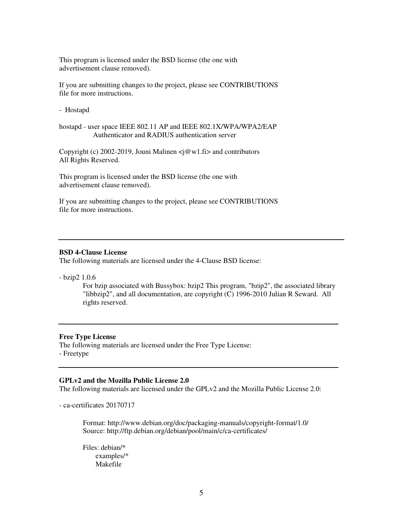This program is licensed under the BSD license (the one with advertisement clause removed).

If you are submitting changes to the project, please see CONTRIBUTIONS file for more instructions.

- Hostapd

hostapd - user space IEEE 802.11 AP and IEEE 802.1X/WPA/WPA2/EAP Authenticator and RADIUS authentication server

Copyright (c) 2002-2019, Jouni Malinen  $\langle j \otimes w1 \rangle$ . fi> and contributors All Rights Reserved.

This program is licensed under the BSD license (the one with advertisement clause removed).

If you are submitting changes to the project, please see CONTRIBUTIONS file for more instructions.

#### **BSD 4-Clause License**

The following materials are licensed under the 4-Clause BSD license:

- bzip2 1.0.6

For bzip associated with Bussybox: bzip2 This program, "bzip2", the associated library "libbzip2", and all documentation, are copyright (C) 1996-2010 Julian R Seward. All rights reserved.

#### **Free Type License**

The following materials are licensed under the Free Type License: - Freetype

#### **GPLv2 and the Mozilla Public License 2.0**

The following materials are licensed under the GPLv2 and the Mozilla Public License 2.0:

- ca-certificates 20170717

Format: http://www.debian.org/doc/packaging-manuals/copyright-format/1.0/ Source: http://ftp.debian.org/debian/pool/main/c/ca-certificates/

Files: debian/\* examples/\* Makefile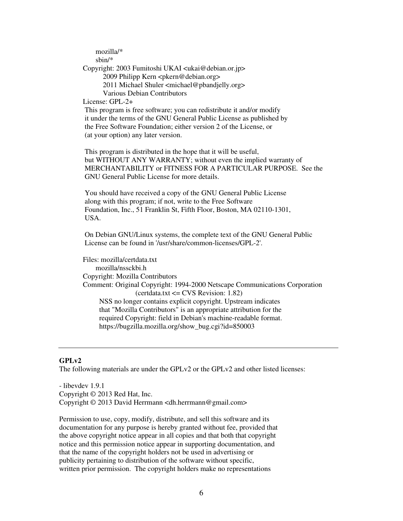mozilla/\* sbin/\* Copyright: 2003 Fumitoshi UKAI <ukai@debian.or.jp> 2009 Philipp Kern <pkern@debian.org> 2011 Michael Shuler <michael@pbandjelly.org> Various Debian Contributors License: GPL-2+ This program is free software; you can redistribute it and/or modify it under the terms of the GNU General Public License as published by the Free Software Foundation; either version 2 of the License, or (at your option) any later version. This program is distributed in the hope that it will be useful, but WITHOUT ANY WARRANTY; without even the implied warranty of MERCHANTABILITY or FITNESS FOR A PARTICULAR PURPOSE. See the GNU General Public License for more details. You should have received a copy of the GNU General Public License along with this program; if not, write to the Free Software Foundation, Inc., 51 Franklin St, Fifth Floor, Boston, MA 02110-1301, USA. On Debian GNU/Linux systems, the complete text of the GNU General Public License can be found in '/usr/share/common-licenses/GPL-2'. Files: mozilla/certdata.txt mozilla/nssckbi.h Copyright: Mozilla Contributors Comment: Original Copyright: 1994-2000 Netscape Communications Corporation (certdata.txt <= CVS Revision: 1.82) NSS no longer contains explicit copyright. Upstream indicates that "Mozilla Contributors" is an appropriate attribution for the required Copyright: field in Debian's machine-readable format. https://bugzilla.mozilla.org/show\_bug.cgi?id=850003

#### **GPLv2**

The following materials are under the GPLv2 or the GPLv2 and other listed licenses:

- libevdev 1.9.1 Copyright © 2013 Red Hat, Inc. Copyright © 2013 David Herrmann <dh.herrmann@gmail.com>

Permission to use, copy, modify, distribute, and sell this software and its documentation for any purpose is hereby granted without fee, provided that the above copyright notice appear in all copies and that both that copyright notice and this permission notice appear in supporting documentation, and that the name of the copyright holders not be used in advertising or publicity pertaining to distribution of the software without specific, written prior permission. The copyright holders make no representations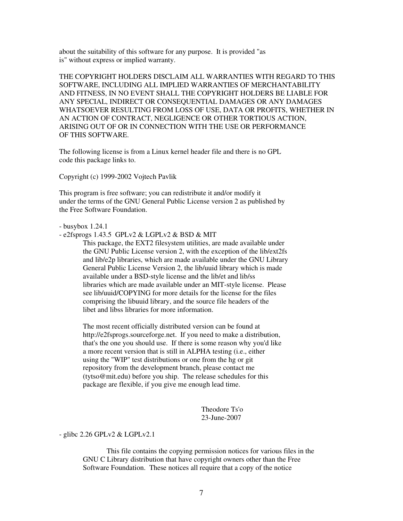about the suitability of this software for any purpose. It is provided "as is" without express or implied warranty.

THE COPYRIGHT HOLDERS DISCLAIM ALL WARRANTIES WITH REGARD TO THIS SOFTWARE, INCLUDING ALL IMPLIED WARRANTIES OF MERCHANTABILITY AND FITNESS, IN NO EVENT SHALL THE COPYRIGHT HOLDERS BE LIABLE FOR ANY SPECIAL, INDIRECT OR CONSEQUENTIAL DAMAGES OR ANY DAMAGES WHATSOEVER RESULTING FROM LOSS OF USE, DATA OR PROFITS, WHETHER IN AN ACTION OF CONTRACT, NEGLIGENCE OR OTHER TORTIOUS ACTION, ARISING OUT OF OR IN CONNECTION WITH THE USE OR PERFORMANCE OF THIS SOFTWARE.

The following license is from a Linux kernel header file and there is no GPL code this package links to.

Copyright (c) 1999-2002 Vojtech Pavlik

This program is free software; you can redistribute it and/or modify it under the terms of the GNU General Public License version 2 as published by the Free Software Foundation.

- busybox 1.24.1

- e2fsprogs 1.43.5 GPLv2 & LGPLv2 & BSD & MIT

This package, the EXT2 filesystem utilities, are made available under the GNU Public License version 2, with the exception of the lib/ext2fs and lib/e2p libraries, which are made available under the GNU Library General Public License Version 2, the lib/uuid library which is made available under a BSD-style license and the lib/et and lib/ss libraries which are made available under an MIT-style license. Please see lib/uuid/COPYING for more details for the license for the files comprising the libuuid library, and the source file headers of the libet and libss libraries for more information.

The most recent officially distributed version can be found at http://e2fsprogs.sourceforge.net. If you need to make a distribution, that's the one you should use. If there is some reason why you'd like a more recent version that is still in ALPHA testing (i.e., either using the "WIP" test distributions or one from the hg or git repository from the development branch, please contact me (tytso@mit.edu) before you ship. The release schedules for this package are flexible, if you give me enough lead time.

> Theodore Ts'o 23-June-2007

- glibc 2.26 GPLv2 & LGPLv2.1

This file contains the copying permission notices for various files in the GNU C Library distribution that have copyright owners other than the Free Software Foundation. These notices all require that a copy of the notice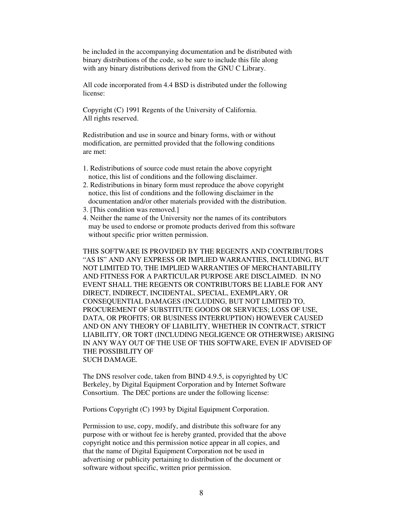be included in the accompanying documentation and be distributed with binary distributions of the code, so be sure to include this file along with any binary distributions derived from the GNU C Library.

All code incorporated from 4.4 BSD is distributed under the following license:

Copyright (C) 1991 Regents of the University of California. All rights reserved.

Redistribution and use in source and binary forms, with or without modification, are permitted provided that the following conditions are met:

- 1. Redistributions of source code must retain the above copyright notice, this list of conditions and the following disclaimer.
- 2. Redistributions in binary form must reproduce the above copyright notice, this list of conditions and the following disclaimer in the documentation and/or other materials provided with the distribution.
- 3. [This condition was removed.]
- 4. Neither the name of the University nor the names of its contributors may be used to endorse or promote products derived from this software without specific prior written permission.

THIS SOFTWARE IS PROVIDED BY THE REGENTS AND CONTRIBUTORS "AS IS" AND ANY EXPRESS OR IMPLIED WARRANTIES, INCLUDING, BUT NOT LIMITED TO, THE IMPLIED WARRANTIES OF MERCHANTABILITY AND FITNESS FOR A PARTICULAR PURPOSE ARE DISCLAIMED. IN NO EVENT SHALL THE REGENTS OR CONTRIBUTORS BE LIABLE FOR ANY DIRECT, INDIRECT, INCIDENTAL, SPECIAL, EXEMPLARY, OR CONSEQUENTIAL DAMAGES (INCLUDING, BUT NOT LIMITED TO, PROCUREMENT OF SUBSTITUTE GOODS OR SERVICES; LOSS OF USE, DATA, OR PROFITS; OR BUSINESS INTERRUPTION) HOWEVER CAUSED AND ON ANY THEORY OF LIABILITY, WHETHER IN CONTRACT, STRICT LIABILITY, OR TORT (INCLUDING NEGLIGENCE OR OTHERWISE) ARISING IN ANY WAY OUT OF THE USE OF THIS SOFTWARE, EVEN IF ADVISED OF THE POSSIBILITY OF SUCH DAMAGE.

The DNS resolver code, taken from BIND 4.9.5, is copyrighted by UC Berkeley, by Digital Equipment Corporation and by Internet Software Consortium. The DEC portions are under the following license:

Portions Copyright (C) 1993 by Digital Equipment Corporation.

Permission to use, copy, modify, and distribute this software for any purpose with or without fee is hereby granted, provided that the above copyright notice and this permission notice appear in all copies, and that the name of Digital Equipment Corporation not be used in advertising or publicity pertaining to distribution of the document or software without specific, written prior permission.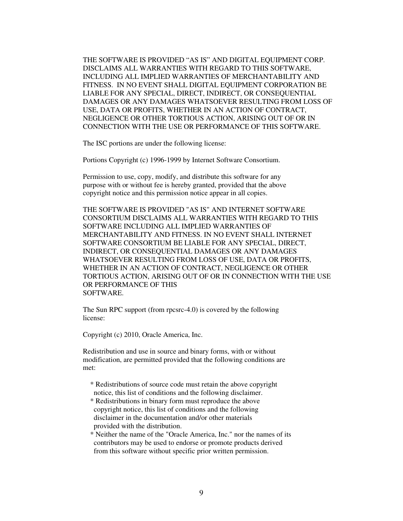THE SOFTWARE IS PROVIDED "AS IS" AND DIGITAL EQUIPMENT CORP. DISCLAIMS ALL WARRANTIES WITH REGARD TO THIS SOFTWARE, INCLUDING ALL IMPLIED WARRANTIES OF MERCHANTABILITY AND FITNESS. IN NO EVENT SHALL DIGITAL EQUIPMENT CORPORATION BE LIABLE FOR ANY SPECIAL, DIRECT, INDIRECT, OR CONSEQUENTIAL DAMAGES OR ANY DAMAGES WHATSOEVER RESULTING FROM LOSS OF USE, DATA OR PROFITS, WHETHER IN AN ACTION OF CONTRACT, NEGLIGENCE OR OTHER TORTIOUS ACTION, ARISING OUT OF OR IN CONNECTION WITH THE USE OR PERFORMANCE OF THIS SOFTWARE.

The ISC portions are under the following license:

Portions Copyright (c) 1996-1999 by Internet Software Consortium.

Permission to use, copy, modify, and distribute this software for any purpose with or without fee is hereby granted, provided that the above copyright notice and this permission notice appear in all copies.

THE SOFTWARE IS PROVIDED "AS IS" AND INTERNET SOFTWARE CONSORTIUM DISCLAIMS ALL WARRANTIES WITH REGARD TO THIS SOFTWARE INCLUDING ALL IMPLIED WARRANTIES OF MERCHANTABILITY AND FITNESS. IN NO EVENT SHALL INTERNET SOFTWARE CONSORTIUM BE LIABLE FOR ANY SPECIAL, DIRECT, INDIRECT, OR CONSEQUENTIAL DAMAGES OR ANY DAMAGES WHATSOEVER RESULTING FROM LOSS OF USE, DATA OR PROFITS, WHETHER IN AN ACTION OF CONTRACT, NEGLIGENCE OR OTHER TORTIOUS ACTION, ARISING OUT OF OR IN CONNECTION WITH THE USE OR PERFORMANCE OF THIS SOFTWARE.

The Sun RPC support (from rpcsrc-4.0) is covered by the following license:

Copyright (c) 2010, Oracle America, Inc.

Redistribution and use in source and binary forms, with or without modification, are permitted provided that the following conditions are met:

 \* Redistributions of source code must retain the above copyright notice, this list of conditions and the following disclaimer.

- \* Redistributions in binary form must reproduce the above copyright notice, this list of conditions and the following disclaimer in the documentation and/or other materials provided with the distribution.
- \* Neither the name of the "Oracle America, Inc." nor the names of its contributors may be used to endorse or promote products derived from this software without specific prior written permission.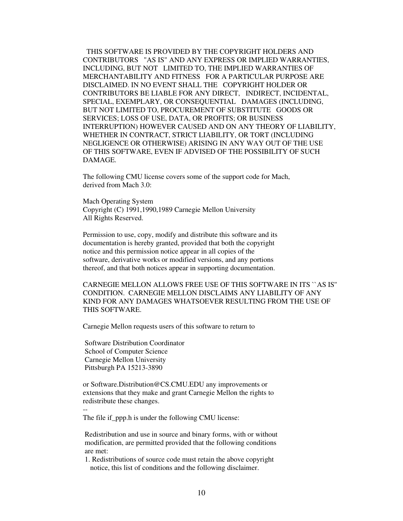THIS SOFTWARE IS PROVIDED BY THE COPYRIGHT HOLDERS AND CONTRIBUTORS "AS IS" AND ANY EXPRESS OR IMPLIED WARRANTIES, INCLUDING, BUT NOT LIMITED TO, THE IMPLIED WARRANTIES OF MERCHANTABILITY AND FITNESS FOR A PARTICULAR PURPOSE ARE DISCLAIMED. IN NO EVENT SHALL THE COPYRIGHT HOLDER OR CONTRIBUTORS BE LIABLE FOR ANY DIRECT, INDIRECT, INCIDENTAL, SPECIAL, EXEMPLARY, OR CONSEQUENTIAL DAMAGES (INCLUDING, BUT NOT LIMITED TO, PROCUREMENT OF SUBSTITUTE GOODS OR SERVICES; LOSS OF USE, DATA, OR PROFITS; OR BUSINESS INTERRUPTION) HOWEVER CAUSED AND ON ANY THEORY OF LIABILITY, WHETHER IN CONTRACT, STRICT LIABILITY, OR TORT (INCLUDING NEGLIGENCE OR OTHERWISE) ARISING IN ANY WAY OUT OF THE USE OF THIS SOFTWARE, EVEN IF ADVISED OF THE POSSIBILITY OF SUCH DAMAGE.

The following CMU license covers some of the support code for Mach, derived from Mach 3.0:

Mach Operating System Copyright (C) 1991,1990,1989 Carnegie Mellon University All Rights Reserved.

Permission to use, copy, modify and distribute this software and its documentation is hereby granted, provided that both the copyright notice and this permission notice appear in all copies of the software, derivative works or modified versions, and any portions thereof, and that both notices appear in supporting documentation.

CARNEGIE MELLON ALLOWS FREE USE OF THIS SOFTWARE IN ITS ``AS IS'' CONDITION. CARNEGIE MELLON DISCLAIMS ANY LIABILITY OF ANY KIND FOR ANY DAMAGES WHATSOEVER RESULTING FROM THE USE OF THIS SOFTWARE.

Carnegie Mellon requests users of this software to return to

 Software Distribution Coordinator School of Computer Science Carnegie Mellon University Pittsburgh PA 15213-3890

--

or Software.Distribution@CS.CMU.EDU any improvements or extensions that they make and grant Carnegie Mellon the rights to redistribute these changes.

The file if\_ppp.h is under the following CMU license:

 Redistribution and use in source and binary forms, with or without modification, are permitted provided that the following conditions are met:

 1. Redistributions of source code must retain the above copyright notice, this list of conditions and the following disclaimer.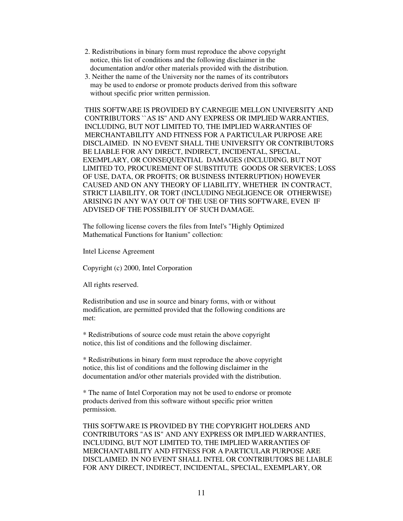- 2. Redistributions in binary form must reproduce the above copyright notice, this list of conditions and the following disclaimer in the documentation and/or other materials provided with the distribution.
- 3. Neither the name of the University nor the names of its contributors may be used to endorse or promote products derived from this software without specific prior written permission.

 THIS SOFTWARE IS PROVIDED BY CARNEGIE MELLON UNIVERSITY AND CONTRIBUTORS ``AS IS'' AND ANY EXPRESS OR IMPLIED WARRANTIES, INCLUDING, BUT NOT LIMITED TO, THE IMPLIED WARRANTIES OF MERCHANTABILITY AND FITNESS FOR A PARTICULAR PURPOSE ARE DISCLAIMED. IN NO EVENT SHALL THE UNIVERSITY OR CONTRIBUTORS BE LIABLE FOR ANY DIRECT, INDIRECT, INCIDENTAL, SPECIAL, EXEMPLARY, OR CONSEQUENTIAL DAMAGES (INCLUDING, BUT NOT LIMITED TO, PROCUREMENT OF SUBSTITUTE GOODS OR SERVICES; LOSS OF USE, DATA, OR PROFITS; OR BUSINESS INTERRUPTION) HOWEVER CAUSED AND ON ANY THEORY OF LIABILITY, WHETHER IN CONTRACT, STRICT LIABILITY, OR TORT (INCLUDING NEGLIGENCE OR OTHERWISE) ARISING IN ANY WAY OUT OF THE USE OF THIS SOFTWARE, EVEN IF ADVISED OF THE POSSIBILITY OF SUCH DAMAGE.

The following license covers the files from Intel's "Highly Optimized Mathematical Functions for Itanium" collection:

Intel License Agreement

Copyright (c) 2000, Intel Corporation

All rights reserved.

Redistribution and use in source and binary forms, with or without modification, are permitted provided that the following conditions are met:

\* Redistributions of source code must retain the above copyright notice, this list of conditions and the following disclaimer.

\* Redistributions in binary form must reproduce the above copyright notice, this list of conditions and the following disclaimer in the documentation and/or other materials provided with the distribution.

\* The name of Intel Corporation may not be used to endorse or promote products derived from this software without specific prior written permission.

THIS SOFTWARE IS PROVIDED BY THE COPYRIGHT HOLDERS AND CONTRIBUTORS "AS IS" AND ANY EXPRESS OR IMPLIED WARRANTIES, INCLUDING, BUT NOT LIMITED TO, THE IMPLIED WARRANTIES OF MERCHANTABILITY AND FITNESS FOR A PARTICULAR PURPOSE ARE DISCLAIMED. IN NO EVENT SHALL INTEL OR CONTRIBUTORS BE LIABLE FOR ANY DIRECT, INDIRECT, INCIDENTAL, SPECIAL, EXEMPLARY, OR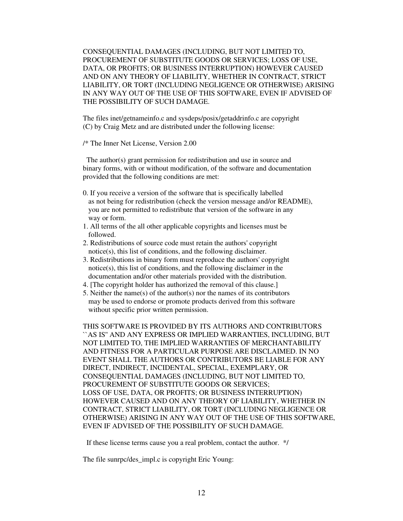CONSEQUENTIAL DAMAGES (INCLUDING, BUT NOT LIMITED TO, PROCUREMENT OF SUBSTITUTE GOODS OR SERVICES; LOSS OF USE, DATA, OR PROFITS; OR BUSINESS INTERRUPTION) HOWEVER CAUSED AND ON ANY THEORY OF LIABILITY, WHETHER IN CONTRACT, STRICT LIABILITY, OR TORT (INCLUDING NEGLIGENCE OR OTHERWISE) ARISING IN ANY WAY OUT OF THE USE OF THIS SOFTWARE, EVEN IF ADVISED OF THE POSSIBILITY OF SUCH DAMAGE.

The files inet/getnameinfo.c and sysdeps/posix/getaddrinfo.c are copyright (C) by Craig Metz and are distributed under the following license:

/\* The Inner Net License, Version 2.00

 The author(s) grant permission for redistribution and use in source and binary forms, with or without modification, of the software and documentation provided that the following conditions are met:

- 0. If you receive a version of the software that is specifically labelled as not being for redistribution (check the version message and/or README), you are not permitted to redistribute that version of the software in any way or form.
- 1. All terms of the all other applicable copyrights and licenses must be followed.
- 2. Redistributions of source code must retain the authors' copyright notice(s), this list of conditions, and the following disclaimer.
- 3. Redistributions in binary form must reproduce the authors' copyright notice(s), this list of conditions, and the following disclaimer in the documentation and/or other materials provided with the distribution.
- 4. [The copyright holder has authorized the removal of this clause.]
- 5. Neither the name(s) of the author(s) nor the names of its contributors may be used to endorse or promote products derived from this software without specific prior written permission.

THIS SOFTWARE IS PROVIDED BY ITS AUTHORS AND CONTRIBUTORS ``AS IS'' AND ANY EXPRESS OR IMPLIED WARRANTIES, INCLUDING, BUT NOT LIMITED TO, THE IMPLIED WARRANTIES OF MERCHANTABILITY AND FITNESS FOR A PARTICULAR PURPOSE ARE DISCLAIMED. IN NO EVENT SHALL THE AUTHORS OR CONTRIBUTORS BE LIABLE FOR ANY DIRECT, INDIRECT, INCIDENTAL, SPECIAL, EXEMPLARY, OR CONSEQUENTIAL DAMAGES (INCLUDING, BUT NOT LIMITED TO, PROCUREMENT OF SUBSTITUTE GOODS OR SERVICES; LOSS OF USE, DATA, OR PROFITS; OR BUSINESS INTERRUPTION) HOWEVER CAUSED AND ON ANY THEORY OF LIABILITY, WHETHER IN CONTRACT, STRICT LIABILITY, OR TORT (INCLUDING NEGLIGENCE OR OTHERWISE) ARISING IN ANY WAY OUT OF THE USE OF THIS SOFTWARE, EVEN IF ADVISED OF THE POSSIBILITY OF SUCH DAMAGE.

If these license terms cause you a real problem, contact the author. \*/

The file sunrpc/des\_impl.c is copyright Eric Young: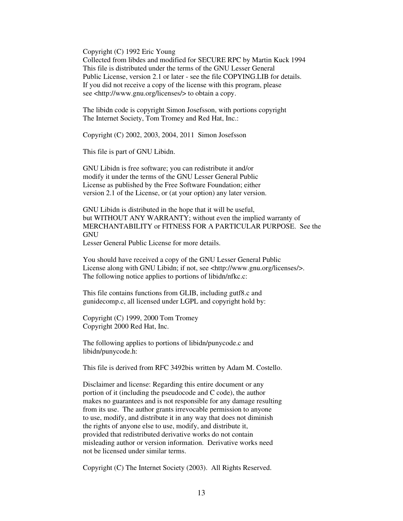Copyright (C) 1992 Eric Young

Collected from libdes and modified for SECURE RPC by Martin Kuck 1994 This file is distributed under the terms of the GNU Lesser General Public License, version 2.1 or later - see the file COPYING.LIB for details. If you did not receive a copy of the license with this program, please see <http://www.gnu.org/licenses/> to obtain a copy.

The libidn code is copyright Simon Josefsson, with portions copyright The Internet Society, Tom Tromey and Red Hat, Inc.:

Copyright (C) 2002, 2003, 2004, 2011 Simon Josefsson

This file is part of GNU Libidn.

GNU Libidn is free software; you can redistribute it and/or modify it under the terms of the GNU Lesser General Public License as published by the Free Software Foundation; either version 2.1 of the License, or (at your option) any later version.

GNU Libidn is distributed in the hope that it will be useful, but WITHOUT ANY WARRANTY; without even the implied warranty of MERCHANTABILITY or FITNESS FOR A PARTICULAR PURPOSE. See the **GNU** Lesser General Public License for more details.

You should have received a copy of the GNU Lesser General Public License along with GNU Libidn; if not, see <http://www.gnu.org/licenses/>. The following notice applies to portions of libidn/nfkc.c:

This file contains functions from GLIB, including gutf8.c and gunidecomp.c, all licensed under LGPL and copyright hold by:

Copyright (C) 1999, 2000 Tom Tromey Copyright 2000 Red Hat, Inc.

The following applies to portions of libidn/punycode.c and libidn/punycode.h:

This file is derived from RFC 3492bis written by Adam M. Costello.

Disclaimer and license: Regarding this entire document or any portion of it (including the pseudocode and C code), the author makes no guarantees and is not responsible for any damage resulting from its use. The author grants irrevocable permission to anyone to use, modify, and distribute it in any way that does not diminish the rights of anyone else to use, modify, and distribute it, provided that redistributed derivative works do not contain misleading author or version information. Derivative works need not be licensed under similar terms.

Copyright (C) The Internet Society (2003). All Rights Reserved.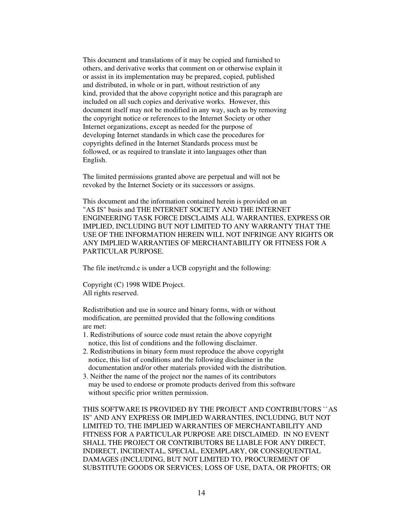This document and translations of it may be copied and furnished to others, and derivative works that comment on or otherwise explain it or assist in its implementation may be prepared, copied, published and distributed, in whole or in part, without restriction of any kind, provided that the above copyright notice and this paragraph are included on all such copies and derivative works. However, this document itself may not be modified in any way, such as by removing the copyright notice or references to the Internet Society or other Internet organizations, except as needed for the purpose of developing Internet standards in which case the procedures for copyrights defined in the Internet Standards process must be followed, or as required to translate it into languages other than English.

The limited permissions granted above are perpetual and will not be revoked by the Internet Society or its successors or assigns.

This document and the information contained herein is provided on an "AS IS" basis and THE INTERNET SOCIETY AND THE INTERNET ENGINEERING TASK FORCE DISCLAIMS ALL WARRANTIES, EXPRESS OR IMPLIED, INCLUDING BUT NOT LIMITED TO ANY WARRANTY THAT THE USE OF THE INFORMATION HEREIN WILL NOT INFRINGE ANY RIGHTS OR ANY IMPLIED WARRANTIES OF MERCHANTABILITY OR FITNESS FOR A PARTICULAR PURPOSE.

The file inet/rcmd.c is under a UCB copyright and the following:

Copyright (C) 1998 WIDE Project. All rights reserved.

Redistribution and use in source and binary forms, with or without modification, are permitted provided that the following conditions are met:

- 1. Redistributions of source code must retain the above copyright notice, this list of conditions and the following disclaimer.
- 2. Redistributions in binary form must reproduce the above copyright notice, this list of conditions and the following disclaimer in the documentation and/or other materials provided with the distribution.
- 3. Neither the name of the project nor the names of its contributors may be used to endorse or promote products derived from this software without specific prior written permission.

THIS SOFTWARE IS PROVIDED BY THE PROJECT AND CONTRIBUTORS ``AS IS'' AND ANY EXPRESS OR IMPLIED WARRANTIES, INCLUDING, BUT NOT LIMITED TO, THE IMPLIED WARRANTIES OF MERCHANTABILITY AND FITNESS FOR A PARTICULAR PURPOSE ARE DISCLAIMED. IN NO EVENT SHALL THE PROJECT OR CONTRIBUTORS BE LIABLE FOR ANY DIRECT, INDIRECT, INCIDENTAL, SPECIAL, EXEMPLARY, OR CONSEQUENTIAL DAMAGES (INCLUDING, BUT NOT LIMITED TO, PROCUREMENT OF SUBSTITUTE GOODS OR SERVICES; LOSS OF USE, DATA, OR PROFITS; OR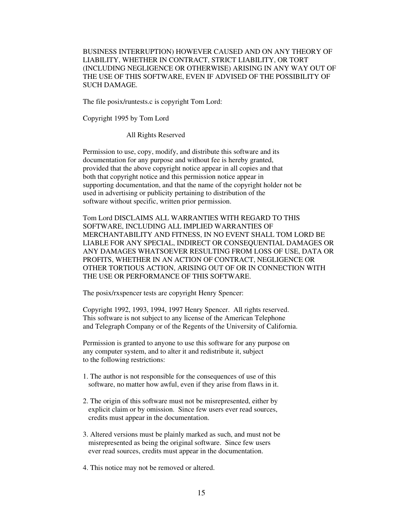BUSINESS INTERRUPTION) HOWEVER CAUSED AND ON ANY THEORY OF LIABILITY, WHETHER IN CONTRACT, STRICT LIABILITY, OR TORT (INCLUDING NEGLIGENCE OR OTHERWISE) ARISING IN ANY WAY OUT OF THE USE OF THIS SOFTWARE, EVEN IF ADVISED OF THE POSSIBILITY OF SUCH DAMAGE.

The file posix/runtests.c is copyright Tom Lord:

Copyright 1995 by Tom Lord

All Rights Reserved

Permission to use, copy, modify, and distribute this software and its documentation for any purpose and without fee is hereby granted, provided that the above copyright notice appear in all copies and that both that copyright notice and this permission notice appear in supporting documentation, and that the name of the copyright holder not be used in advertising or publicity pertaining to distribution of the software without specific, written prior permission.

Tom Lord DISCLAIMS ALL WARRANTIES WITH REGARD TO THIS SOFTWARE, INCLUDING ALL IMPLIED WARRANTIES OF MERCHANTABILITY AND FITNESS, IN NO EVENT SHALL TOM LORD BE LIABLE FOR ANY SPECIAL, INDIRECT OR CONSEQUENTIAL DAMAGES OR ANY DAMAGES WHATSOEVER RESULTING FROM LOSS OF USE, DATA OR PROFITS, WHETHER IN AN ACTION OF CONTRACT, NEGLIGENCE OR OTHER TORTIOUS ACTION, ARISING OUT OF OR IN CONNECTION WITH THE USE OR PERFORMANCE OF THIS SOFTWARE.

The posix/rxspencer tests are copyright Henry Spencer:

Copyright 1992, 1993, 1994, 1997 Henry Spencer. All rights reserved. This software is not subject to any license of the American Telephone and Telegraph Company or of the Regents of the University of California.

Permission is granted to anyone to use this software for any purpose on any computer system, and to alter it and redistribute it, subject to the following restrictions:

- 1. The author is not responsible for the consequences of use of this software, no matter how awful, even if they arise from flaws in it.
- 2. The origin of this software must not be misrepresented, either by explicit claim or by omission. Since few users ever read sources, credits must appear in the documentation.
- 3. Altered versions must be plainly marked as such, and must not be misrepresented as being the original software. Since few users ever read sources, credits must appear in the documentation.
- 4. This notice may not be removed or altered.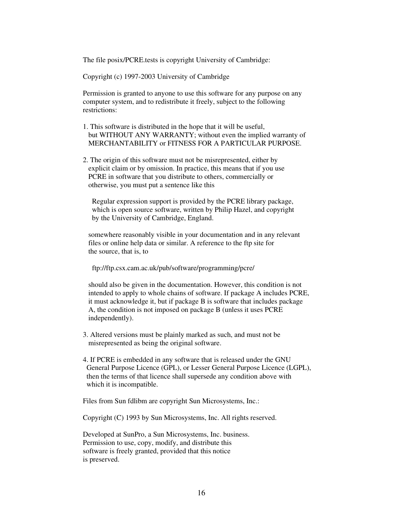The file posix/PCRE.tests is copyright University of Cambridge:

Copyright (c) 1997-2003 University of Cambridge

Permission is granted to anyone to use this software for any purpose on any computer system, and to redistribute it freely, subject to the following restrictions:

- 1. This software is distributed in the hope that it will be useful, but WITHOUT ANY WARRANTY; without even the implied warranty of MERCHANTABILITY or FITNESS FOR A PARTICULAR PURPOSE.
- 2. The origin of this software must not be misrepresented, either by explicit claim or by omission. In practice, this means that if you use PCRE in software that you distribute to others, commercially or otherwise, you must put a sentence like this

 Regular expression support is provided by the PCRE library package, which is open source software, written by Philip Hazel, and copyright by the University of Cambridge, England.

 somewhere reasonably visible in your documentation and in any relevant files or online help data or similar. A reference to the ftp site for the source, that is, to

ftp://ftp.csx.cam.ac.uk/pub/software/programming/pcre/

 should also be given in the documentation. However, this condition is not intended to apply to whole chains of software. If package A includes PCRE, it must acknowledge it, but if package B is software that includes package A, the condition is not imposed on package B (unless it uses PCRE independently).

- 3. Altered versions must be plainly marked as such, and must not be misrepresented as being the original software.
- 4. If PCRE is embedded in any software that is released under the GNU General Purpose Licence (GPL), or Lesser General Purpose Licence (LGPL), then the terms of that licence shall supersede any condition above with which it is incompatible.

Files from Sun fdlibm are copyright Sun Microsystems, Inc.:

Copyright (C) 1993 by Sun Microsystems, Inc. All rights reserved.

Developed at SunPro, a Sun Microsystems, Inc. business. Permission to use, copy, modify, and distribute this software is freely granted, provided that this notice is preserved.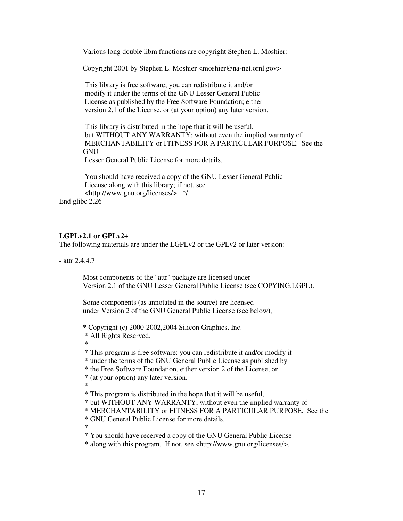Various long double libm functions are copyright Stephen L. Moshier:

Copyright 2001 by Stephen L. Moshier <moshier@na-net.ornl.gov>

 This library is free software; you can redistribute it and/or modify it under the terms of the GNU Lesser General Public License as published by the Free Software Foundation; either version 2.1 of the License, or (at your option) any later version.

 This library is distributed in the hope that it will be useful, but WITHOUT ANY WARRANTY; without even the implied warranty of MERCHANTABILITY or FITNESS FOR A PARTICULAR PURPOSE. See the **GNU** Lesser General Public License for more details.

 You should have received a copy of the GNU Lesser General Public License along with this library; if not, see <http://www.gnu.org/licenses/>. \*/ End glibc 2.26

#### **LGPLv2.1 or GPLv2+**

The following materials are under the LGPLv2 or the GPLv2 or later version:

- attr 2.4.4.7

Most components of the "attr" package are licensed under Version 2.1 of the GNU Lesser General Public License (see COPYING.LGPL).

Some components (as annotated in the source) are licensed under Version 2 of the GNU General Public License (see below),

- \* Copyright (c) 2000-2002,2004 Silicon Graphics, Inc.
- \* All Rights Reserved.
- \* \* This program is free software: you can redistribute it and/or modify it
- \* under the terms of the GNU General Public License as published by
- \* the Free Software Foundation, either version 2 of the License, or
- \* (at your option) any later version.

\*

\* This program is distributed in the hope that it will be useful,

- \* but WITHOUT ANY WARRANTY; without even the implied warranty of
- \* MERCHANTABILITY or FITNESS FOR A PARTICULAR PURPOSE. See the
- \* GNU General Public License for more details.

\*

- \* You should have received a copy of the GNU General Public License
- \* along with this program. If not, see <http://www.gnu.org/licenses/>.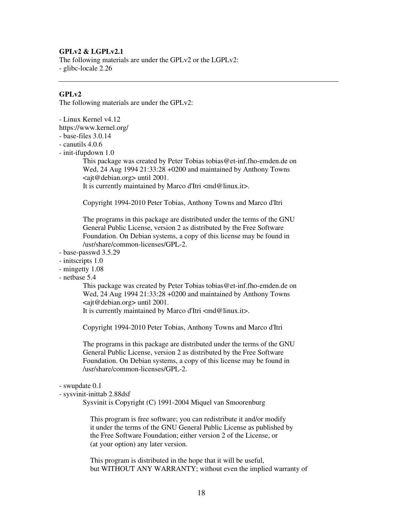#### **GPLv2 & LGPLv2.1**

The following materials are under the GPLv2 or the LGPLv2: - glibc-locale 2.26

#### **GPLv2**

The following materials are under the GPLv2:

- Linux Kernel v4.12

- https://www.kernel.org/
- base-files 3.0.14

- canutils 4.0.6

- init-ifupdown 1.0

This package was created by Peter Tobias tobias@et-inf.fho-emden.de on Wed, 24 Aug 1994 21:33:28 +0200 and maintained by Anthony Towns <ajt@debian.org> until 2001.

It is currently maintained by Marco d'Itri <md@linux.it>.

Copyright 1994-2010 Peter Tobias, Anthony Towns and Marco d'Itri

The programs in this package are distributed under the terms of the GNU General Public License, version 2 as distributed by the Free Software Foundation. On Debian systems, a copy of this license may be found in /usr/share/common-licenses/GPL-2.

- base-passwd 3.5.29
- initscripts 1.0
- mingetty 1.08
- netbase 5.4

This package was created by Peter Tobias tobias@et-inf.fho-emden.de on Wed, 24 Aug 1994 21:33:28 +0200 and maintained by Anthony Towns  $\langle$ ajt@debian.org > until 2001. It is currently maintained by Marco d'Itri <md@linux.it>.

Copyright 1994-2010 Peter Tobias, Anthony Towns and Marco d'Itri

The programs in this package are distributed under the terms of the GNU General Public License, version 2 as distributed by the Free Software Foundation. On Debian systems, a copy of this license may be found in /usr/share/common-licenses/GPL-2.

#### - swupdate 0.1

- sysvinit-inittab 2.88dsf

Sysvinit is Copyright (C) 1991-2004 Miquel van Smoorenburg

 This program is free software; you can redistribute it and/or modify it under the terms of the GNU General Public License as published by the Free Software Foundation; either version 2 of the License, or (at your option) any later version.

 This program is distributed in the hope that it will be useful, but WITHOUT ANY WARRANTY; without even the implied warranty of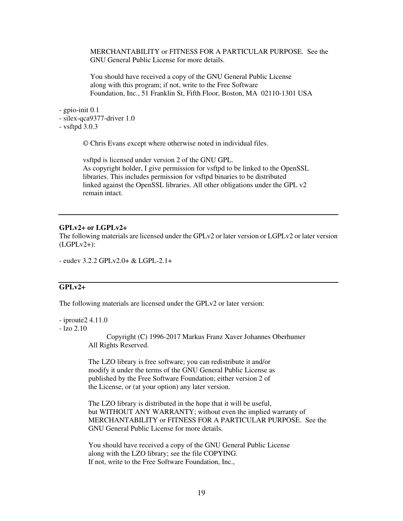MERCHANTABILITY or FITNESS FOR A PARTICULAR PURPOSE. See the GNU General Public License for more details.

 You should have received a copy of the GNU General Public License along with this program; if not, write to the Free Software Foundation, Inc., 51 Franklin St, Fifth Floor, Boston, MA 02110-1301 USA

- gpio-init 0.1

- silex-qca9377-driver 1.0
- vsftpd 3.0.3

© Chris Evans except where otherwise noted in individual files.

vsftpd is licensed under version 2 of the GNU GPL. As copyright holder, I give permission for vsftpd to be linked to the OpenSSL libraries. This includes permission for vsftpd binaries to be distributed linked against the OpenSSL libraries. All other obligations under the GPL v2 remain intact.

#### **GPLv2+ or LGPLv2+**

The following materials are licensed under the GPLv2 or later version or LGPLv2 or later version (LGPLv2+):

- eudev 3.2.2 GPLv2.0+ & LGPL-2.1+

## **GPLv2+**

The following materials are licensed under the GPLv2 or later version:

- iproute2 4.11.0

- lzo 2.10

Copyright (C) 1996-2017 Markus Franz Xaver Johannes Oberhumer All Rights Reserved.

 The LZO library is free software; you can redistribute it and/or modify it under the terms of the GNU General Public License as published by the Free Software Foundation; either version 2 of the License, or (at your option) any later version.

 The LZO library is distributed in the hope that it will be useful, but WITHOUT ANY WARRANTY; without even the implied warranty of MERCHANTABILITY or FITNESS FOR A PARTICULAR PURPOSE. See the GNU General Public License for more details.

 You should have received a copy of the GNU General Public License along with the LZO library; see the file COPYING. If not, write to the Free Software Foundation, Inc.,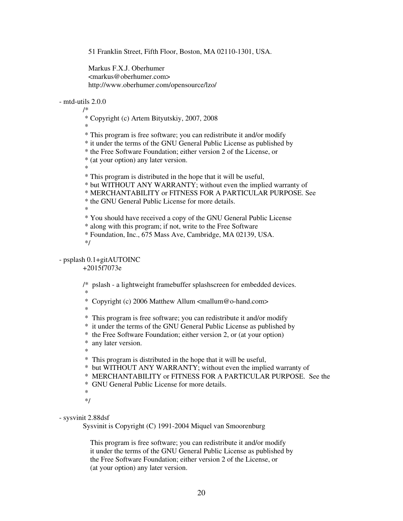51 Franklin Street, Fifth Floor, Boston, MA 02110-1301, USA.

 Markus F.X.J. Oberhumer <markus@oberhumer.com> http://www.oberhumer.com/opensource/lzo/

# - mtd-utils 2.0.0

/\*

\* Copyright (c) Artem Bityutskiy, 2007, 2008

\*

\* This program is free software; you can redistribute it and/or modify

\* it under the terms of the GNU General Public License as published by

\* the Free Software Foundation; either version 2 of the License, or

\* (at your option) any later version.

\*

\* This program is distributed in the hope that it will be useful,

\* but WITHOUT ANY WARRANTY; without even the implied warranty of

\* MERCHANTABILITY or FITNESS FOR A PARTICULAR PURPOSE. See

\* the GNU General Public License for more details.

\*

\* You should have received a copy of the GNU General Public License

\* along with this program; if not, write to the Free Software

\* Foundation, Inc., 675 Mass Ave, Cambridge, MA 02139, USA.

\*/

- psplash 0.1+gitAUTOINC

+2015f7073e

/\* pslash - a lightweight framebuffer splashscreen for embedded devices. \*

\* Copyright (c) 2006 Matthew Allum <mallum@o-hand.com>

\*

\* This program is free software; you can redistribute it and/or modify

\* it under the terms of the GNU General Public License as published by

\* the Free Software Foundation; either version 2, or (at your option)

\* any later version.

\*

\* This program is distributed in the hope that it will be useful,

\* but WITHOUT ANY WARRANTY; without even the implied warranty of

\* MERCHANTABILITY or FITNESS FOR A PARTICULAR PURPOSE. See the

\* GNU General Public License for more details.

 \* \*/

- sysvinit 2.88dsf

Sysvinit is Copyright (C) 1991-2004 Miquel van Smoorenburg

 This program is free software; you can redistribute it and/or modify it under the terms of the GNU General Public License as published by the Free Software Foundation; either version 2 of the License, or (at your option) any later version.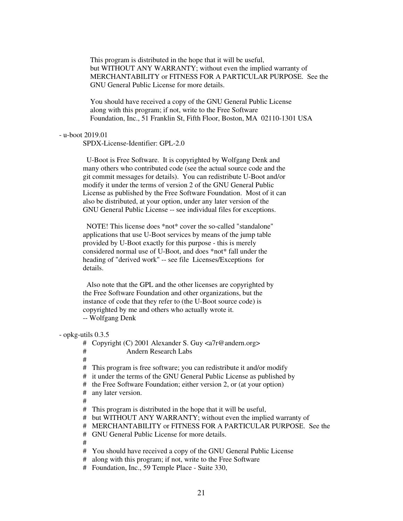This program is distributed in the hope that it will be useful, but WITHOUT ANY WARRANTY; without even the implied warranty of MERCHANTABILITY or FITNESS FOR A PARTICULAR PURPOSE. See the GNU General Public License for more details.

 You should have received a copy of the GNU General Public License along with this program; if not, write to the Free Software Foundation, Inc., 51 Franklin St, Fifth Floor, Boston, MA 02110-1301 USA

#### - u-boot 2019.01

SPDX-License-Identifier: GPL-2.0

 U-Boot is Free Software. It is copyrighted by Wolfgang Denk and many others who contributed code (see the actual source code and the git commit messages for details). You can redistribute U-Boot and/or modify it under the terms of version 2 of the GNU General Public License as published by the Free Software Foundation. Most of it can also be distributed, at your option, under any later version of the GNU General Public License -- see individual files for exceptions.

 NOTE! This license does \*not\* cover the so-called "standalone" applications that use U-Boot services by means of the jump table provided by U-Boot exactly for this purpose - this is merely considered normal use of U-Boot, and does \*not\* fall under the heading of "derived work" -- see file Licenses/Exceptions for details.

 Also note that the GPL and the other licenses are copyrighted by the Free Software Foundation and other organizations, but the instance of code that they refer to (the U-Boot source code) is copyrighted by me and others who actually wrote it. -- Wolfgang Denk

#### - opkg-utils 0.3.5

# Copyright (C) 2001 Alexander S. Guy <a7r@andern.org>

# Andern Research Labs

#

- # This program is free software; you can redistribute it and/or modify
- # it under the terms of the GNU General Public License as published by
- # the Free Software Foundation; either version 2, or (at your option)
- # any later version.

#

- # This program is distributed in the hope that it will be useful,
- # but WITHOUT ANY WARRANTY; without even the implied warranty of
- # MERCHANTABILITY or FITNESS FOR A PARTICULAR PURPOSE. See the
- # GNU General Public License for more details.

#

- # You should have received a copy of the GNU General Public License
- # along with this program; if not, write to the Free Software
- # Foundation, Inc., 59 Temple Place Suite 330,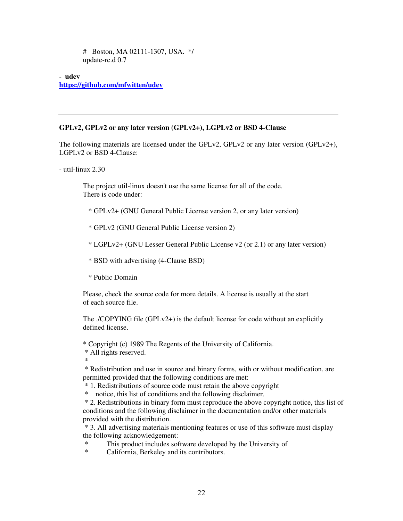# Boston, MA 02111-1307, USA. \*/ update-rc.d 0.7

- **udev https://github.com/mfwitten/udev**

#### **GPLv2, GPLv2 or any later version (GPLv2+), LGPLv2 or BSD 4-Clause**

The following materials are licensed under the GPLv2, GPLv2 or any later version (GPLv2+), LGPLv2 or BSD 4-Clause:

- util-linux 2.30

The project util-linux doesn't use the same license for all of the code. There is code under:

\* GPLv2+ (GNU General Public License version 2, or any later version)

\* GPLv2 (GNU General Public License version 2)

\* LGPLv2+ (GNU Lesser General Public License v2 (or 2.1) or any later version)

\* BSD with advertising (4-Clause BSD)

\* Public Domain

Please, check the source code for more details. A license is usually at the start of each source file.

The ./COPYING file (GPLv2+) is the default license for code without an explicitly defined license.

\* Copyright (c) 1989 The Regents of the University of California.

\* All rights reserved.

\*

 \* Redistribution and use in source and binary forms, with or without modification, are permitted provided that the following conditions are met:

\* 1. Redistributions of source code must retain the above copyright

notice, this list of conditions and the following disclaimer.

 \* 2. Redistributions in binary form must reproduce the above copyright notice, this list of conditions and the following disclaimer in the documentation and/or other materials provided with the distribution.

 \* 3. All advertising materials mentioning features or use of this software must display the following acknowledgement:

\* This product includes software developed by the University of

California, Berkeley and its contributors.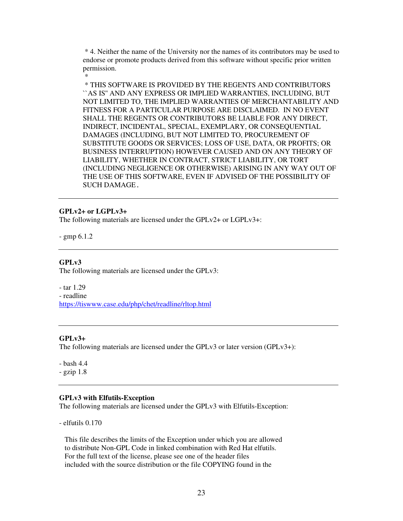\* 4. Neither the name of the University nor the names of its contributors may be used to endorse or promote products derived from this software without specific prior written permission.

\*

 \* THIS SOFTWARE IS PROVIDED BY THE REGENTS AND CONTRIBUTORS ``AS IS'' AND ANY EXPRESS OR IMPLIED WARRANTIES, INCLUDING, BUT NOT LIMITED TO, THE IMPLIED WARRANTIES OF MERCHANTABILITY AND FITNESS FOR A PARTICULAR PURPOSE ARE DISCLAIMED. IN NO EVENT SHALL THE REGENTS OR CONTRIBUTORS BE LIABLE FOR ANY DIRECT, INDIRECT, INCIDENTAL, SPECIAL, EXEMPLARY, OR CONSEQUENTIAL DAMAGES (INCLUDING, BUT NOT LIMITED TO, PROCUREMENT OF SUBSTITUTE GOODS OR SERVICES; LOSS OF USE, DATA, OR PROFITS; OR BUSINESS INTERRUPTION) HOWEVER CAUSED AND ON ANY THEORY OF LIABILITY, WHETHER IN CONTRACT, STRICT LIABILITY, OR TORT (INCLUDING NEGLIGENCE OR OTHERWISE) ARISING IN ANY WAY OUT OF THE USE OF THIS SOFTWARE, EVEN IF ADVISED OF THE POSSIBILITY OF SUCH DAMAGE.

#### **GPLv2+ or LGPLv3+**

The following materials are licensed under the GPLv2+ or LGPLv3+:

- gmp 6.1.2

#### **GPLv3**

The following materials are licensed under the GPLv3:

- tar 1.29 - readline https://tiswww.case.edu/php/chet/readline/rltop.html

#### **GPLv3+**

The following materials are licensed under the GPLv3 or later version (GPLv3+):

- bash 4.4 - gzip 1.8

## **GPLv3 with Elfutils-Exception**

The following materials are licensed under the GPLv3 with Elfutils-Exception:

- elfutils 0.170

 This file describes the limits of the Exception under which you are allowed to distribute Non-GPL Code in linked combination with Red Hat elfutils. For the full text of the license, please see one of the header files included with the source distribution or the file COPYING found in the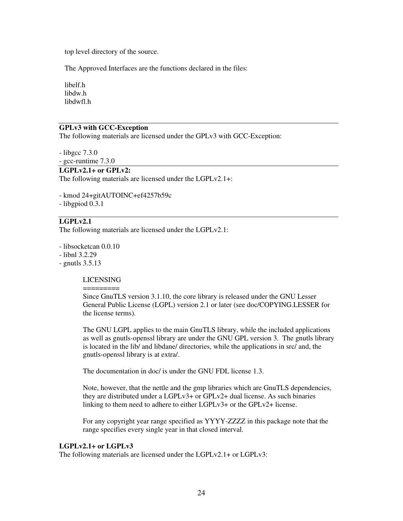top level directory of the source.

The Approved Interfaces are the functions declared in the files:

 libelf.h libdw.h libdwfl.h

#### **GPLv3 with GCC-Exception**

The following materials are licensed under the GPLv3 with GCC-Exception:

- libgcc 7.3.0 - gcc-runtime 7.3.0

#### **LGPLv2.1+ or GPLv2:**

The following materials are licensed under the LGPLv2.1+:

- kmod 24+gitAUTOINC+ef4257b59c

- libgpiod 0.3.1

## **LGPLv2.1**

The following materials are licensed under the LGPLv2.1:

- libsocketcan 0.0.10

- libnl 3.2.29

- gnutls 3.5.13

#### LICENSING

========= Since GnuTLS version 3.1.10, the core library is released under the GNU Lesser General Public License (LGPL) version 2.1 or later (see doc/COPYING.LESSER for the license terms).

The GNU LGPL applies to the main GnuTLS library, while the included applications as well as gnutls-openssl library are under the GNU GPL version 3. The gnutls library is located in the lib/ and libdane/ directories, while the applications in src/ and, the gnutls-openssl library is at extra/.

The documentation in doc/ is under the GNU FDL license 1.3.

Note, however, that the nettle and the gmp libraries which are GnuTLS dependencies, they are distributed under a LGPLv3+ or GPLv2+ dual license. As such binaries linking to them need to adhere to either LGPLv3+ or the GPLv2+ license.

For any copyright year range specified as YYYY-ZZZZ in this package note that the range specifies every single year in that closed interval.

#### **LGPLv2.1+ or LGPLv3**

The following materials are licensed under the LGPLv2.1+ or LGPLv3: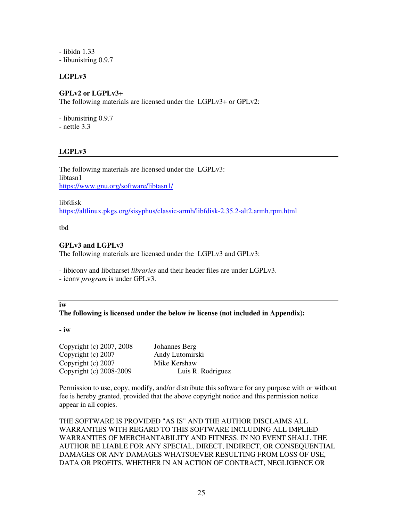- libidn 1.33 - libunistring 0.9.7

## **LGPLv3**

## **GPLv2 or LGPLv3+**

The following materials are licensed under the LGPLv3+ or GPLv2:

- libunistring 0.9.7

- nettle 3.3

## **LGPLv3**

The following materials are licensed under the LGPLv3: libtasn1 https://www.gnu.org/software/libtasn1/

libfdisk https://altlinux.pkgs.org/sisyphus/classic-armh/libfdisk-2.35.2-alt2.armh.rpm.html

tbd

## **GPLv3 and LGPLv3**

The following materials are licensed under the LGPLv3 and GPLv3:

- libiconv and libcharset *libraries* and their header files are under LGPLv3.

- iconv *program* is under GPLv3.

**iw The following is licensed under the below iw license (not included in Appendix):** 

**- iw** 

Copyright (c) 2007, 2008 Johannes Berg Copyright (c) 2007 Andy Lutomirski Copyright (c) 2007 Mike Kershaw<br>Copyright (c) 2008-2009 Luis R. Rodriguez Copyright (c)  $2008-2009$ 

Permission to use, copy, modify, and/or distribute this software for any purpose with or without fee is hereby granted, provided that the above copyright notice and this permission notice appear in all copies.

THE SOFTWARE IS PROVIDED "AS IS" AND THE AUTHOR DISCLAIMS ALL WARRANTIES WITH REGARD TO THIS SOFTWARE INCLUDING ALL IMPLIED WARRANTIES OF MERCHANTABILITY AND FITNESS. IN NO EVENT SHALL THE AUTHOR BE LIABLE FOR ANY SPECIAL, DIRECT, INDIRECT, OR CONSEQUENTIAL DAMAGES OR ANY DAMAGES WHATSOEVER RESULTING FROM LOSS OF USE, DATA OR PROFITS, WHETHER IN AN ACTION OF CONTRACT, NEGLIGENCE OR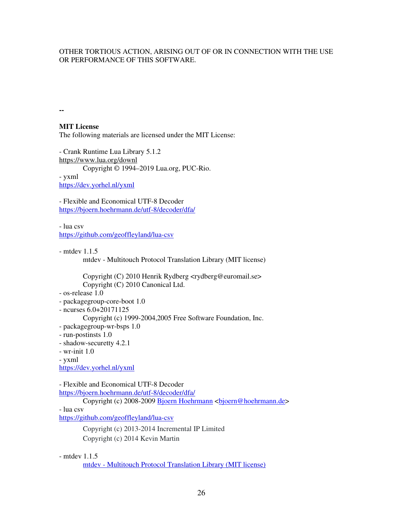#### OTHER TORTIOUS ACTION, ARISING OUT OF OR IN CONNECTION WITH THE USE OR PERFORMANCE OF THIS SOFTWARE.

**--** 

## **MIT License**

The following materials are licensed under the MIT License:

- Crank Runtime Lua Library 5.1.2 https://www.lua.org/downl Copyright © 1994–2019 Lua.org, PUC-Rio. - yxml https://dev.yorhel.nl/yxml

- Flexible and Economical UTF-8 Decoder https://bjoern.hoehrmann.de/utf-8/decoder/dfa/

- lua csv https://github.com/geoffleyland/lua-csv

- mtdev 1.1.5

mtdev - Multitouch Protocol Translation Library (MIT license)

Copyright (C) 2010 Henrik Rydberg <rydberg@euromail.se> Copyright (C) 2010 Canonical Ltd.

- os-release 1.0

- packagegroup-core-boot 1.0

- ncurses 6.0+20171125

Copyright (c) 1999-2004,2005 Free Software Foundation, Inc.

- packagegroup-wr-bsps 1.0

- run-postinsts 1.0
- shadow-securetty 4.2.1
- wr-init 1.0

- yxml

https://dev.yorhel.nl/yxml

- Flexible and Economical UTF-8 Decoder

https://bjoern.hoehrmann.de/utf-8/decoder/dfa/

Copyright (c) 2008-2009 Bjoern Hoehrmann <bjoern@hoehrmann.de>

- lua csv

https://github.com/geoffleyland/lua-csv

Copyright (c) 2013-2014 Incremental IP Limited Copyright (c) 2014 Kevin Martin

- mtdev 1.1.5

mtdev - Multitouch Protocol Translation Library (MIT license)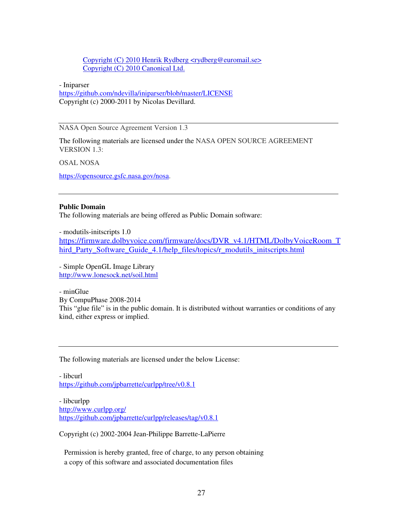# Copyright (C) 2010 Henrik Rydberg <rydberg@euromail.se> Copyright (C) 2010 Canonical Ltd.

- Iniparser

https://github.com/ndevilla/iniparser/blob/master/LICENSE Copyright (c) 2000-2011 by Nicolas Devillard.

NASA Open Source Agreement Version 1.3

The following materials are licensed under the NASA OPEN SOURCE AGREEMENT VERSION 1.3:

OSAL NOSA

https://opensource.gsfc.nasa.gov/nosa.

#### **Public Domain**

The following materials are being offered as Public Domain software:

- modutils-initscripts 1.0 https://firmware.dolbyvoice.com/firmware/docs/DVR\_v4.1/HTML/DolbyVoiceRoom\_T hird\_Party\_Software\_Guide\_4.1/help\_files/topics/r\_modutils\_initscripts.html

- Simple OpenGL Image Library http://www.lonesock.net/soil.html

- minGlue By CompuPhase 2008-2014 This "glue file" is in the public domain. It is distributed without warranties or conditions of any kind, either express or implied.

The following materials are licensed under the below License:

- libcurl https://github.com/jpbarrette/curlpp/tree/v0.8.1

- libcurlpp http://www.curlpp.org/ https://github.com/jpbarrette/curlpp/releases/tag/v0.8.1

Copyright (c) 2002-2004 Jean-Philippe Barrette-LaPierre

Permission is hereby granted, free of charge, to any person obtaining a copy of this software and associated documentation files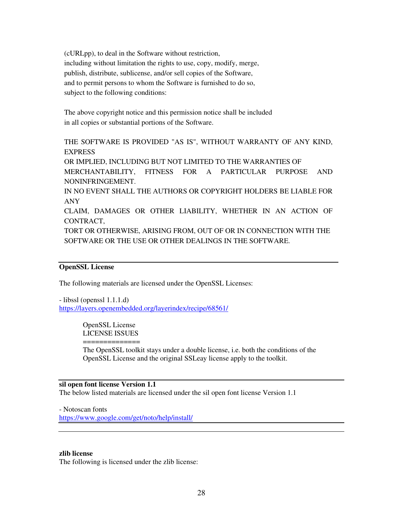(cURLpp), to deal in the Software without restriction, including without limitation the rights to use, copy, modify, merge, publish, distribute, sublicense, and/or sell copies of the Software, and to permit persons to whom the Software is furnished to do so, subject to the following conditions:

The above copyright notice and this permission notice shall be included in all copies or substantial portions of the Software.

THE SOFTWARE IS PROVIDED "AS IS", WITHOUT WARRANTY OF ANY KIND, EXPRESS OR IMPLIED, INCLUDING BUT NOT LIMITED TO THE WARRANTIES OF MERCHANTABILITY, FITNESS FOR A PARTICULAR PURPOSE AND NONINFRINGEMENT. IN NO EVENT SHALL THE AUTHORS OR COPYRIGHT HOLDERS BE LIABLE FOR ANY CLAIM, DAMAGES OR OTHER LIABILITY, WHETHER IN AN ACTION OF CONTRACT, TORT OR OTHERWISE, ARISING FROM, OUT OF OR IN CONNECTION WITH THE SOFTWARE OR THE USE OR OTHER DEALINGS IN THE SOFTWARE.

#### **OpenSSL License**

The following materials are licensed under the OpenSSL Licenses:

- libssl (openssl 1.1.1.d) https://layers.openembedded.org/layerindex/recipe/68561/

> OpenSSL License LICENSE ISSUES ==============

The OpenSSL toolkit stays under a double license, i.e. both the conditions of the OpenSSL License and the original SSLeay license apply to the toolkit.

## **sil open font license Version 1.1**

The below listed materials are licensed under the sil open font license Version 1.1

- Notoscan fonts https://www.google.com/get/noto/help/install/

#### **zlib license**

The following is licensed under the zlib license: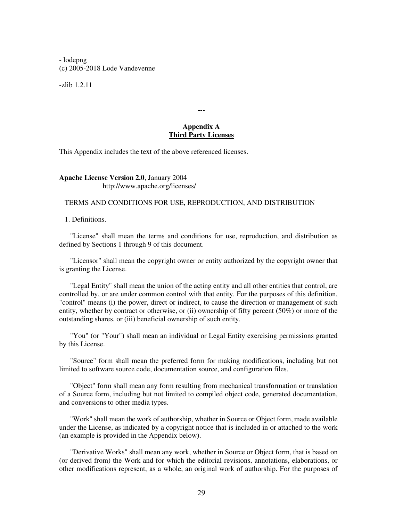- lodepng (c) 2005-2018 Lode Vandevenne

-zlib 1.2.11

**---** 

## **Appendix A Third Party Licenses**

This Appendix includes the text of the above referenced licenses.

**Apache License Version 2.0**, January 2004 http://www.apache.org/licenses/

#### TERMS AND CONDITIONS FOR USE, REPRODUCTION, AND DISTRIBUTION

1. Definitions.

 "License" shall mean the terms and conditions for use, reproduction, and distribution as defined by Sections 1 through 9 of this document.

 "Licensor" shall mean the copyright owner or entity authorized by the copyright owner that is granting the License.

 "Legal Entity" shall mean the union of the acting entity and all other entities that control, are controlled by, or are under common control with that entity. For the purposes of this definition, "control" means (i) the power, direct or indirect, to cause the direction or management of such entity, whether by contract or otherwise, or (ii) ownership of fifty percent (50%) or more of the outstanding shares, or (iii) beneficial ownership of such entity.

 "You" (or "Your") shall mean an individual or Legal Entity exercising permissions granted by this License.

 "Source" form shall mean the preferred form for making modifications, including but not limited to software source code, documentation source, and configuration files.

 "Object" form shall mean any form resulting from mechanical transformation or translation of a Source form, including but not limited to compiled object code, generated documentation, and conversions to other media types.

 "Work" shall mean the work of authorship, whether in Source or Object form, made available under the License, as indicated by a copyright notice that is included in or attached to the work (an example is provided in the Appendix below).

 "Derivative Works" shall mean any work, whether in Source or Object form, that is based on (or derived from) the Work and for which the editorial revisions, annotations, elaborations, or other modifications represent, as a whole, an original work of authorship. For the purposes of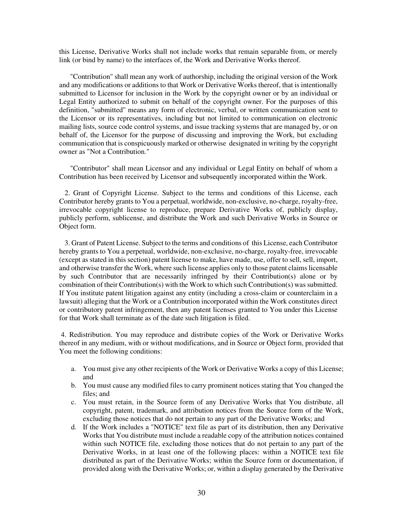this License, Derivative Works shall not include works that remain separable from, or merely link (or bind by name) to the interfaces of, the Work and Derivative Works thereof.

 "Contribution" shall mean any work of authorship, including the original version of the Work and any modifications or additions to that Work or Derivative Works thereof, that is intentionally submitted to Licensor for inclusion in the Work by the copyright owner or by an individual or Legal Entity authorized to submit on behalf of the copyright owner. For the purposes of this definition, "submitted" means any form of electronic, verbal, or written communication sent to the Licensor or its representatives, including but not limited to communication on electronic mailing lists, source code control systems, and issue tracking systems that are managed by, or on behalf of, the Licensor for the purpose of discussing and improving the Work, but excluding communication that is conspicuously marked or otherwise designated in writing by the copyright owner as "Not a Contribution."

 "Contributor" shall mean Licensor and any individual or Legal Entity on behalf of whom a Contribution has been received by Licensor and subsequently incorporated within the Work.

 2. Grant of Copyright License. Subject to the terms and conditions of this License, each Contributor hereby grants to You a perpetual, worldwide, non-exclusive, no-charge, royalty-free, irrevocable copyright license to reproduce, prepare Derivative Works of, publicly display, publicly perform, sublicense, and distribute the Work and such Derivative Works in Source or Object form.

 3. Grant of Patent License. Subject to the terms and conditions of this License, each Contributor hereby grants to You a perpetual, worldwide, non-exclusive, no-charge, royalty-free, irrevocable (except as stated in this section) patent license to make, have made, use, offer to sell, sell, import, and otherwise transfer the Work, where such license applies only to those patent claims licensable by such Contributor that are necessarily infringed by their Contribution(s) alone or by combination of their Contribution(s) with the Work to which such Contribution(s) was submitted. If You institute patent litigation against any entity (including a cross-claim or counterclaim in a lawsuit) alleging that the Work or a Contribution incorporated within the Work constitutes direct or contributory patent infringement, then any patent licenses granted to You under this License for that Work shall terminate as of the date such litigation is filed.

 4. Redistribution. You may reproduce and distribute copies of the Work or Derivative Works thereof in any medium, with or without modifications, and in Source or Object form, provided that You meet the following conditions:

- a. You must give any other recipients of the Work or Derivative Works a copy of this License; and
- b. You must cause any modified files to carry prominent notices stating that You changed the files; and
- c. You must retain, in the Source form of any Derivative Works that You distribute, all copyright, patent, trademark, and attribution notices from the Source form of the Work, excluding those notices that do not pertain to any part of the Derivative Works; and
- d. If the Work includes a "NOTICE" text file as part of its distribution, then any Derivative Works that You distribute must include a readable copy of the attribution notices contained within such NOTICE file, excluding those notices that do not pertain to any part of the Derivative Works, in at least one of the following places: within a NOTICE text file distributed as part of the Derivative Works; within the Source form or documentation, if provided along with the Derivative Works; or, within a display generated by the Derivative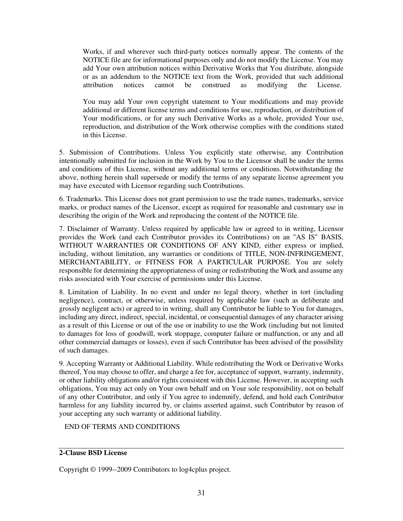Works, if and wherever such third-party notices normally appear. The contents of the NOTICE file are for informational purposes only and do not modify the License. You may add Your own attribution notices within Derivative Works that You distribute, alongside or as an addendum to the NOTICE text from the Work, provided that such additional attribution notices cannot be construed as modifying the License.

You may add Your own copyright statement to Your modifications and may provide additional or different license terms and conditions for use, reproduction, or distribution of Your modifications, or for any such Derivative Works as a whole, provided Your use, reproduction, and distribution of the Work otherwise complies with the conditions stated in this License.

5. Submission of Contributions. Unless You explicitly state otherwise, any Contribution intentionally submitted for inclusion in the Work by You to the Licensor shall be under the terms and conditions of this License, without any additional terms or conditions. Notwithstanding the above, nothing herein shall supersede or modify the terms of any separate license agreement you may have executed with Licensor regarding such Contributions.

6. Trademarks. This License does not grant permission to use the trade names, trademarks, service marks, or product names of the Licensor, except as required for reasonable and customary use in describing the origin of the Work and reproducing the content of the NOTICE file.

7. Disclaimer of Warranty. Unless required by applicable law or agreed to in writing, Licensor provides the Work (and each Contributor provides its Contributions) on an "AS IS" BASIS, WITHOUT WARRANTIES OR CONDITIONS OF ANY KIND, either express or implied, including, without limitation, any warranties or conditions of TITLE, NON-INFRINGEMENT, MERCHANTABILITY, or FITNESS FOR A PARTICULAR PURPOSE. You are solely responsible for determining the appropriateness of using or redistributing the Work and assume any risks associated with Your exercise of permissions under this License.

8. Limitation of Liability. In no event and under no legal theory, whether in tort (including negligence), contract, or otherwise, unless required by applicable law (such as deliberate and grossly negligent acts) or agreed to in writing, shall any Contributor be liable to You for damages, including any direct, indirect, special, incidental, or consequential damages of any character arising as a result of this License or out of the use or inability to use the Work (including but not limited to damages for loss of goodwill, work stoppage, computer failure or malfunction, or any and all other commercial damages or losses), even if such Contributor has been advised of the possibility of such damages.

9. Accepting Warranty or Additional Liability. While redistributing the Work or Derivative Works thereof, You may choose to offer, and charge a fee for, acceptance of support, warranty, indemnity, or other liability obligations and/or rights consistent with this License. However, in accepting such obligations, You may act only on Your own behalf and on Your sole responsibility, not on behalf of any other Contributor, and only if You agree to indemnify, defend, and hold each Contributor harmless for any liability incurred by, or claims asserted against, such Contributor by reason of your accepting any such warranty or additional liability.

END OF TERMS AND CONDITIONS

## **2-Clause BSD License**

Copyright © 1999--2009 Contributors to log4cplus project.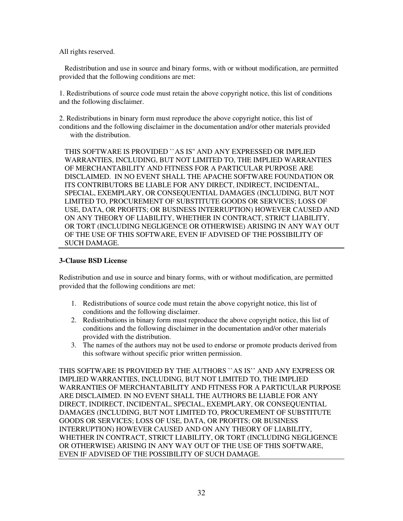All rights reserved.

 Redistribution and use in source and binary forms, with or without modification, are permitted provided that the following conditions are met:

1. Redistributions of source code must retain the above copyright notice, this list of conditions and the following disclaimer.

2. Redistributions in binary form must reproduce the above copyright notice, this list of conditions and the following disclaimer in the documentation and/or other materials provided with the distribution.

 THIS SOFTWARE IS PROVIDED ``AS IS'' AND ANY EXPRESSED OR IMPLIED WARRANTIES, INCLUDING, BUT NOT LIMITED TO, THE IMPLIED WARRANTIES OF MERCHANTABILITY AND FITNESS FOR A PARTICULAR PURPOSE ARE DISCLAIMED. IN NO EVENT SHALL THE APACHE SOFTWARE FOUNDATION OR ITS CONTRIBUTORS BE LIABLE FOR ANY DIRECT, INDIRECT, INCIDENTAL, SPECIAL, EXEMPLARY, OR CONSEQUENTIAL DAMAGES (INCLUDING, BUT NOT LIMITED TO, PROCUREMENT OF SUBSTITUTE GOODS OR SERVICES; LOSS OF USE, DATA, OR PROFITS; OR BUSINESS INTERRUPTION) HOWEVER CAUSED AND ON ANY THEORY OF LIABILITY, WHETHER IN CONTRACT, STRICT LIABILITY, OR TORT (INCLUDING NEGLIGENCE OR OTHERWISE) ARISING IN ANY WAY OUT OF THE USE OF THIS SOFTWARE, EVEN IF ADVISED OF THE POSSIBILITY OF SUCH DAMAGE.

## **3-Clause BSD License**

Redistribution and use in source and binary forms, with or without modification, are permitted provided that the following conditions are met:

- 1. Redistributions of source code must retain the above copyright notice, this list of conditions and the following disclaimer.
- 2. Redistributions in binary form must reproduce the above copyright notice, this list of conditions and the following disclaimer in the documentation and/or other materials provided with the distribution.
- 3. The names of the authors may not be used to endorse or promote products derived from this software without specific prior written permission.

THIS SOFTWARE IS PROVIDED BY THE AUTHORS ``AS IS'' AND ANY EXPRESS OR IMPLIED WARRANTIES, INCLUDING, BUT NOT LIMITED TO, THE IMPLIED WARRANTIES OF MERCHANTABILITY AND FITNESS FOR A PARTICULAR PURPOSE ARE DISCLAIMED. IN NO EVENT SHALL THE AUTHORS BE LIABLE FOR ANY DIRECT, INDIRECT, INCIDENTAL, SPECIAL, EXEMPLARY, OR CONSEQUENTIAL DAMAGES (INCLUDING, BUT NOT LIMITED TO, PROCUREMENT OF SUBSTITUTE GOODS OR SERVICES; LOSS OF USE, DATA, OR PROFITS; OR BUSINESS INTERRUPTION) HOWEVER CAUSED AND ON ANY THEORY OF LIABILITY, WHETHER IN CONTRACT, STRICT LIABILITY, OR TORT (INCLUDING NEGLIGENCE OR OTHERWISE) ARISING IN ANY WAY OUT OF THE USE OF THIS SOFTWARE, EVEN IF ADVISED OF THE POSSIBILITY OF SUCH DAMAGE.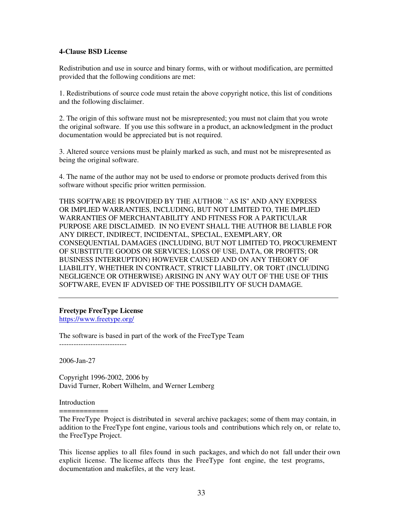#### **4-Clause BSD License**

Redistribution and use in source and binary forms, with or without modification, are permitted provided that the following conditions are met:

1. Redistributions of source code must retain the above copyright notice, this list of conditions and the following disclaimer.

2. The origin of this software must not be misrepresented; you must not claim that you wrote the original software. If you use this software in a product, an acknowledgment in the product documentation would be appreciated but is not required.

3. Altered source versions must be plainly marked as such, and must not be misrepresented as being the original software.

4. The name of the author may not be used to endorse or promote products derived from this software without specific prior written permission.

THIS SOFTWARE IS PROVIDED BY THE AUTHOR ``AS IS'' AND ANY EXPRESS OR IMPLIED WARRANTIES, INCLUDING, BUT NOT LIMITED TO, THE IMPLIED WARRANTIES OF MERCHANTABILITY AND FITNESS FOR A PARTICULAR PURPOSE ARE DISCLAIMED. IN NO EVENT SHALL THE AUTHOR BE LIABLE FOR ANY DIRECT, INDIRECT, INCIDENTAL, SPECIAL, EXEMPLARY, OR CONSEQUENTIAL DAMAGES (INCLUDING, BUT NOT LIMITED TO, PROCUREMENT OF SUBSTITUTE GOODS OR SERVICES; LOSS OF USE, DATA, OR PROFITS; OR BUSINESS INTERRUPTION) HOWEVER CAUSED AND ON ANY THEORY OF LIABILITY, WHETHER IN CONTRACT, STRICT LIABILITY, OR TORT (INCLUDING NEGLIGENCE OR OTHERWISE) ARISING IN ANY WAY OUT OF THE USE OF THIS SOFTWARE, EVEN IF ADVISED OF THE POSSIBILITY OF SUCH DAMAGE.

#### **Freetype FreeType License**

https://www.freetype.org/

The software is based in part of the work of the FreeType Team ----------------------------

2006-Jan-27

Copyright 1996-2002, 2006 by David Turner, Robert Wilhelm, and Werner Lemberg

#### Introduction

============

The FreeType Project is distributed in several archive packages; some of them may contain, in addition to the FreeType font engine, various tools and contributions which rely on, or relate to, the FreeType Project.

This license applies to all files found in such packages, and which do not fall under their own explicit license. The license affects thus the FreeType font engine, the test programs, documentation and makefiles, at the very least.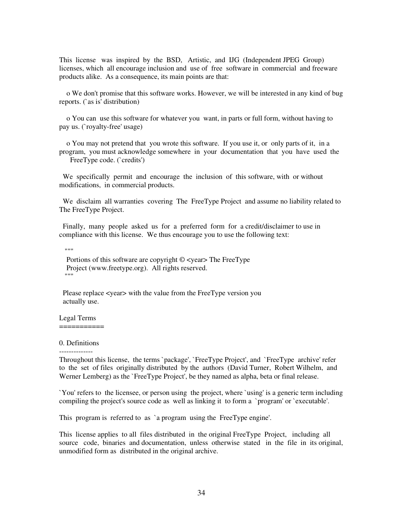This license was inspired by the BSD, Artistic, and IJG (Independent JPEG Group) licenses, which all encourage inclusion and use of free software in commercial and freeware products alike. As a consequence, its main points are that:

 o We don't promise that this software works. However, we will be interested in any kind of bug reports. (`as is' distribution)

 o You can use this software for whatever you want, in parts or full form, without having to pay us. (`royalty-free' usage)

 o You may not pretend that you wrote this software. If you use it, or only parts of it, in a program, you must acknowledge somewhere in your documentation that you have used the FreeType code. (`credits')

 We specifically permit and encourage the inclusion of this software, with or without modifications, in commercial products.

 We disclaim all warranties covering The FreeType Project and assume no liability related to The FreeType Project.

 Finally, many people asked us for a preferred form for a credit/disclaimer to use in compliance with this license. We thus encourage you to use the following text:

""""

Portions of this software are copyright © <year> The FreeType Project (www.freetype.org). All rights reserved. """"

Please replace <year> with the value from the FreeType version you actually use.

Legal Terms ===========

#### 0. Definitions

--------------

Throughout this license, the terms `package', `FreeType Project', and `FreeType archive' refer to the set of files originally distributed by the authors (David Turner, Robert Wilhelm, and Werner Lemberg) as the `FreeType Project', be they named as alpha, beta or final release.

`You' refers to the licensee, or person using the project, where `using' is a generic term including compiling the project's source code as well as linking it to form a `program' or `executable'.

This program is referred to as `a program using the FreeType engine'.

This license applies to all files distributed in the original FreeType Project, including all source code, binaries and documentation, unless otherwise stated in the file in its original, unmodified form as distributed in the original archive.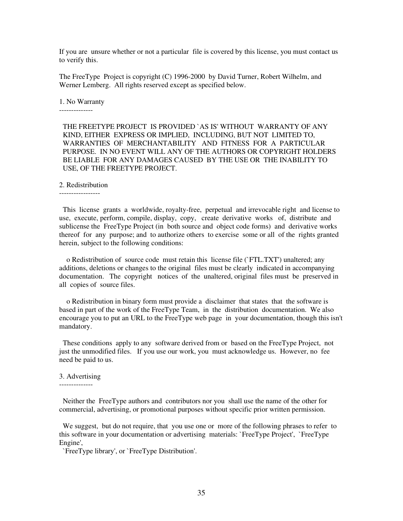If you are unsure whether or not a particular file is covered by this license, you must contact us to verify this.

The FreeType Project is copyright (C) 1996-2000 by David Turner, Robert Wilhelm, and Werner Lemberg. All rights reserved except as specified below.

1. No Warranty

--------------

 THE FREETYPE PROJECT IS PROVIDED `AS IS' WITHOUT WARRANTY OF ANY KIND, EITHER EXPRESS OR IMPLIED, INCLUDING, BUT NOT LIMITED TO, WARRANTIES OF MERCHANTABILITY AND FITNESS FOR A PARTICULAR PURPOSE. IN NO EVENT WILL ANY OF THE AUTHORS OR COPYRIGHT HOLDERS BE LIABLE FOR ANY DAMAGES CAUSED BY THE USE OR THE INABILITY TO USE, OF THE FREETYPE PROJECT.

#### 2. Redistribution

-----------------

 This license grants a worldwide, royalty-free, perpetual and irrevocable right and license to use, execute, perform, compile, display, copy, create derivative works of, distribute and sublicense the FreeType Project (in both source and object code forms) and derivative works thereof for any purpose; and to authorize others to exercise some or all of the rights granted herein, subject to the following conditions:

 o Redistribution of source code must retain this license file (`FTL.TXT') unaltered; any additions, deletions or changes to the original files must be clearly indicated in accompanying documentation. The copyright notices of the unaltered, original files must be preserved in all copies of source files.

 o Redistribution in binary form must provide a disclaimer that states that the software is based in part of the work of the FreeType Team, in the distribution documentation. We also encourage you to put an URL to the FreeType web page in your documentation, though this isn't mandatory.

 These conditions apply to any software derived from or based on the FreeType Project, not just the unmodified files. If you use our work, you must acknowledge us. However, no fee need be paid to us.

#### 3. Advertising --------------

 Neither the FreeType authors and contributors nor you shall use the name of the other for commercial, advertising, or promotional purposes without specific prior written permission.

We suggest, but do not require, that you use one or more of the following phrases to refer to this software in your documentation or advertising materials: `FreeType Project', `FreeType Engine',

`FreeType library', or `FreeType Distribution'.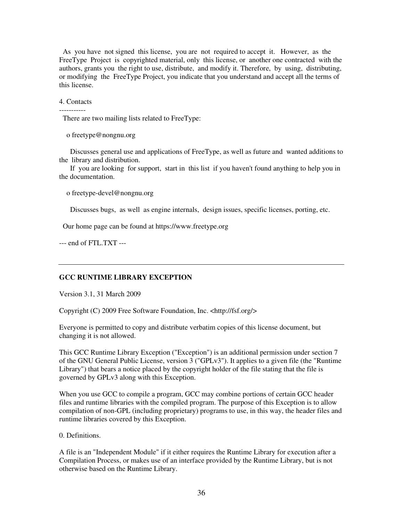As you have not signed this license, you are not required to accept it. However, as the FreeType Project is copyrighted material, only this license, or another one contracted with the authors, grants you the right to use, distribute, and modify it. Therefore, by using, distributing, or modifying the FreeType Project, you indicate that you understand and accept all the terms of this license.

4. Contacts -----------

There are two mailing lists related to FreeType:

o freetype@nongnu.org

 Discusses general use and applications of FreeType, as well as future and wanted additions to the library and distribution.

 If you are looking for support, start in this list if you haven't found anything to help you in the documentation.

o freetype-devel@nongnu.org

Discusses bugs, as well as engine internals, design issues, specific licenses, porting, etc.

Our home page can be found at https://www.freetype.org

--- end of FTL.TXT ---

#### **GCC RUNTIME LIBRARY EXCEPTION**

Version 3.1, 31 March 2009

Copyright (C) 2009 Free Software Foundation, Inc. <http://fsf.org/>

Everyone is permitted to copy and distribute verbatim copies of this license document, but changing it is not allowed.

This GCC Runtime Library Exception ("Exception") is an additional permission under section 7 of the GNU General Public License, version 3 ("GPLv3"). It applies to a given file (the "Runtime Library") that bears a notice placed by the copyright holder of the file stating that the file is governed by GPLv3 along with this Exception.

When you use GCC to compile a program, GCC may combine portions of certain GCC header files and runtime libraries with the compiled program. The purpose of this Exception is to allow compilation of non-GPL (including proprietary) programs to use, in this way, the header files and runtime libraries covered by this Exception.

0. Definitions.

A file is an "Independent Module" if it either requires the Runtime Library for execution after a Compilation Process, or makes use of an interface provided by the Runtime Library, but is not otherwise based on the Runtime Library.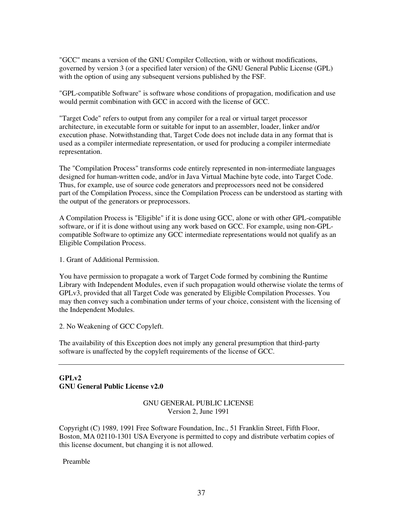"GCC" means a version of the GNU Compiler Collection, with or without modifications, governed by version 3 (or a specified later version) of the GNU General Public License (GPL) with the option of using any subsequent versions published by the FSF.

"GPL-compatible Software" is software whose conditions of propagation, modification and use would permit combination with GCC in accord with the license of GCC.

"Target Code" refers to output from any compiler for a real or virtual target processor architecture, in executable form or suitable for input to an assembler, loader, linker and/or execution phase. Notwithstanding that, Target Code does not include data in any format that is used as a compiler intermediate representation, or used for producing a compiler intermediate representation.

The "Compilation Process" transforms code entirely represented in non-intermediate languages designed for human-written code, and/or in Java Virtual Machine byte code, into Target Code. Thus, for example, use of source code generators and preprocessors need not be considered part of the Compilation Process, since the Compilation Process can be understood as starting with the output of the generators or preprocessors.

A Compilation Process is "Eligible" if it is done using GCC, alone or with other GPL-compatible software, or if it is done without using any work based on GCC. For example, using non-GPLcompatible Software to optimize any GCC intermediate representations would not qualify as an Eligible Compilation Process.

1. Grant of Additional Permission.

You have permission to propagate a work of Target Code formed by combining the Runtime Library with Independent Modules, even if such propagation would otherwise violate the terms of GPLv3, provided that all Target Code was generated by Eligible Compilation Processes. You may then convey such a combination under terms of your choice, consistent with the licensing of the Independent Modules.

2. No Weakening of GCC Copyleft.

The availability of this Exception does not imply any general presumption that third-party software is unaffected by the copyleft requirements of the license of GCC.

# **GPLv2 GNU General Public License v2.0**

GNU GENERAL PUBLIC LICENSE Version 2, June 1991

Copyright (C) 1989, 1991 Free Software Foundation, Inc., 51 Franklin Street, Fifth Floor, Boston, MA 02110-1301 USA Everyone is permitted to copy and distribute verbatim copies of this license document, but changing it is not allowed.

Preamble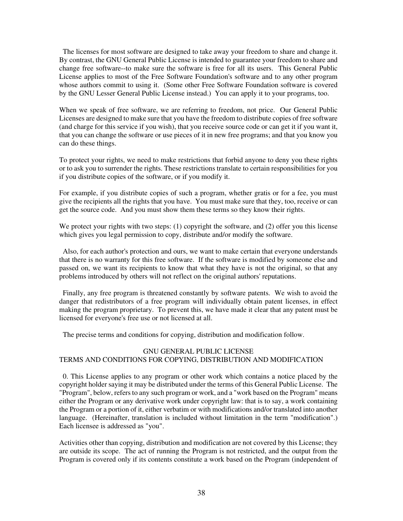The licenses for most software are designed to take away your freedom to share and change it. By contrast, the GNU General Public License is intended to guarantee your freedom to share and change free software--to make sure the software is free for all its users. This General Public License applies to most of the Free Software Foundation's software and to any other program whose authors commit to using it. (Some other Free Software Foundation software is covered by the GNU Lesser General Public License instead.) You can apply it to your programs, too.

When we speak of free software, we are referring to freedom, not price. Our General Public Licenses are designed to make sure that you have the freedom to distribute copies of free software (and charge for this service if you wish), that you receive source code or can get it if you want it, that you can change the software or use pieces of it in new free programs; and that you know you can do these things.

To protect your rights, we need to make restrictions that forbid anyone to deny you these rights or to ask you to surrender the rights. These restrictions translate to certain responsibilities for you if you distribute copies of the software, or if you modify it.

For example, if you distribute copies of such a program, whether gratis or for a fee, you must give the recipients all the rights that you have. You must make sure that they, too, receive or can get the source code. And you must show them these terms so they know their rights.

We protect your rights with two steps: (1) copyright the software, and (2) offer you this license which gives you legal permission to copy, distribute and/or modify the software.

 Also, for each author's protection and ours, we want to make certain that everyone understands that there is no warranty for this free software. If the software is modified by someone else and passed on, we want its recipients to know that what they have is not the original, so that any problems introduced by others will not reflect on the original authors' reputations.

 Finally, any free program is threatened constantly by software patents. We wish to avoid the danger that redistributors of a free program will individually obtain patent licenses, in effect making the program proprietary. To prevent this, we have made it clear that any patent must be licensed for everyone's free use or not licensed at all.

The precise terms and conditions for copying, distribution and modification follow.

## GNU GENERAL PUBLIC LICENSE TERMS AND CONDITIONS FOR COPYING, DISTRIBUTION AND MODIFICATION

 0. This License applies to any program or other work which contains a notice placed by the copyright holder saying it may be distributed under the terms of this General Public License. The "Program", below, refers to any such program or work, and a "work based on the Program" means either the Program or any derivative work under copyright law: that is to say, a work containing the Program or a portion of it, either verbatim or with modifications and/or translated into another language. (Hereinafter, translation is included without limitation in the term "modification".) Each licensee is addressed as "you".

Activities other than copying, distribution and modification are not covered by this License; they are outside its scope. The act of running the Program is not restricted, and the output from the Program is covered only if its contents constitute a work based on the Program (independent of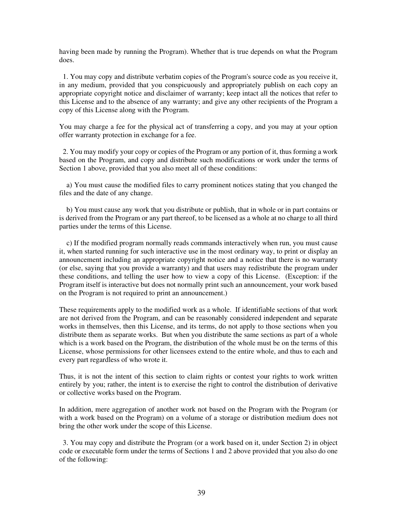having been made by running the Program). Whether that is true depends on what the Program does.

 1. You may copy and distribute verbatim copies of the Program's source code as you receive it, in any medium, provided that you conspicuously and appropriately publish on each copy an appropriate copyright notice and disclaimer of warranty; keep intact all the notices that refer to this License and to the absence of any warranty; and give any other recipients of the Program a copy of this License along with the Program.

You may charge a fee for the physical act of transferring a copy, and you may at your option offer warranty protection in exchange for a fee.

 2. You may modify your copy or copies of the Program or any portion of it, thus forming a work based on the Program, and copy and distribute such modifications or work under the terms of Section 1 above, provided that you also meet all of these conditions:

 a) You must cause the modified files to carry prominent notices stating that you changed the files and the date of any change.

 b) You must cause any work that you distribute or publish, that in whole or in part contains or is derived from the Program or any part thereof, to be licensed as a whole at no charge to all third parties under the terms of this License.

 c) If the modified program normally reads commands interactively when run, you must cause it, when started running for such interactive use in the most ordinary way, to print or display an announcement including an appropriate copyright notice and a notice that there is no warranty (or else, saying that you provide a warranty) and that users may redistribute the program under these conditions, and telling the user how to view a copy of this License. (Exception: if the Program itself is interactive but does not normally print such an announcement, your work based on the Program is not required to print an announcement.)

These requirements apply to the modified work as a whole. If identifiable sections of that work are not derived from the Program, and can be reasonably considered independent and separate works in themselves, then this License, and its terms, do not apply to those sections when you distribute them as separate works. But when you distribute the same sections as part of a whole which is a work based on the Program, the distribution of the whole must be on the terms of this License, whose permissions for other licensees extend to the entire whole, and thus to each and every part regardless of who wrote it.

Thus, it is not the intent of this section to claim rights or contest your rights to work written entirely by you; rather, the intent is to exercise the right to control the distribution of derivative or collective works based on the Program.

In addition, mere aggregation of another work not based on the Program with the Program (or with a work based on the Program) on a volume of a storage or distribution medium does not bring the other work under the scope of this License.

 3. You may copy and distribute the Program (or a work based on it, under Section 2) in object code or executable form under the terms of Sections 1 and 2 above provided that you also do one of the following: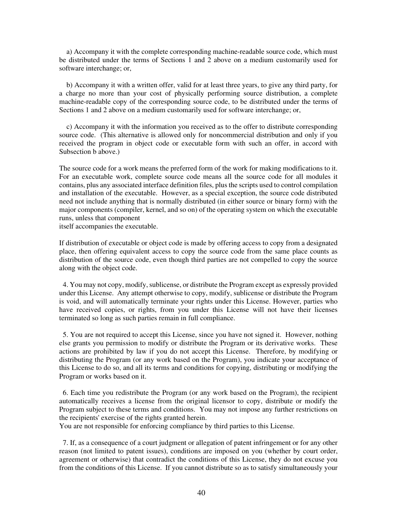a) Accompany it with the complete corresponding machine-readable source code, which must be distributed under the terms of Sections 1 and 2 above on a medium customarily used for software interchange; or,

 b) Accompany it with a written offer, valid for at least three years, to give any third party, for a charge no more than your cost of physically performing source distribution, a complete machine-readable copy of the corresponding source code, to be distributed under the terms of Sections 1 and 2 above on a medium customarily used for software interchange; or,

 c) Accompany it with the information you received as to the offer to distribute corresponding source code. (This alternative is allowed only for noncommercial distribution and only if you received the program in object code or executable form with such an offer, in accord with Subsection b above.)

The source code for a work means the preferred form of the work for making modifications to it. For an executable work, complete source code means all the source code for all modules it contains, plus any associated interface definition files, plus the scripts used to control compilation and installation of the executable. However, as a special exception, the source code distributed need not include anything that is normally distributed (in either source or binary form) with the major components (compiler, kernel, and so on) of the operating system on which the executable runs, unless that component

itself accompanies the executable.

If distribution of executable or object code is made by offering access to copy from a designated place, then offering equivalent access to copy the source code from the same place counts as distribution of the source code, even though third parties are not compelled to copy the source along with the object code.

 4. You may not copy, modify, sublicense, or distribute the Program except as expressly provided under this License. Any attempt otherwise to copy, modify, sublicense or distribute the Program is void, and will automatically terminate your rights under this License. However, parties who have received copies, or rights, from you under this License will not have their licenses terminated so long as such parties remain in full compliance.

 5. You are not required to accept this License, since you have not signed it. However, nothing else grants you permission to modify or distribute the Program or its derivative works. These actions are prohibited by law if you do not accept this License. Therefore, by modifying or distributing the Program (or any work based on the Program), you indicate your acceptance of this License to do so, and all its terms and conditions for copying, distributing or modifying the Program or works based on it.

 6. Each time you redistribute the Program (or any work based on the Program), the recipient automatically receives a license from the original licensor to copy, distribute or modify the Program subject to these terms and conditions. You may not impose any further restrictions on the recipients' exercise of the rights granted herein.

You are not responsible for enforcing compliance by third parties to this License.

 7. If, as a consequence of a court judgment or allegation of patent infringement or for any other reason (not limited to patent issues), conditions are imposed on you (whether by court order, agreement or otherwise) that contradict the conditions of this License, they do not excuse you from the conditions of this License. If you cannot distribute so as to satisfy simultaneously your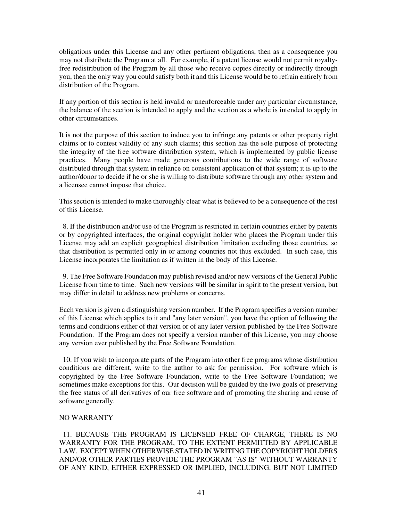obligations under this License and any other pertinent obligations, then as a consequence you may not distribute the Program at all. For example, if a patent license would not permit royaltyfree redistribution of the Program by all those who receive copies directly or indirectly through you, then the only way you could satisfy both it and this License would be to refrain entirely from distribution of the Program.

If any portion of this section is held invalid or unenforceable under any particular circumstance, the balance of the section is intended to apply and the section as a whole is intended to apply in other circumstances.

It is not the purpose of this section to induce you to infringe any patents or other property right claims or to contest validity of any such claims; this section has the sole purpose of protecting the integrity of the free software distribution system, which is implemented by public license practices. Many people have made generous contributions to the wide range of software distributed through that system in reliance on consistent application of that system; it is up to the author/donor to decide if he or she is willing to distribute software through any other system and a licensee cannot impose that choice.

This section is intended to make thoroughly clear what is believed to be a consequence of the rest of this License.

 8. If the distribution and/or use of the Program is restricted in certain countries either by patents or by copyrighted interfaces, the original copyright holder who places the Program under this License may add an explicit geographical distribution limitation excluding those countries, so that distribution is permitted only in or among countries not thus excluded. In such case, this License incorporates the limitation as if written in the body of this License.

 9. The Free Software Foundation may publish revised and/or new versions of the General Public License from time to time. Such new versions will be similar in spirit to the present version, but may differ in detail to address new problems or concerns.

Each version is given a distinguishing version number. If the Program specifies a version number of this License which applies to it and "any later version", you have the option of following the terms and conditions either of that version or of any later version published by the Free Software Foundation. If the Program does not specify a version number of this License, you may choose any version ever published by the Free Software Foundation.

 10. If you wish to incorporate parts of the Program into other free programs whose distribution conditions are different, write to the author to ask for permission. For software which is copyrighted by the Free Software Foundation, write to the Free Software Foundation; we sometimes make exceptions for this. Our decision will be guided by the two goals of preserving the free status of all derivatives of our free software and of promoting the sharing and reuse of software generally.

## NO WARRANTY

 11. BECAUSE THE PROGRAM IS LICENSED FREE OF CHARGE, THERE IS NO WARRANTY FOR THE PROGRAM, TO THE EXTENT PERMITTED BY APPLICABLE LAW. EXCEPT WHEN OTHERWISE STATED IN WRITING THE COPYRIGHT HOLDERS AND/OR OTHER PARTIES PROVIDE THE PROGRAM "AS IS" WITHOUT WARRANTY OF ANY KIND, EITHER EXPRESSED OR IMPLIED, INCLUDING, BUT NOT LIMITED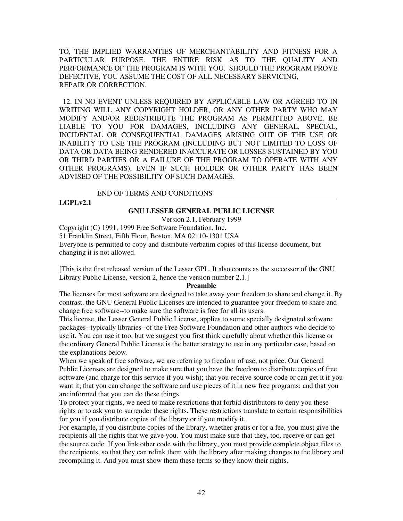TO, THE IMPLIED WARRANTIES OF MERCHANTABILITY AND FITNESS FOR A PARTICULAR PURPOSE. THE ENTIRE RISK AS TO THE QUALITY AND PERFORMANCE OF THE PROGRAM IS WITH YOU. SHOULD THE PROGRAM PROVE DEFECTIVE, YOU ASSUME THE COST OF ALL NECESSARY SERVICING, REPAIR OR CORRECTION.

 12. IN NO EVENT UNLESS REQUIRED BY APPLICABLE LAW OR AGREED TO IN WRITING WILL ANY COPYRIGHT HOLDER, OR ANY OTHER PARTY WHO MAY MODIFY AND/OR REDISTRIBUTE THE PROGRAM AS PERMITTED ABOVE, BE LIABLE TO YOU FOR DAMAGES, INCLUDING ANY GENERAL, SPECIAL, INCIDENTAL OR CONSEQUENTIAL DAMAGES ARISING OUT OF THE USE OR INABILITY TO USE THE PROGRAM (INCLUDING BUT NOT LIMITED TO LOSS OF DATA OR DATA BEING RENDERED INACCURATE OR LOSSES SUSTAINED BY YOU OR THIRD PARTIES OR A FAILURE OF THE PROGRAM TO OPERATE WITH ANY OTHER PROGRAMS), EVEN IF SUCH HOLDER OR OTHER PARTY HAS BEEN ADVISED OF THE POSSIBILITY OF SUCH DAMAGES.

#### END OF TERMS AND CONDITIONS

#### **LGPLv2.1**

#### **GNU LESSER GENERAL PUBLIC LICENSE**

Version 2.1, February 1999

Copyright (C) 1991, 1999 Free Software Foundation, Inc.

51 Franklin Street, Fifth Floor, Boston, MA 02110-1301 USA

Everyone is permitted to copy and distribute verbatim copies of this license document, but changing it is not allowed.

[This is the first released version of the Lesser GPL. It also counts as the successor of the GNU Library Public License, version 2, hence the version number 2.1.]

#### **Preamble**

The licenses for most software are designed to take away your freedom to share and change it. By contrast, the GNU General Public Licenses are intended to guarantee your freedom to share and change free software--to make sure the software is free for all its users.

This license, the Lesser General Public License, applies to some specially designated software packages--typically libraries--of the Free Software Foundation and other authors who decide to use it. You can use it too, but we suggest you first think carefully about whether this license or the ordinary General Public License is the better strategy to use in any particular case, based on the explanations below.

When we speak of free software, we are referring to freedom of use, not price. Our General Public Licenses are designed to make sure that you have the freedom to distribute copies of free software (and charge for this service if you wish); that you receive source code or can get it if you want it; that you can change the software and use pieces of it in new free programs; and that you are informed that you can do these things.

To protect your rights, we need to make restrictions that forbid distributors to deny you these rights or to ask you to surrender these rights. These restrictions translate to certain responsibilities for you if you distribute copies of the library or if you modify it.

For example, if you distribute copies of the library, whether gratis or for a fee, you must give the recipients all the rights that we gave you. You must make sure that they, too, receive or can get the source code. If you link other code with the library, you must provide complete object files to the recipients, so that they can relink them with the library after making changes to the library and recompiling it. And you must show them these terms so they know their rights.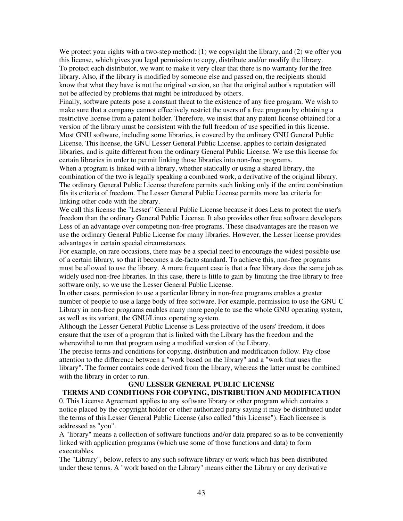We protect your rights with a two-step method: (1) we copyright the library, and (2) we offer you this license, which gives you legal permission to copy, distribute and/or modify the library. To protect each distributor, we want to make it very clear that there is no warranty for the free library. Also, if the library is modified by someone else and passed on, the recipients should know that what they have is not the original version, so that the original author's reputation will not be affected by problems that might be introduced by others.

Finally, software patents pose a constant threat to the existence of any free program. We wish to make sure that a company cannot effectively restrict the users of a free program by obtaining a restrictive license from a patent holder. Therefore, we insist that any patent license obtained for a version of the library must be consistent with the full freedom of use specified in this license. Most GNU software, including some libraries, is covered by the ordinary GNU General Public License. This license, the GNU Lesser General Public License, applies to certain designated libraries, and is quite different from the ordinary General Public License. We use this license for certain libraries in order to permit linking those libraries into non-free programs.

When a program is linked with a library, whether statically or using a shared library, the combination of the two is legally speaking a combined work, a derivative of the original library. The ordinary General Public License therefore permits such linking only if the entire combination fits its criteria of freedom. The Lesser General Public License permits more lax criteria for linking other code with the library.

We call this license the "Lesser" General Public License because it does Less to protect the user's freedom than the ordinary General Public License. It also provides other free software developers Less of an advantage over competing non-free programs. These disadvantages are the reason we use the ordinary General Public License for many libraries. However, the Lesser license provides advantages in certain special circumstances.

For example, on rare occasions, there may be a special need to encourage the widest possible use of a certain library, so that it becomes a de-facto standard. To achieve this, non-free programs must be allowed to use the library. A more frequent case is that a free library does the same job as widely used non-free libraries. In this case, there is little to gain by limiting the free library to free software only, so we use the Lesser General Public License.

In other cases, permission to use a particular library in non-free programs enables a greater number of people to use a large body of free software. For example, permission to use the GNU C Library in non-free programs enables many more people to use the whole GNU operating system, as well as its variant, the GNU/Linux operating system.

Although the Lesser General Public License is Less protective of the users' freedom, it does ensure that the user of a program that is linked with the Library has the freedom and the wherewithal to run that program using a modified version of the Library.

The precise terms and conditions for copying, distribution and modification follow. Pay close attention to the difference between a "work based on the library" and a "work that uses the library". The former contains code derived from the library, whereas the latter must be combined with the library in order to run.

#### **GNU LESSER GENERAL PUBLIC LICENSE**

## **TERMS AND CONDITIONS FOR COPYING, DISTRIBUTION AND MODIFICATION**

0. This License Agreement applies to any software library or other program which contains a notice placed by the copyright holder or other authorized party saying it may be distributed under the terms of this Lesser General Public License (also called "this License"). Each licensee is addressed as "you".

A "library" means a collection of software functions and/or data prepared so as to be conveniently linked with application programs (which use some of those functions and data) to form executables.

The "Library", below, refers to any such software library or work which has been distributed under these terms. A "work based on the Library" means either the Library or any derivative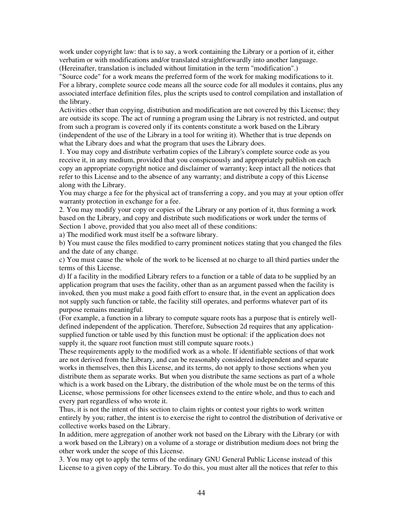work under copyright law: that is to say, a work containing the Library or a portion of it, either verbatim or with modifications and/or translated straightforwardly into another language. (Hereinafter, translation is included without limitation in the term "modification".)

"Source code" for a work means the preferred form of the work for making modifications to it. For a library, complete source code means all the source code for all modules it contains, plus any associated interface definition files, plus the scripts used to control compilation and installation of the library.

Activities other than copying, distribution and modification are not covered by this License; they are outside its scope. The act of running a program using the Library is not restricted, and output from such a program is covered only if its contents constitute a work based on the Library (independent of the use of the Library in a tool for writing it). Whether that is true depends on what the Library does and what the program that uses the Library does.

1. You may copy and distribute verbatim copies of the Library's complete source code as you receive it, in any medium, provided that you conspicuously and appropriately publish on each copy an appropriate copyright notice and disclaimer of warranty; keep intact all the notices that refer to this License and to the absence of any warranty; and distribute a copy of this License along with the Library.

You may charge a fee for the physical act of transferring a copy, and you may at your option offer warranty protection in exchange for a fee.

2. You may modify your copy or copies of the Library or any portion of it, thus forming a work based on the Library, and copy and distribute such modifications or work under the terms of Section 1 above, provided that you also meet all of these conditions:

a) The modified work must itself be a software library.

b) You must cause the files modified to carry prominent notices stating that you changed the files and the date of any change.

c) You must cause the whole of the work to be licensed at no charge to all third parties under the terms of this License.

d) If a facility in the modified Library refers to a function or a table of data to be supplied by an application program that uses the facility, other than as an argument passed when the facility is invoked, then you must make a good faith effort to ensure that, in the event an application does not supply such function or table, the facility still operates, and performs whatever part of its purpose remains meaningful.

(For example, a function in a library to compute square roots has a purpose that is entirely welldefined independent of the application. Therefore, Subsection 2d requires that any applicationsupplied function or table used by this function must be optional: if the application does not supply it, the square root function must still compute square roots.)

These requirements apply to the modified work as a whole. If identifiable sections of that work are not derived from the Library, and can be reasonably considered independent and separate works in themselves, then this License, and its terms, do not apply to those sections when you distribute them as separate works. But when you distribute the same sections as part of a whole which is a work based on the Library, the distribution of the whole must be on the terms of this License, whose permissions for other licensees extend to the entire whole, and thus to each and every part regardless of who wrote it.

Thus, it is not the intent of this section to claim rights or contest your rights to work written entirely by you; rather, the intent is to exercise the right to control the distribution of derivative or collective works based on the Library.

In addition, mere aggregation of another work not based on the Library with the Library (or with a work based on the Library) on a volume of a storage or distribution medium does not bring the other work under the scope of this License.

3. You may opt to apply the terms of the ordinary GNU General Public License instead of this License to a given copy of the Library. To do this, you must alter all the notices that refer to this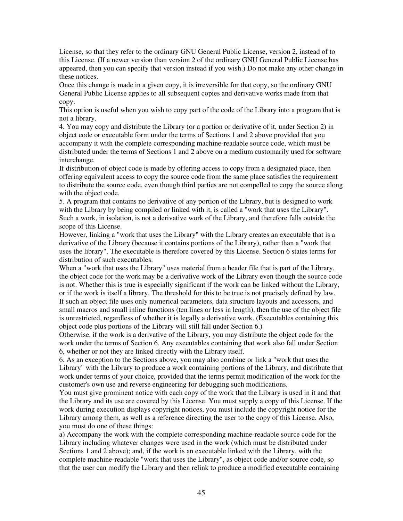License, so that they refer to the ordinary GNU General Public License, version 2, instead of to this License. (If a newer version than version 2 of the ordinary GNU General Public License has appeared, then you can specify that version instead if you wish.) Do not make any other change in these notices.

Once this change is made in a given copy, it is irreversible for that copy, so the ordinary GNU General Public License applies to all subsequent copies and derivative works made from that copy.

This option is useful when you wish to copy part of the code of the Library into a program that is not a library.

4. You may copy and distribute the Library (or a portion or derivative of it, under Section 2) in object code or executable form under the terms of Sections 1 and 2 above provided that you accompany it with the complete corresponding machine-readable source code, which must be distributed under the terms of Sections 1 and 2 above on a medium customarily used for software interchange.

If distribution of object code is made by offering access to copy from a designated place, then offering equivalent access to copy the source code from the same place satisfies the requirement to distribute the source code, even though third parties are not compelled to copy the source along with the object code.

5. A program that contains no derivative of any portion of the Library, but is designed to work with the Library by being compiled or linked with it, is called a "work that uses the Library". Such a work, in isolation, is not a derivative work of the Library, and therefore falls outside the scope of this License.

However, linking a "work that uses the Library" with the Library creates an executable that is a derivative of the Library (because it contains portions of the Library), rather than a "work that uses the library". The executable is therefore covered by this License. Section 6 states terms for distribution of such executables.

When a "work that uses the Library" uses material from a header file that is part of the Library, the object code for the work may be a derivative work of the Library even though the source code is not. Whether this is true is especially significant if the work can be linked without the Library, or if the work is itself a library. The threshold for this to be true is not precisely defined by law. If such an object file uses only numerical parameters, data structure layouts and accessors, and small macros and small inline functions (ten lines or less in length), then the use of the object file is unrestricted, regardless of whether it is legally a derivative work. (Executables containing this object code plus portions of the Library will still fall under Section 6.)

Otherwise, if the work is a derivative of the Library, you may distribute the object code for the work under the terms of Section 6. Any executables containing that work also fall under Section 6, whether or not they are linked directly with the Library itself.

6. As an exception to the Sections above, you may also combine or link a "work that uses the Library" with the Library to produce a work containing portions of the Library, and distribute that work under terms of your choice, provided that the terms permit modification of the work for the customer's own use and reverse engineering for debugging such modifications.

You must give prominent notice with each copy of the work that the Library is used in it and that the Library and its use are covered by this License. You must supply a copy of this License. If the work during execution displays copyright notices, you must include the copyright notice for the Library among them, as well as a reference directing the user to the copy of this License. Also, you must do one of these things:

a) Accompany the work with the complete corresponding machine-readable source code for the Library including whatever changes were used in the work (which must be distributed under Sections 1 and 2 above); and, if the work is an executable linked with the Library, with the complete machine-readable "work that uses the Library", as object code and/or source code, so that the user can modify the Library and then relink to produce a modified executable containing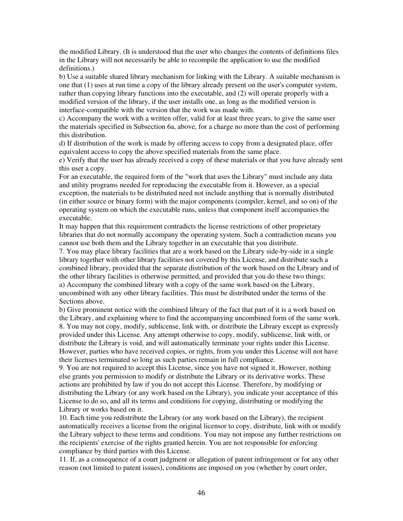the modified Library. (It is understood that the user who changes the contents of definitions files in the Library will not necessarily be able to recompile the application to use the modified definitions.)

b) Use a suitable shared library mechanism for linking with the Library. A suitable mechanism is one that (1) uses at run time a copy of the library already present on the user's computer system, rather than copying library functions into the executable, and (2) will operate properly with a modified version of the library, if the user installs one, as long as the modified version is interface-compatible with the version that the work was made with.

c) Accompany the work with a written offer, valid for at least three years, to give the same user the materials specified in Subsection 6a, above, for a charge no more than the cost of performing this distribution.

d) If distribution of the work is made by offering access to copy from a designated place, offer equivalent access to copy the above specified materials from the same place.

e) Verify that the user has already received a copy of these materials or that you have already sent this user a copy.

For an executable, the required form of the "work that uses the Library" must include any data and utility programs needed for reproducing the executable from it. However, as a special exception, the materials to be distributed need not include anything that is normally distributed (in either source or binary form) with the major components (compiler, kernel, and so on) of the operating system on which the executable runs, unless that component itself accompanies the executable.

It may happen that this requirement contradicts the license restrictions of other proprietary libraries that do not normally accompany the operating system. Such a contradiction means you cannot use both them and the Library together in an executable that you distribute.

7. You may place library facilities that are a work based on the Library side-by-side in a single library together with other library facilities not covered by this License, and distribute such a combined library, provided that the separate distribution of the work based on the Library and of the other library facilities is otherwise permitted, and provided that you do these two things: a) Accompany the combined library with a copy of the same work based on the Library, uncombined with any other library facilities. This must be distributed under the terms of the Sections above.

b) Give prominent notice with the combined library of the fact that part of it is a work based on the Library, and explaining where to find the accompanying uncombined form of the same work. 8. You may not copy, modify, sublicense, link with, or distribute the Library except as expressly provided under this License. Any attempt otherwise to copy, modify, sublicense, link with, or distribute the Library is void, and will automatically terminate your rights under this License. However, parties who have received copies, or rights, from you under this License will not have their licenses terminated so long as such parties remain in full compliance.

9. You are not required to accept this License, since you have not signed it. However, nothing else grants you permission to modify or distribute the Library or its derivative works. These actions are prohibited by law if you do not accept this License. Therefore, by modifying or distributing the Library (or any work based on the Library), you indicate your acceptance of this License to do so, and all its terms and conditions for copying, distributing or modifying the Library or works based on it.

10. Each time you redistribute the Library (or any work based on the Library), the recipient automatically receives a license from the original licensor to copy, distribute, link with or modify the Library subject to these terms and conditions. You may not impose any further restrictions on the recipients' exercise of the rights granted herein. You are not responsible for enforcing compliance by third parties with this License.

11. If, as a consequence of a court judgment or allegation of patent infringement or for any other reason (not limited to patent issues), conditions are imposed on you (whether by court order,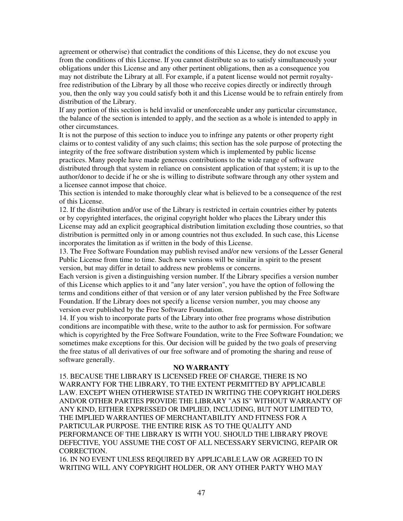agreement or otherwise) that contradict the conditions of this License, they do not excuse you from the conditions of this License. If you cannot distribute so as to satisfy simultaneously your obligations under this License and any other pertinent obligations, then as a consequence you may not distribute the Library at all. For example, if a patent license would not permit royaltyfree redistribution of the Library by all those who receive copies directly or indirectly through you, then the only way you could satisfy both it and this License would be to refrain entirely from distribution of the Library.

If any portion of this section is held invalid or unenforceable under any particular circumstance, the balance of the section is intended to apply, and the section as a whole is intended to apply in other circumstances.

It is not the purpose of this section to induce you to infringe any patents or other property right claims or to contest validity of any such claims; this section has the sole purpose of protecting the integrity of the free software distribution system which is implemented by public license practices. Many people have made generous contributions to the wide range of software distributed through that system in reliance on consistent application of that system; it is up to the author/donor to decide if he or she is willing to distribute software through any other system and a licensee cannot impose that choice.

This section is intended to make thoroughly clear what is believed to be a consequence of the rest of this License.

12. If the distribution and/or use of the Library is restricted in certain countries either by patents or by copyrighted interfaces, the original copyright holder who places the Library under this License may add an explicit geographical distribution limitation excluding those countries, so that distribution is permitted only in or among countries not thus excluded. In such case, this License incorporates the limitation as if written in the body of this License.

13. The Free Software Foundation may publish revised and/or new versions of the Lesser General Public License from time to time. Such new versions will be similar in spirit to the present version, but may differ in detail to address new problems or concerns.

Each version is given a distinguishing version number. If the Library specifies a version number of this License which applies to it and "any later version", you have the option of following the terms and conditions either of that version or of any later version published by the Free Software Foundation. If the Library does not specify a license version number, you may choose any version ever published by the Free Software Foundation.

14. If you wish to incorporate parts of the Library into other free programs whose distribution conditions are incompatible with these, write to the author to ask for permission. For software which is copyrighted by the Free Software Foundation, write to the Free Software Foundation; we sometimes make exceptions for this. Our decision will be guided by the two goals of preserving the free status of all derivatives of our free software and of promoting the sharing and reuse of software generally.

#### **NO WARRANTY**

15. BECAUSE THE LIBRARY IS LICENSED FREE OF CHARGE, THERE IS NO WARRANTY FOR THE LIBRARY, TO THE EXTENT PERMITTED BY APPLICABLE LAW. EXCEPT WHEN OTHERWISE STATED IN WRITING THE COPYRIGHT HOLDERS AND/OR OTHER PARTIES PROVIDE THE LIBRARY "AS IS" WITHOUT WARRANTY OF ANY KIND, EITHER EXPRESSED OR IMPLIED, INCLUDING, BUT NOT LIMITED TO, THE IMPLIED WARRANTIES OF MERCHANTABILITY AND FITNESS FOR A PARTICULAR PURPOSE. THE ENTIRE RISK AS TO THE QUALITY AND PERFORMANCE OF THE LIBRARY IS WITH YOU. SHOULD THE LIBRARY PROVE DEFECTIVE, YOU ASSUME THE COST OF ALL NECESSARY SERVICING, REPAIR OR CORRECTION.

16. IN NO EVENT UNLESS REQUIRED BY APPLICABLE LAW OR AGREED TO IN WRITING WILL ANY COPYRIGHT HOLDER, OR ANY OTHER PARTY WHO MAY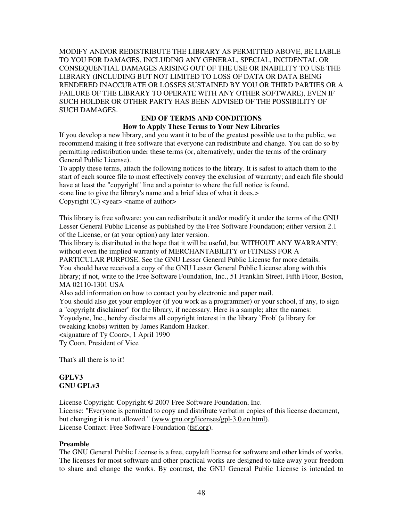MODIFY AND/OR REDISTRIBUTE THE LIBRARY AS PERMITTED ABOVE, BE LIABLE TO YOU FOR DAMAGES, INCLUDING ANY GENERAL, SPECIAL, INCIDENTAL OR CONSEQUENTIAL DAMAGES ARISING OUT OF THE USE OR INABILITY TO USE THE LIBRARY (INCLUDING BUT NOT LIMITED TO LOSS OF DATA OR DATA BEING RENDERED INACCURATE OR LOSSES SUSTAINED BY YOU OR THIRD PARTIES OR A FAILURE OF THE LIBRARY TO OPERATE WITH ANY OTHER SOFTWARE), EVEN IF SUCH HOLDER OR OTHER PARTY HAS BEEN ADVISED OF THE POSSIBILITY OF SUCH DAMAGES.

# **END OF TERMS AND CONDITIONS**

# **How to Apply These Terms to Your New Libraries**

If you develop a new library, and you want it to be of the greatest possible use to the public, we recommend making it free software that everyone can redistribute and change. You can do so by permitting redistribution under these terms (or, alternatively, under the terms of the ordinary General Public License).

To apply these terms, attach the following notices to the library. It is safest to attach them to the start of each source file to most effectively convey the exclusion of warranty; and each file should have at least the "copyright" line and a pointer to where the full notice is found. <one line to give the library's name and a brief idea of what it does.>

Copyright  $(C)$  <year > <name of author

This library is free software; you can redistribute it and/or modify it under the terms of the GNU Lesser General Public License as published by the Free Software Foundation; either version 2.1 of the License, or (at your option) any later version.

This library is distributed in the hope that it will be useful, but WITHOUT ANY WARRANTY; without even the implied warranty of MERCHANTABILITY or FITNESS FOR A

PARTICULAR PURPOSE. See the GNU Lesser General Public License for more details. You should have received a copy of the GNU Lesser General Public License along with this library; if not, write to the Free Software Foundation, Inc., 51 Franklin Street, Fifth Floor, Boston, MA 02110-1301 USA

Also add information on how to contact you by electronic and paper mail.

You should also get your employer (if you work as a programmer) or your school, if any, to sign a "copyright disclaimer" for the library, if necessary. Here is a sample; alter the names:

Yoyodyne, Inc., hereby disclaims all copyright interest in the library `Frob' (a library for tweaking knobs) written by James Random Hacker.

<signature of Ty Coon>, 1 April 1990

Ty Coon, President of Vice

That's all there is to it!

## **GPLV3 GNU GPLv3**

License Copyright: Copyright © 2007 Free Software Foundation, Inc. License: "Everyone is permitted to copy and distribute verbatim copies of this license document, but changing it is not allowed." (www.gnu.org/licenses/gpl-3.0.en.html). License Contact: Free Software Foundation (fsf.org).

# **Preamble**

The GNU General Public License is a free, copyleft license for software and other kinds of works. The licenses for most software and other practical works are designed to take away your freedom to share and change the works. By contrast, the GNU General Public License is intended to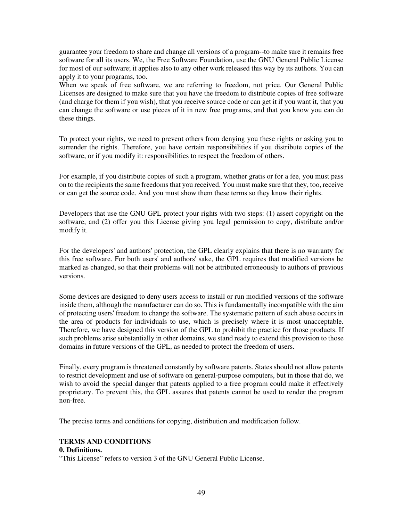guarantee your freedom to share and change all versions of a program--to make sure it remains free software for all its users. We, the Free Software Foundation, use the GNU General Public License for most of our software; it applies also to any other work released this way by its authors. You can apply it to your programs, too.

When we speak of free software, we are referring to freedom, not price. Our General Public Licenses are designed to make sure that you have the freedom to distribute copies of free software (and charge for them if you wish), that you receive source code or can get it if you want it, that you can change the software or use pieces of it in new free programs, and that you know you can do these things.

To protect your rights, we need to prevent others from denying you these rights or asking you to surrender the rights. Therefore, you have certain responsibilities if you distribute copies of the software, or if you modify it: responsibilities to respect the freedom of others.

For example, if you distribute copies of such a program, whether gratis or for a fee, you must pass on to the recipients the same freedoms that you received. You must make sure that they, too, receive or can get the source code. And you must show them these terms so they know their rights.

Developers that use the GNU GPL protect your rights with two steps: (1) assert copyright on the software, and (2) offer you this License giving you legal permission to copy, distribute and/or modify it.

For the developers' and authors' protection, the GPL clearly explains that there is no warranty for this free software. For both users' and authors' sake, the GPL requires that modified versions be marked as changed, so that their problems will not be attributed erroneously to authors of previous versions.

Some devices are designed to deny users access to install or run modified versions of the software inside them, although the manufacturer can do so. This is fundamentally incompatible with the aim of protecting users' freedom to change the software. The systematic pattern of such abuse occurs in the area of products for individuals to use, which is precisely where it is most unacceptable. Therefore, we have designed this version of the GPL to prohibit the practice for those products. If such problems arise substantially in other domains, we stand ready to extend this provision to those domains in future versions of the GPL, as needed to protect the freedom of users.

Finally, every program is threatened constantly by software patents. States should not allow patents to restrict development and use of software on general-purpose computers, but in those that do, we wish to avoid the special danger that patents applied to a free program could make it effectively proprietary. To prevent this, the GPL assures that patents cannot be used to render the program non-free.

The precise terms and conditions for copying, distribution and modification follow.

# **TERMS AND CONDITIONS**

## **0. Definitions.**

"This License" refers to version 3 of the GNU General Public License.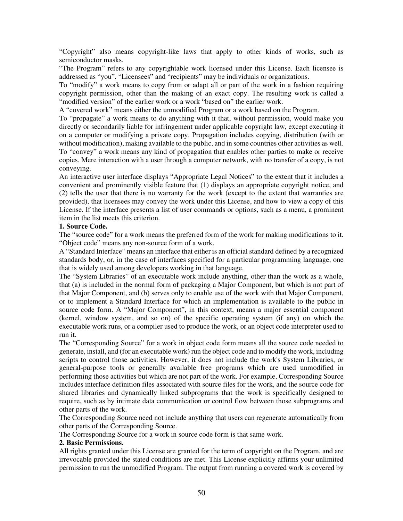"Copyright" also means copyright-like laws that apply to other kinds of works, such as semiconductor masks.

"The Program" refers to any copyrightable work licensed under this License. Each licensee is addressed as "you". "Licensees" and "recipients" may be individuals or organizations.

To "modify" a work means to copy from or adapt all or part of the work in a fashion requiring copyright permission, other than the making of an exact copy. The resulting work is called a "modified version" of the earlier work or a work "based on" the earlier work.

A "covered work" means either the unmodified Program or a work based on the Program.

To "propagate" a work means to do anything with it that, without permission, would make you directly or secondarily liable for infringement under applicable copyright law, except executing it on a computer or modifying a private copy. Propagation includes copying, distribution (with or without modification), making available to the public, and in some countries other activities as well. To "convey" a work means any kind of propagation that enables other parties to make or receive copies. Mere interaction with a user through a computer network, with no transfer of a copy, is not conveying.

An interactive user interface displays "Appropriate Legal Notices" to the extent that it includes a convenient and prominently visible feature that (1) displays an appropriate copyright notice, and (2) tells the user that there is no warranty for the work (except to the extent that warranties are provided), that licensees may convey the work under this License, and how to view a copy of this License. If the interface presents a list of user commands or options, such as a menu, a prominent item in the list meets this criterion.

## **1. Source Code.**

The "source code" for a work means the preferred form of the work for making modifications to it. "Object code" means any non-source form of a work.

A "Standard Interface" means an interface that either is an official standard defined by a recognized standards body, or, in the case of interfaces specified for a particular programming language, one that is widely used among developers working in that language.

The "System Libraries" of an executable work include anything, other than the work as a whole, that (a) is included in the normal form of packaging a Major Component, but which is not part of that Major Component, and (b) serves only to enable use of the work with that Major Component, or to implement a Standard Interface for which an implementation is available to the public in source code form. A "Major Component", in this context, means a major essential component (kernel, window system, and so on) of the specific operating system (if any) on which the executable work runs, or a compiler used to produce the work, or an object code interpreter used to run it.

The "Corresponding Source" for a work in object code form means all the source code needed to generate, install, and (for an executable work) run the object code and to modify the work, including scripts to control those activities. However, it does not include the work's System Libraries, or general-purpose tools or generally available free programs which are used unmodified in performing those activities but which are not part of the work. For example, Corresponding Source includes interface definition files associated with source files for the work, and the source code for shared libraries and dynamically linked subprograms that the work is specifically designed to require, such as by intimate data communication or control flow between those subprograms and other parts of the work.

The Corresponding Source need not include anything that users can regenerate automatically from other parts of the Corresponding Source.

The Corresponding Source for a work in source code form is that same work.

## **2. Basic Permissions.**

All rights granted under this License are granted for the term of copyright on the Program, and are irrevocable provided the stated conditions are met. This License explicitly affirms your unlimited permission to run the unmodified Program. The output from running a covered work is covered by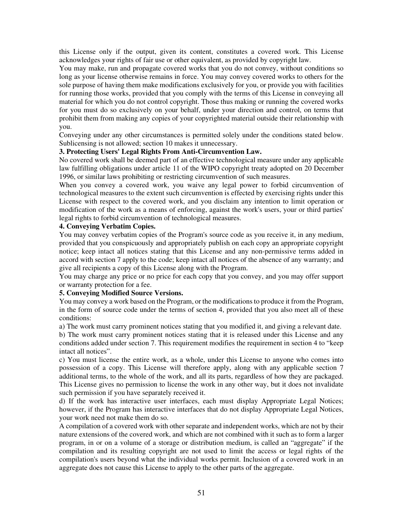this License only if the output, given its content, constitutes a covered work. This License acknowledges your rights of fair use or other equivalent, as provided by copyright law.

You may make, run and propagate covered works that you do not convey, without conditions so long as your license otherwise remains in force. You may convey covered works to others for the sole purpose of having them make modifications exclusively for you, or provide you with facilities for running those works, provided that you comply with the terms of this License in conveying all material for which you do not control copyright. Those thus making or running the covered works for you must do so exclusively on your behalf, under your direction and control, on terms that prohibit them from making any copies of your copyrighted material outside their relationship with you.

Conveying under any other circumstances is permitted solely under the conditions stated below. Sublicensing is not allowed; section 10 makes it unnecessary.

#### **3. Protecting Users' Legal Rights From Anti-Circumvention Law.**

No covered work shall be deemed part of an effective technological measure under any applicable law fulfilling obligations under article 11 of the WIPO copyright treaty adopted on 20 December 1996, or similar laws prohibiting or restricting circumvention of such measures.

When you convey a covered work, you waive any legal power to forbid circumvention of technological measures to the extent such circumvention is effected by exercising rights under this License with respect to the covered work, and you disclaim any intention to limit operation or modification of the work as a means of enforcing, against the work's users, your or third parties' legal rights to forbid circumvention of technological measures.

## **4. Conveying Verbatim Copies.**

You may convey verbatim copies of the Program's source code as you receive it, in any medium, provided that you conspicuously and appropriately publish on each copy an appropriate copyright notice; keep intact all notices stating that this License and any non-permissive terms added in accord with section 7 apply to the code; keep intact all notices of the absence of any warranty; and give all recipients a copy of this License along with the Program.

You may charge any price or no price for each copy that you convey, and you may offer support or warranty protection for a fee.

# **5. Conveying Modified Source Versions.**

You may convey a work based on the Program, or the modifications to produce it from the Program, in the form of source code under the terms of section 4, provided that you also meet all of these conditions:

a) The work must carry prominent notices stating that you modified it, and giving a relevant date.

b) The work must carry prominent notices stating that it is released under this License and any conditions added under section 7. This requirement modifies the requirement in section 4 to "keep intact all notices".

c) You must license the entire work, as a whole, under this License to anyone who comes into possession of a copy. This License will therefore apply, along with any applicable section 7 additional terms, to the whole of the work, and all its parts, regardless of how they are packaged. This License gives no permission to license the work in any other way, but it does not invalidate such permission if you have separately received it.

d) If the work has interactive user interfaces, each must display Appropriate Legal Notices; however, if the Program has interactive interfaces that do not display Appropriate Legal Notices, your work need not make them do so.

A compilation of a covered work with other separate and independent works, which are not by their nature extensions of the covered work, and which are not combined with it such as to form a larger program, in or on a volume of a storage or distribution medium, is called an "aggregate" if the compilation and its resulting copyright are not used to limit the access or legal rights of the compilation's users beyond what the individual works permit. Inclusion of a covered work in an aggregate does not cause this License to apply to the other parts of the aggregate.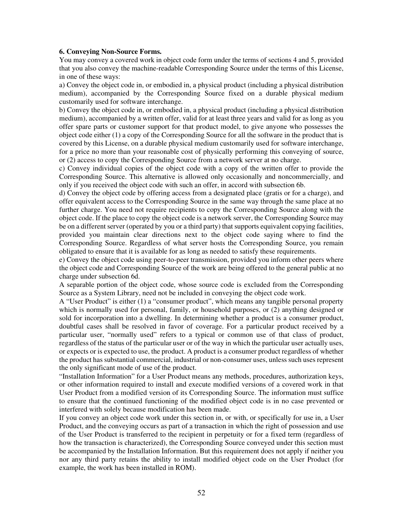#### **6. Conveying Non-Source Forms.**

You may convey a covered work in object code form under the terms of sections 4 and 5, provided that you also convey the machine-readable Corresponding Source under the terms of this License, in one of these ways:

a) Convey the object code in, or embodied in, a physical product (including a physical distribution medium), accompanied by the Corresponding Source fixed on a durable physical medium customarily used for software interchange.

b) Convey the object code in, or embodied in, a physical product (including a physical distribution medium), accompanied by a written offer, valid for at least three years and valid for as long as you offer spare parts or customer support for that product model, to give anyone who possesses the object code either (1) a copy of the Corresponding Source for all the software in the product that is covered by this License, on a durable physical medium customarily used for software interchange, for a price no more than your reasonable cost of physically performing this conveying of source, or (2) access to copy the Corresponding Source from a network server at no charge.

c) Convey individual copies of the object code with a copy of the written offer to provide the Corresponding Source. This alternative is allowed only occasionally and noncommercially, and only if you received the object code with such an offer, in accord with subsection 6b.

d) Convey the object code by offering access from a designated place (gratis or for a charge), and offer equivalent access to the Corresponding Source in the same way through the same place at no further charge. You need not require recipients to copy the Corresponding Source along with the object code. If the place to copy the object code is a network server, the Corresponding Source may be on a different server (operated by you or a third party) that supports equivalent copying facilities, provided you maintain clear directions next to the object code saying where to find the Corresponding Source. Regardless of what server hosts the Corresponding Source, you remain obligated to ensure that it is available for as long as needed to satisfy these requirements.

e) Convey the object code using peer-to-peer transmission, provided you inform other peers where the object code and Corresponding Source of the work are being offered to the general public at no charge under subsection 6d.

A separable portion of the object code, whose source code is excluded from the Corresponding Source as a System Library, need not be included in conveying the object code work.

A "User Product" is either (1) a "consumer product", which means any tangible personal property which is normally used for personal, family, or household purposes, or (2) anything designed or sold for incorporation into a dwelling. In determining whether a product is a consumer product, doubtful cases shall be resolved in favor of coverage. For a particular product received by a particular user, "normally used" refers to a typical or common use of that class of product, regardless of the status of the particular user or of the way in which the particular user actually uses, or expects or is expected to use, the product. A product is a consumer product regardless of whether the product has substantial commercial, industrial or non-consumer uses, unless such uses represent the only significant mode of use of the product.

"Installation Information" for a User Product means any methods, procedures, authorization keys, or other information required to install and execute modified versions of a covered work in that User Product from a modified version of its Corresponding Source. The information must suffice to ensure that the continued functioning of the modified object code is in no case prevented or interfered with solely because modification has been made.

If you convey an object code work under this section in, or with, or specifically for use in, a User Product, and the conveying occurs as part of a transaction in which the right of possession and use of the User Product is transferred to the recipient in perpetuity or for a fixed term (regardless of how the transaction is characterized), the Corresponding Source conveyed under this section must be accompanied by the Installation Information. But this requirement does not apply if neither you nor any third party retains the ability to install modified object code on the User Product (for example, the work has been installed in ROM).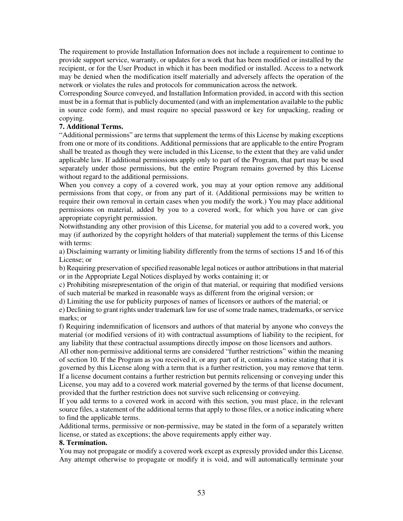The requirement to provide Installation Information does not include a requirement to continue to provide support service, warranty, or updates for a work that has been modified or installed by the recipient, or for the User Product in which it has been modified or installed. Access to a network may be denied when the modification itself materially and adversely affects the operation of the network or violates the rules and protocols for communication across the network.

Corresponding Source conveyed, and Installation Information provided, in accord with this section must be in a format that is publicly documented (and with an implementation available to the public in source code form), and must require no special password or key for unpacking, reading or copying.

## **7. Additional Terms.**

"Additional permissions" are terms that supplement the terms of this License by making exceptions from one or more of its conditions. Additional permissions that are applicable to the entire Program shall be treated as though they were included in this License, to the extent that they are valid under applicable law. If additional permissions apply only to part of the Program, that part may be used separately under those permissions, but the entire Program remains governed by this License without regard to the additional permissions.

When you convey a copy of a covered work, you may at your option remove any additional permissions from that copy, or from any part of it. (Additional permissions may be written to require their own removal in certain cases when you modify the work.) You may place additional permissions on material, added by you to a covered work, for which you have or can give appropriate copyright permission.

Notwithstanding any other provision of this License, for material you add to a covered work, you may (if authorized by the copyright holders of that material) supplement the terms of this License with terms:

a) Disclaiming warranty or limiting liability differently from the terms of sections 15 and 16 of this License; or

b) Requiring preservation of specified reasonable legal notices or author attributions in that material or in the Appropriate Legal Notices displayed by works containing it; or

c) Prohibiting misrepresentation of the origin of that material, or requiring that modified versions of such material be marked in reasonable ways as different from the original version; or

d) Limiting the use for publicity purposes of names of licensors or authors of the material; or

e) Declining to grant rights under trademark law for use of some trade names, trademarks, or service marks; or

f) Requiring indemnification of licensors and authors of that material by anyone who conveys the material (or modified versions of it) with contractual assumptions of liability to the recipient, for any liability that these contractual assumptions directly impose on those licensors and authors.

All other non-permissive additional terms are considered "further restrictions" within the meaning of section 10. If the Program as you received it, or any part of it, contains a notice stating that it is governed by this License along with a term that is a further restriction, you may remove that term. If a license document contains a further restriction but permits relicensing or conveying under this License, you may add to a covered work material governed by the terms of that license document, provided that the further restriction does not survive such relicensing or conveying.

If you add terms to a covered work in accord with this section, you must place, in the relevant source files, a statement of the additional terms that apply to those files, or a notice indicating where to find the applicable terms.

Additional terms, permissive or non-permissive, may be stated in the form of a separately written license, or stated as exceptions; the above requirements apply either way.

## **8. Termination.**

You may not propagate or modify a covered work except as expressly provided under this License. Any attempt otherwise to propagate or modify it is void, and will automatically terminate your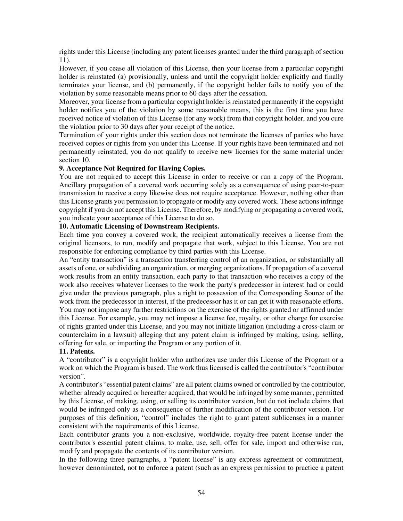rights under this License (including any patent licenses granted under the third paragraph of section 11).

However, if you cease all violation of this License, then your license from a particular copyright holder is reinstated (a) provisionally, unless and until the copyright holder explicitly and finally terminates your license, and (b) permanently, if the copyright holder fails to notify you of the violation by some reasonable means prior to 60 days after the cessation.

Moreover, your license from a particular copyright holder is reinstated permanently if the copyright holder notifies you of the violation by some reasonable means, this is the first time you have received notice of violation of this License (for any work) from that copyright holder, and you cure the violation prior to 30 days after your receipt of the notice.

Termination of your rights under this section does not terminate the licenses of parties who have received copies or rights from you under this License. If your rights have been terminated and not permanently reinstated, you do not qualify to receive new licenses for the same material under section 10.

## **9. Acceptance Not Required for Having Copies.**

You are not required to accept this License in order to receive or run a copy of the Program. Ancillary propagation of a covered work occurring solely as a consequence of using peer-to-peer transmission to receive a copy likewise does not require acceptance. However, nothing other than this License grants you permission to propagate or modify any covered work. These actions infringe copyright if you do not accept this License. Therefore, by modifying or propagating a covered work, you indicate your acceptance of this License to do so.

## **10. Automatic Licensing of Downstream Recipients.**

Each time you convey a covered work, the recipient automatically receives a license from the original licensors, to run, modify and propagate that work, subject to this License. You are not responsible for enforcing compliance by third parties with this License.

An "entity transaction" is a transaction transferring control of an organization, or substantially all assets of one, or subdividing an organization, or merging organizations. If propagation of a covered work results from an entity transaction, each party to that transaction who receives a copy of the work also receives whatever licenses to the work the party's predecessor in interest had or could give under the previous paragraph, plus a right to possession of the Corresponding Source of the work from the predecessor in interest, if the predecessor has it or can get it with reasonable efforts. You may not impose any further restrictions on the exercise of the rights granted or affirmed under this License. For example, you may not impose a license fee, royalty, or other charge for exercise of rights granted under this License, and you may not initiate litigation (including a cross-claim or counterclaim in a lawsuit) alleging that any patent claim is infringed by making, using, selling, offering for sale, or importing the Program or any portion of it.

# **11. Patents.**

A "contributor" is a copyright holder who authorizes use under this License of the Program or a work on which the Program is based. The work thus licensed is called the contributor's "contributor version".

A contributor's "essential patent claims" are all patent claims owned or controlled by the contributor, whether already acquired or hereafter acquired, that would be infringed by some manner, permitted by this License, of making, using, or selling its contributor version, but do not include claims that would be infringed only as a consequence of further modification of the contributor version. For purposes of this definition, "control" includes the right to grant patent sublicenses in a manner consistent with the requirements of this License.

Each contributor grants you a non-exclusive, worldwide, royalty-free patent license under the contributor's essential patent claims, to make, use, sell, offer for sale, import and otherwise run, modify and propagate the contents of its contributor version.

In the following three paragraphs, a "patent license" is any express agreement or commitment, however denominated, not to enforce a patent (such as an express permission to practice a patent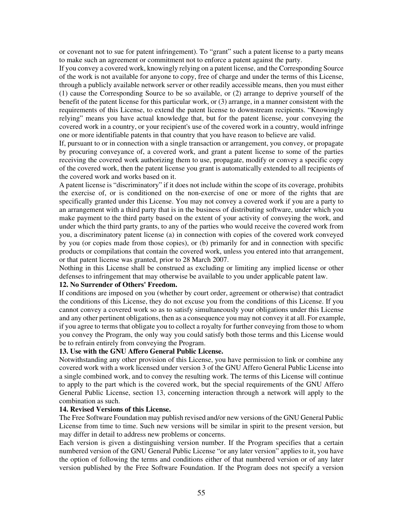or covenant not to sue for patent infringement). To "grant" such a patent license to a party means to make such an agreement or commitment not to enforce a patent against the party.

If you convey a covered work, knowingly relying on a patent license, and the Corresponding Source of the work is not available for anyone to copy, free of charge and under the terms of this License, through a publicly available network server or other readily accessible means, then you must either (1) cause the Corresponding Source to be so available, or (2) arrange to deprive yourself of the benefit of the patent license for this particular work, or (3) arrange, in a manner consistent with the requirements of this License, to extend the patent license to downstream recipients. "Knowingly relying" means you have actual knowledge that, but for the patent license, your conveying the covered work in a country, or your recipient's use of the covered work in a country, would infringe one or more identifiable patents in that country that you have reason to believe are valid.

If, pursuant to or in connection with a single transaction or arrangement, you convey, or propagate by procuring conveyance of, a covered work, and grant a patent license to some of the parties receiving the covered work authorizing them to use, propagate, modify or convey a specific copy of the covered work, then the patent license you grant is automatically extended to all recipients of the covered work and works based on it.

A patent license is "discriminatory" if it does not include within the scope of its coverage, prohibits the exercise of, or is conditioned on the non-exercise of one or more of the rights that are specifically granted under this License. You may not convey a covered work if you are a party to an arrangement with a third party that is in the business of distributing software, under which you make payment to the third party based on the extent of your activity of conveying the work, and under which the third party grants, to any of the parties who would receive the covered work from you, a discriminatory patent license (a) in connection with copies of the covered work conveyed by you (or copies made from those copies), or (b) primarily for and in connection with specific products or compilations that contain the covered work, unless you entered into that arrangement, or that patent license was granted, prior to 28 March 2007.

Nothing in this License shall be construed as excluding or limiting any implied license or other defenses to infringement that may otherwise be available to you under applicable patent law.

# **12. No Surrender of Others' Freedom.**

If conditions are imposed on you (whether by court order, agreement or otherwise) that contradict the conditions of this License, they do not excuse you from the conditions of this License. If you cannot convey a covered work so as to satisfy simultaneously your obligations under this License and any other pertinent obligations, then as a consequence you may not convey it at all. For example, if you agree to terms that obligate you to collect a royalty for further conveying from those to whom you convey the Program, the only way you could satisfy both those terms and this License would be to refrain entirely from conveying the Program.

#### **13. Use with the GNU Affero General Public License.**

Notwithstanding any other provision of this License, you have permission to link or combine any covered work with a work licensed under version 3 of the GNU Affero General Public License into a single combined work, and to convey the resulting work. The terms of this License will continue to apply to the part which is the covered work, but the special requirements of the GNU Affero General Public License, section 13, concerning interaction through a network will apply to the combination as such.

#### **14. Revised Versions of this License.**

The Free Software Foundation may publish revised and/or new versions of the GNU General Public License from time to time. Such new versions will be similar in spirit to the present version, but may differ in detail to address new problems or concerns.

Each version is given a distinguishing version number. If the Program specifies that a certain numbered version of the GNU General Public License "or any later version" applies to it, you have the option of following the terms and conditions either of that numbered version or of any later version published by the Free Software Foundation. If the Program does not specify a version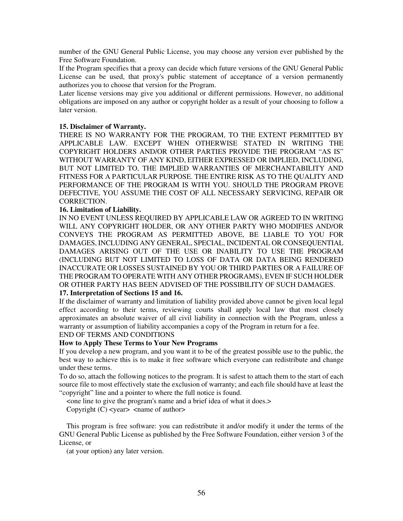number of the GNU General Public License, you may choose any version ever published by the Free Software Foundation.

If the Program specifies that a proxy can decide which future versions of the GNU General Public License can be used, that proxy's public statement of acceptance of a version permanently authorizes you to choose that version for the Program.

Later license versions may give you additional or different permissions. However, no additional obligations are imposed on any author or copyright holder as a result of your choosing to follow a later version.

#### **15. Disclaimer of Warranty.**

THERE IS NO WARRANTY FOR THE PROGRAM, TO THE EXTENT PERMITTED BY APPLICABLE LAW. EXCEPT WHEN OTHERWISE STATED IN WRITING THE COPYRIGHT HOLDERS AND/OR OTHER PARTIES PROVIDE THE PROGRAM "AS IS" WITHOUT WARRANTY OF ANY KIND, EITHER EXPRESSED OR IMPLIED, INCLUDING, BUT NOT LIMITED TO, THE IMPLIED WARRANTIES OF MERCHANTABILITY AND FITNESS FOR A PARTICULAR PURPOSE. THE ENTIRE RISK AS TO THE QUALITY AND PERFORMANCE OF THE PROGRAM IS WITH YOU. SHOULD THE PROGRAM PROVE DEFECTIVE, YOU ASSUME THE COST OF ALL NECESSARY SERVICING, REPAIR OR CORRECTION.

#### **16. Limitation of Liability.**

IN NO EVENT UNLESS REQUIRED BY APPLICABLE LAW OR AGREED TO IN WRITING WILL ANY COPYRIGHT HOLDER, OR ANY OTHER PARTY WHO MODIFIES AND/OR CONVEYS THE PROGRAM AS PERMITTED ABOVE, BE LIABLE TO YOU FOR DAMAGES, INCLUDING ANY GENERAL, SPECIAL, INCIDENTAL OR CONSEQUENTIAL DAMAGES ARISING OUT OF THE USE OR INABILITY TO USE THE PROGRAM (INCLUDING BUT NOT LIMITED TO LOSS OF DATA OR DATA BEING RENDERED INACCURATE OR LOSSES SUSTAINED BY YOU OR THIRD PARTIES OR A FAILURE OF THE PROGRAM TO OPERATE WITH ANY OTHER PROGRAMS), EVEN IF SUCH HOLDER OR OTHER PARTY HAS BEEN ADVISED OF THE POSSIBILITY OF SUCH DAMAGES.

# **17. Interpretation of Sections 15 and 16.**

If the disclaimer of warranty and limitation of liability provided above cannot be given local legal effect according to their terms, reviewing courts shall apply local law that most closely approximates an absolute waiver of all civil liability in connection with the Program, unless a warranty or assumption of liability accompanies a copy of the Program in return for a fee.

END OF TERMS AND CONDITIONS

## **How to Apply These Terms to Your New Programs**

If you develop a new program, and you want it to be of the greatest possible use to the public, the best way to achieve this is to make it free software which everyone can redistribute and change under these terms.

To do so, attach the following notices to the program. It is safest to attach them to the start of each source file to most effectively state the exclusion of warranty; and each file should have at least the "copyright" line and a pointer to where the full notice is found.

 <one line to give the program's name and a brief idea of what it does.> Copyright  $(C)$  <year > <name of author

 This program is free software: you can redistribute it and/or modify it under the terms of the GNU General Public License as published by the Free Software Foundation, either version 3 of the License, or

(at your option) any later version.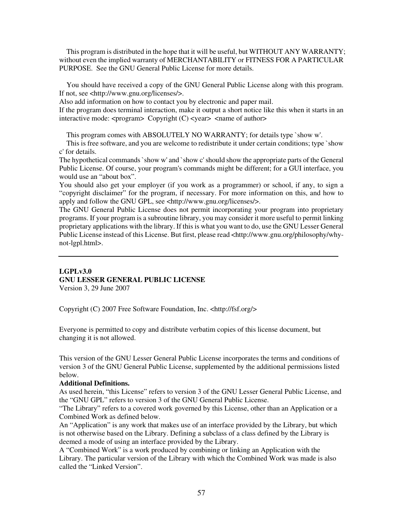This program is distributed in the hope that it will be useful, but WITHOUT ANY WARRANTY; without even the implied warranty of MERCHANTABILITY or FITNESS FOR A PARTICULAR PURPOSE. See the GNU General Public License for more details.

 You should have received a copy of the GNU General Public License along with this program. If not, see <http://www.gnu.org/licenses/>.

Also add information on how to contact you by electronic and paper mail.

If the program does terminal interaction, make it output a short notice like this when it starts in an interactive mode:  $<$ program $>$  Copyright (C)  $<$ year $>$   $<$ name of author $>$ 

This program comes with ABSOLUTELY NO WARRANTY; for details type `show w'.

 This is free software, and you are welcome to redistribute it under certain conditions; type `show c' for details.

The hypothetical commands `show w' and `show c' should show the appropriate parts of the General Public License. Of course, your program's commands might be different; for a GUI interface, you would use an "about box".

You should also get your employer (if you work as a programmer) or school, if any, to sign a "copyright disclaimer" for the program, if necessary. For more information on this, and how to apply and follow the GNU GPL, see <http://www.gnu.org/licenses/>.

The GNU General Public License does not permit incorporating your program into proprietary programs. If your program is a subroutine library, you may consider it more useful to permit linking proprietary applications with the library. If this is what you want to do, use the GNU Lesser General Public License instead of this License. But first, please read <http://www.gnu.org/philosophy/whynot-lgpl.html>.

#### **LGPLv3.0 GNU LESSER GENERAL PUBLIC LICENSE** Version 3, 29 June 2007

Copyright (C) 2007 Free Software Foundation, Inc. <http://fsf.org/>

Everyone is permitted to copy and distribute verbatim copies of this license document, but changing it is not allowed.

This version of the GNU Lesser General Public License incorporates the terms and conditions of version 3 of the GNU General Public License, supplemented by the additional permissions listed below.

## **Additional Definitions.**

As used herein, "this License" refers to version 3 of the GNU Lesser General Public License, and the "GNU GPL" refers to version 3 of the GNU General Public License.

"The Library" refers to a covered work governed by this License, other than an Application or a Combined Work as defined below.

An "Application" is any work that makes use of an interface provided by the Library, but which is not otherwise based on the Library. Defining a subclass of a class defined by the Library is deemed a mode of using an interface provided by the Library.

A "Combined Work" is a work produced by combining or linking an Application with the Library. The particular version of the Library with which the Combined Work was made is also called the "Linked Version".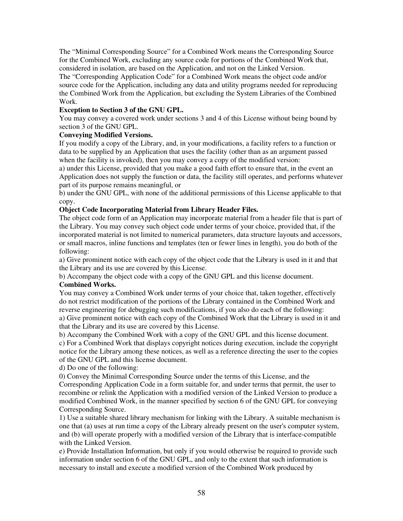The "Minimal Corresponding Source" for a Combined Work means the Corresponding Source for the Combined Work, excluding any source code for portions of the Combined Work that, considered in isolation, are based on the Application, and not on the Linked Version.

The "Corresponding Application Code" for a Combined Work means the object code and/or source code for the Application, including any data and utility programs needed for reproducing the Combined Work from the Application, but excluding the System Libraries of the Combined Work.

## **Exception to Section 3 of the GNU GPL.**

You may convey a covered work under sections 3 and 4 of this License without being bound by section 3 of the GNU GPL.

## **Conveying Modified Versions.**

If you modify a copy of the Library, and, in your modifications, a facility refers to a function or data to be supplied by an Application that uses the facility (other than as an argument passed when the facility is invoked), then you may convey a copy of the modified version:

a) under this License, provided that you make a good faith effort to ensure that, in the event an Application does not supply the function or data, the facility still operates, and performs whatever part of its purpose remains meaningful, or

b) under the GNU GPL, with none of the additional permissions of this License applicable to that copy.

# **Object Code Incorporating Material from Library Header Files.**

The object code form of an Application may incorporate material from a header file that is part of the Library. You may convey such object code under terms of your choice, provided that, if the incorporated material is not limited to numerical parameters, data structure layouts and accessors, or small macros, inline functions and templates (ten or fewer lines in length), you do both of the following:

a) Give prominent notice with each copy of the object code that the Library is used in it and that the Library and its use are covered by this License.

b) Accompany the object code with a copy of the GNU GPL and this license document. **Combined Works.**

## You may convey a Combined Work under terms of your choice that, taken together, effectively do not restrict modification of the portions of the Library contained in the Combined Work and reverse engineering for debugging such modifications, if you also do each of the following: a) Give prominent notice with each copy of the Combined Work that the Library is used in it and that the Library and its use are covered by this License.

b) Accompany the Combined Work with a copy of the GNU GPL and this license document.

c) For a Combined Work that displays copyright notices during execution, include the copyright notice for the Library among these notices, as well as a reference directing the user to the copies of the GNU GPL and this license document.

d) Do one of the following:

0) Convey the Minimal Corresponding Source under the terms of this License, and the Corresponding Application Code in a form suitable for, and under terms that permit, the user to recombine or relink the Application with a modified version of the Linked Version to produce a modified Combined Work, in the manner specified by section 6 of the GNU GPL for conveying Corresponding Source.

1) Use a suitable shared library mechanism for linking with the Library. A suitable mechanism is one that (a) uses at run time a copy of the Library already present on the user's computer system, and (b) will operate properly with a modified version of the Library that is interface-compatible with the Linked Version.

e) Provide Installation Information, but only if you would otherwise be required to provide such information under section 6 of the GNU GPL, and only to the extent that such information is necessary to install and execute a modified version of the Combined Work produced by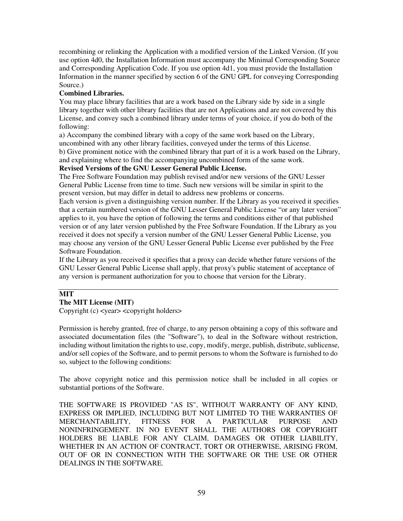recombining or relinking the Application with a modified version of the Linked Version. (If you use option 4d0, the Installation Information must accompany the Minimal Corresponding Source and Corresponding Application Code. If you use option 4d1, you must provide the Installation Information in the manner specified by section 6 of the GNU GPL for conveying Corresponding Source.)

## **Combined Libraries.**

You may place library facilities that are a work based on the Library side by side in a single library together with other library facilities that are not Applications and are not covered by this License, and convey such a combined library under terms of your choice, if you do both of the following:

a) Accompany the combined library with a copy of the same work based on the Library, uncombined with any other library facilities, conveyed under the terms of this License. b) Give prominent notice with the combined library that part of it is a work based on the Library, and explaining where to find the accompanying uncombined form of the same work.

# **Revised Versions of the GNU Lesser General Public License.**

The Free Software Foundation may publish revised and/or new versions of the GNU Lesser General Public License from time to time. Such new versions will be similar in spirit to the present version, but may differ in detail to address new problems or concerns.

Each version is given a distinguishing version number. If the Library as you received it specifies that a certain numbered version of the GNU Lesser General Public License "or any later version" applies to it, you have the option of following the terms and conditions either of that published version or of any later version published by the Free Software Foundation. If the Library as you received it does not specify a version number of the GNU Lesser General Public License, you may choose any version of the GNU Lesser General Public License ever published by the Free Software Foundation.

If the Library as you received it specifies that a proxy can decide whether future versions of the GNU Lesser General Public License shall apply, that proxy's public statement of acceptance of any version is permanent authorization for you to choose that version for the Library.

# **MIT**

## **The MIT License (MIT)**

Copyright (c) <year> <copyright holders>

Permission is hereby granted, free of charge, to any person obtaining a copy of this software and associated documentation files (the "Software"), to deal in the Software without restriction, including without limitation the rights to use, copy, modify, merge, publish, distribute, sublicense, and/or sell copies of the Software, and to permit persons to whom the Software is furnished to do so, subject to the following conditions:

The above copyright notice and this permission notice shall be included in all copies or substantial portions of the Software.

THE SOFTWARE IS PROVIDED "AS IS", WITHOUT WARRANTY OF ANY KIND, EXPRESS OR IMPLIED, INCLUDING BUT NOT LIMITED TO THE WARRANTIES OF MERCHANTABILITY, FITNESS FOR A PARTICULAR PURPOSE AND NONINFRINGEMENT. IN NO EVENT SHALL THE AUTHORS OR COPYRIGHT HOLDERS BE LIABLE FOR ANY CLAIM, DAMAGES OR OTHER LIABILITY, WHETHER IN AN ACTION OF CONTRACT, TORT OR OTHERWISE, ARISING FROM, OUT OF OR IN CONNECTION WITH THE SOFTWARE OR THE USE OR OTHER DEALINGS IN THE SOFTWARE.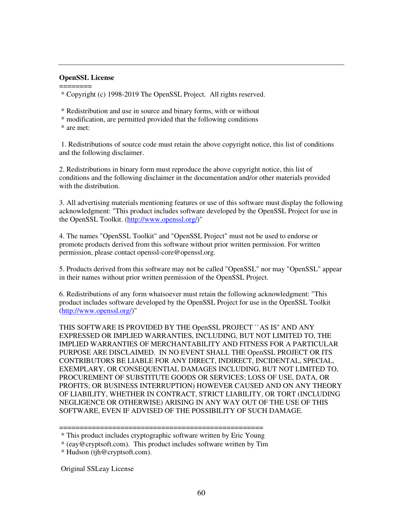## **OpenSSL License**

======== \* Copyright (c) 1998-2019 The OpenSSL Project. All rights reserved.

\* Redistribution and use in source and binary forms, with or without

\* modification, are permitted provided that the following conditions

\* are met:

 1. Redistributions of source code must retain the above copyright notice, this list of conditions and the following disclaimer.

2. Redistributions in binary form must reproduce the above copyright notice, this list of conditions and the following disclaimer in the documentation and/or other materials provided with the distribution.

3. All advertising materials mentioning features or use of this software must display the following acknowledgment: "This product includes software developed by the OpenSSL Project for use in the OpenSSL Toolkit. (http://www.openssl.org/)"

4. The names "OpenSSL Toolkit" and "OpenSSL Project" must not be used to endorse or promote products derived from this software without prior written permission. For written permission, please contact openssl-core@openssl.org.

5. Products derived from this software may not be called "OpenSSL" nor may "OpenSSL" appear in their names without prior written permission of the OpenSSL Project.

6. Redistributions of any form whatsoever must retain the following acknowledgment: "This product includes software developed by the OpenSSL Project for use in the OpenSSL Toolkit (http://www.openssl.org/)"

THIS SOFTWARE IS PROVIDED BY THE OpenSSL PROJECT ``AS IS'' AND ANY EXPRESSED OR IMPLIED WARRANTIES, INCLUDING, BUT NOT LIMITED TO, THE IMPLIED WARRANTIES OF MERCHANTABILITY AND FITNESS FOR A PARTICULAR PURPOSE ARE DISCLAIMED. IN NO EVENT SHALL THE OpenSSL PROJECT OR ITS CONTRIBUTORS BE LIABLE FOR ANY DIRECT, INDIRECT, INCIDENTAL, SPECIAL, EXEMPLARY, OR CONSEQUENTIAL DAMAGES INCLUDING, BUT NOT LIMITED TO, PROCUREMENT OF SUBSTITUTE GOODS OR SERVICES; LOSS OF USE, DATA, OR PROFITS; OR BUSINESS INTERRUPTION) HOWEVER CAUSED AND ON ANY THEORY OF LIABILITY, WHETHER IN CONTRACT, STRICT LIABILITY, OR TORT (INCLUDING NEGLIGENCE OR OTHERWISE) ARISING IN ANY WAY OUT OF THE USE OF THIS SOFTWARE, EVEN IF ADVISED OF THE POSSIBILITY OF SUCH DAMAGE.

Original SSLeay License

<sup>==================================================</sup> 

 <sup>\*</sup> This product includes cryptographic software written by Eric Young

 <sup>\* (</sup>eay@cryptsoft.com). This product includes software written by Tim

 <sup>\*</sup> Hudson (tjh@cryptsoft.com).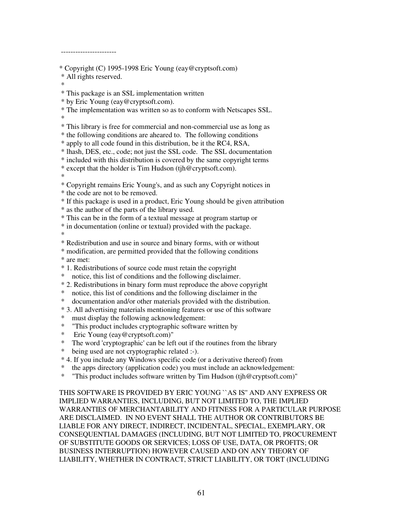-----------------------

- \* Copyright (C) 1995-1998 Eric Young (eay@cryptsoft.com)
- \* All rights reserved.
- \*
- \* This package is an SSL implementation written
- \* by Eric Young (eay@cryptsoft.com).
- \* The implementation was written so as to conform with Netscapes SSL. \*
- \* This library is free for commercial and non-commercial use as long as
- \* the following conditions are aheared to. The following conditions
- \* apply to all code found in this distribution, be it the RC4, RSA,
- \* lhash, DES, etc., code; not just the SSL code. The SSL documentation
- \* included with this distribution is covered by the same copyright terms
- \* except that the holder is Tim Hudson (tjh@cryptsoft.com).
- \*
- \* Copyright remains Eric Young's, and as such any Copyright notices in
- \* the code are not to be removed.
- \* If this package is used in a product, Eric Young should be given attribution
- \* as the author of the parts of the library used.
- \* This can be in the form of a textual message at program startup or
- \* in documentation (online or textual) provided with the package.
- \*
- \* Redistribution and use in source and binary forms, with or without
- \* modification, are permitted provided that the following conditions \* are met:
- \* 1. Redistributions of source code must retain the copyright
- \* notice, this list of conditions and the following disclaimer.
- \* 2. Redistributions in binary form must reproduce the above copyright
- \* notice, this list of conditions and the following disclaimer in the
- \* documentation and/or other materials provided with the distribution.
- \* 3. All advertising materials mentioning features or use of this software
- must display the following acknowledgement:
- \* "This product includes cryptographic software written by
- \* Eric Young (eay@cryptsoft.com)"
- \* The word 'cryptographic' can be left out if the routines from the library<br> $*$  being used are not cryptographic related :-).
- being used are not cryptographic related :-).
- \* 4. If you include any Windows specific code (or a derivative thereof) from
- \* the apps directory (application code) you must include an acknowledgement:
- \* "This product includes software written by Tim Hudson (tjh@cryptsoft.com)"

THIS SOFTWARE IS PROVIDED BY ERIC YOUNG ``AS IS'' AND ANY EXPRESS OR IMPLIED WARRANTIES, INCLUDING, BUT NOT LIMITED TO, THE IMPLIED WARRANTIES OF MERCHANTABILITY AND FITNESS FOR A PARTICULAR PURPOSE ARE DISCLAIMED. IN NO EVENT SHALL THE AUTHOR OR CONTRIBUTORS BE LIABLE FOR ANY DIRECT, INDIRECT, INCIDENTAL, SPECIAL, EXEMPLARY, OR CONSEQUENTIAL DAMAGES (INCLUDING, BUT NOT LIMITED TO, PROCUREMENT OF SUBSTITUTE GOODS OR SERVICES; LOSS OF USE, DATA, OR PROFITS; OR BUSINESS INTERRUPTION) HOWEVER CAUSED AND ON ANY THEORY OF LIABILITY, WHETHER IN CONTRACT, STRICT LIABILITY, OR TORT (INCLUDING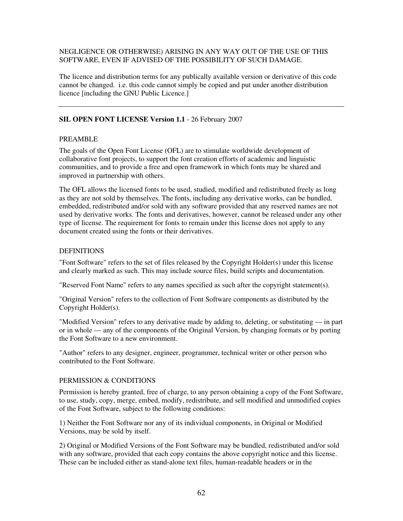## NEGLIGENCE OR OTHERWISE) ARISING IN ANY WAY OUT OF THE USE OF THIS SOFTWARE, EVEN IF ADVISED OF THE POSSIBILITY OF SUCH DAMAGE.

The licence and distribution terms for any publically available version or derivative of this code cannot be changed. i.e. this code cannot simply be copied and put under another distribution licence [including the GNU Public Licence.]

# **SIL OPEN FONT LICENSE Version 1.1** - 26 February 2007

## PREAMBLE

The goals of the Open Font License (OFL) are to stimulate worldwide development of collaborative font projects, to support the font creation efforts of academic and linguistic communities, and to provide a free and open framework in which fonts may be shared and improved in partnership with others.

The OFL allows the licensed fonts to be used, studied, modified and redistributed freely as long as they are not sold by themselves. The fonts, including any derivative works, can be bundled, embedded, redistributed and/or sold with any software provided that any reserved names are not used by derivative works. The fonts and derivatives, however, cannot be released under any other type of license. The requirement for fonts to remain under this license does not apply to any document created using the fonts or their derivatives.

## DEFINITIONS

"Font Software" refers to the set of files released by the Copyright Holder(s) under this license and clearly marked as such. This may include source files, build scripts and documentation.

"Reserved Font Name" refers to any names specified as such after the copyright statement(s).

"Original Version" refers to the collection of Font Software components as distributed by the Copyright Holder(s).

"Modified Version" refers to any derivative made by adding to, deleting, or substituting — in part or in whole — any of the components of the Original Version, by changing formats or by porting the Font Software to a new environment.

"Author" refers to any designer, engineer, programmer, technical writer or other person who contributed to the Font Software.

## PERMISSION & CONDITIONS

Permission is hereby granted, free of charge, to any person obtaining a copy of the Font Software, to use, study, copy, merge, embed, modify, redistribute, and sell modified and unmodified copies of the Font Software, subject to the following conditions:

1) Neither the Font Software nor any of its individual components, in Original or Modified Versions, may be sold by itself.

2) Original or Modified Versions of the Font Software may be bundled, redistributed and/or sold with any software, provided that each copy contains the above copyright notice and this license. These can be included either as stand-alone text files, human-readable headers or in the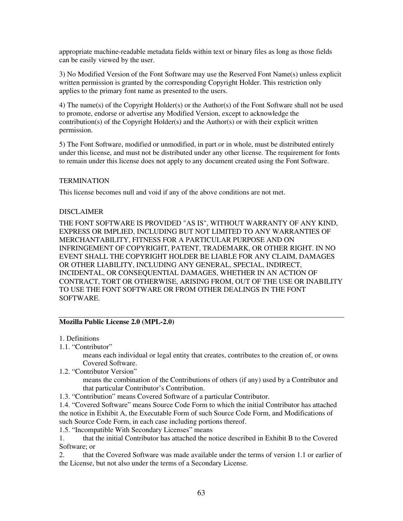appropriate machine-readable metadata fields within text or binary files as long as those fields can be easily viewed by the user.

3) No Modified Version of the Font Software may use the Reserved Font Name(s) unless explicit written permission is granted by the corresponding Copyright Holder. This restriction only applies to the primary font name as presented to the users.

4) The name(s) of the Copyright Holder(s) or the Author(s) of the Font Software shall not be used to promote, endorse or advertise any Modified Version, except to acknowledge the  $contribution(s)$  of the Copyright Holder(s) and the Author(s) or with their explicit written permission.

5) The Font Software, modified or unmodified, in part or in whole, must be distributed entirely under this license, and must not be distributed under any other license. The requirement for fonts to remain under this license does not apply to any document created using the Font Software.

## **TERMINATION**

This license becomes null and void if any of the above conditions are not met.

## DISCLAIMER

THE FONT SOFTWARE IS PROVIDED "AS IS", WITHOUT WARRANTY OF ANY KIND, EXPRESS OR IMPLIED, INCLUDING BUT NOT LIMITED TO ANY WARRANTIES OF MERCHANTABILITY, FITNESS FOR A PARTICULAR PURPOSE AND ON INFRINGEMENT OF COPYRIGHT, PATENT, TRADEMARK, OR OTHER RIGHT. IN NO EVENT SHALL THE COPYRIGHT HOLDER BE LIABLE FOR ANY CLAIM, DAMAGES OR OTHER LIABILITY, INCLUDING ANY GENERAL, SPECIAL, INDIRECT, INCIDENTAL, OR CONSEQUENTIAL DAMAGES, WHETHER IN AN ACTION OF CONTRACT, TORT OR OTHERWISE, ARISING FROM, OUT OF THE USE OR INABILITY TO USE THE FONT SOFTWARE OR FROM OTHER DEALINGS IN THE FONT SOFTWARE.

# **Mozilla Public License 2.0 (MPL-2.0)**

1. Definitions

1.1. "Contributor"

means each individual or legal entity that creates, contributes to the creation of, or owns Covered Software.

1.2. "Contributor Version"

means the combination of the Contributions of others (if any) used by a Contributor and that particular Contributor's Contribution.

1.3. "Contribution" means Covered Software of a particular Contributor.

1.4. "Covered Software" means Source Code Form to which the initial Contributor has attached the notice in Exhibit A, the Executable Form of such Source Code Form, and Modifications of such Source Code Form, in each case including portions thereof.

1.5. "Incompatible With Secondary Licenses" means

1. that the initial Contributor has attached the notice described in Exhibit B to the Covered Software; or

2. that the Covered Software was made available under the terms of version 1.1 or earlier of the License, but not also under the terms of a Secondary License.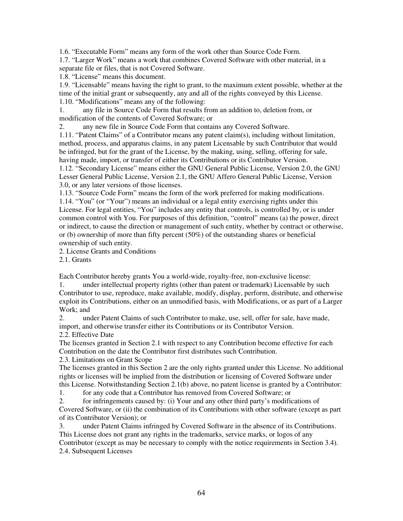1.6. "Executable Form" means any form of the work other than Source Code Form. 1.7. "Larger Work" means a work that combines Covered Software with other material, in a separate file or files, that is not Covered Software.

1.8. "License" means this document.

1.9. "Licensable" means having the right to grant, to the maximum extent possible, whether at the time of the initial grant or subsequently, any and all of the rights conveyed by this License. 1.10. "Modifications" means any of the following:

1. any file in Source Code Form that results from an addition to, deletion from, or modification of the contents of Covered Software; or

2. any new file in Source Code Form that contains any Covered Software.

1.11. "Patent Claims" of a Contributor means any patent claim(s), including without limitation, method, process, and apparatus claims, in any patent Licensable by such Contributor that would be infringed, but for the grant of the License, by the making, using, selling, offering for sale, having made, import, or transfer of either its Contributions or its Contributor Version.

1.12. "Secondary License" means either the GNU General Public License, Version 2.0, the GNU Lesser General Public License, Version 2.1, the GNU Affero General Public License, Version 3.0, or any later versions of those licenses.

1.13. "Source Code Form" means the form of the work preferred for making modifications. 1.14. "You" (or "Your") means an individual or a legal entity exercising rights under this License. For legal entities, "You" includes any entity that controls, is controlled by, or is under common control with You. For purposes of this definition, "control" means (a) the power, direct or indirect, to cause the direction or management of such entity, whether by contract or otherwise, or (b) ownership of more than fifty percent (50%) of the outstanding shares or beneficial ownership of such entity.

2. License Grants and Conditions

2.1. Grants

Each Contributor hereby grants You a world-wide, royalty-free, non-exclusive license:

1. under intellectual property rights (other than patent or trademark) Licensable by such Contributor to use, reproduce, make available, modify, display, perform, distribute, and otherwise exploit its Contributions, either on an unmodified basis, with Modifications, or as part of a Larger Work; and

2. under Patent Claims of such Contributor to make, use, sell, offer for sale, have made, import, and otherwise transfer either its Contributions or its Contributor Version. 2.2. Effective Date

The licenses granted in Section 2.1 with respect to any Contribution become effective for each Contribution on the date the Contributor first distributes such Contribution.

2.3. Limitations on Grant Scope

The licenses granted in this Section 2 are the only rights granted under this License. No additional rights or licenses will be implied from the distribution or licensing of Covered Software under this License. Notwithstanding Section 2.1(b) above, no patent license is granted by a Contributor:

1. for any code that a Contributor has removed from Covered Software; or

2. for infringements caused by: (i) Your and any other third party's modifications of Covered Software, or (ii) the combination of its Contributions with other software (except as part of its Contributor Version); or

3. under Patent Claims infringed by Covered Software in the absence of its Contributions. This License does not grant any rights in the trademarks, service marks, or logos of any Contributor (except as may be necessary to comply with the notice requirements in Section 3.4). 2.4. Subsequent Licenses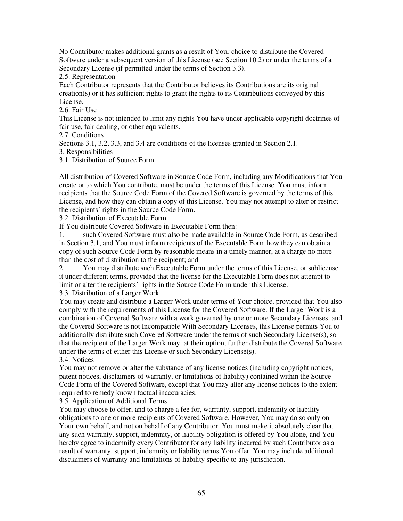No Contributor makes additional grants as a result of Your choice to distribute the Covered Software under a subsequent version of this License (see Section 10.2) or under the terms of a Secondary License (if permitted under the terms of Section 3.3).

2.5. Representation

Each Contributor represents that the Contributor believes its Contributions are its original creation(s) or it has sufficient rights to grant the rights to its Contributions conveyed by this License.

2.6. Fair Use

This License is not intended to limit any rights You have under applicable copyright doctrines of fair use, fair dealing, or other equivalents.

2.7. Conditions

Sections 3.1, 3.2, 3.3, and 3.4 are conditions of the licenses granted in Section 2.1.

3. Responsibilities

3.1. Distribution of Source Form

All distribution of Covered Software in Source Code Form, including any Modifications that You create or to which You contribute, must be under the terms of this License. You must inform recipients that the Source Code Form of the Covered Software is governed by the terms of this License, and how they can obtain a copy of this License. You may not attempt to alter or restrict the recipients' rights in the Source Code Form.

3.2. Distribution of Executable Form

If You distribute Covered Software in Executable Form then:

1. such Covered Software must also be made available in Source Code Form, as described in Section 3.1, and You must inform recipients of the Executable Form how they can obtain a copy of such Source Code Form by reasonable means in a timely manner, at a charge no more than the cost of distribution to the recipient; and

2. You may distribute such Executable Form under the terms of this License, or sublicense it under different terms, provided that the license for the Executable Form does not attempt to limit or alter the recipients' rights in the Source Code Form under this License.

3.3. Distribution of a Larger Work

You may create and distribute a Larger Work under terms of Your choice, provided that You also comply with the requirements of this License for the Covered Software. If the Larger Work is a combination of Covered Software with a work governed by one or more Secondary Licenses, and the Covered Software is not Incompatible With Secondary Licenses, this License permits You to additionally distribute such Covered Software under the terms of such Secondary License(s), so that the recipient of the Larger Work may, at their option, further distribute the Covered Software under the terms of either this License or such Secondary License(s).

3.4. Notices

You may not remove or alter the substance of any license notices (including copyright notices, patent notices, disclaimers of warranty, or limitations of liability) contained within the Source Code Form of the Covered Software, except that You may alter any license notices to the extent required to remedy known factual inaccuracies.

3.5. Application of Additional Terms

You may choose to offer, and to charge a fee for, warranty, support, indemnity or liability obligations to one or more recipients of Covered Software. However, You may do so only on Your own behalf, and not on behalf of any Contributor. You must make it absolutely clear that any such warranty, support, indemnity, or liability obligation is offered by You alone, and You hereby agree to indemnify every Contributor for any liability incurred by such Contributor as a result of warranty, support, indemnity or liability terms You offer. You may include additional disclaimers of warranty and limitations of liability specific to any jurisdiction.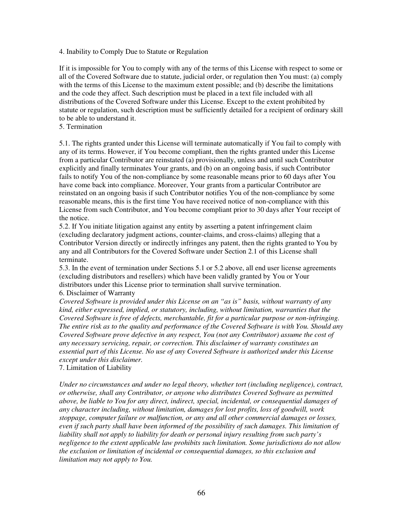4. Inability to Comply Due to Statute or Regulation

If it is impossible for You to comply with any of the terms of this License with respect to some or all of the Covered Software due to statute, judicial order, or regulation then You must: (a) comply with the terms of this License to the maximum extent possible; and (b) describe the limitations and the code they affect. Such description must be placed in a text file included with all distributions of the Covered Software under this License. Except to the extent prohibited by statute or regulation, such description must be sufficiently detailed for a recipient of ordinary skill to be able to understand it.

5. Termination

5.1. The rights granted under this License will terminate automatically if You fail to comply with any of its terms. However, if You become compliant, then the rights granted under this License from a particular Contributor are reinstated (a) provisionally, unless and until such Contributor explicitly and finally terminates Your grants, and (b) on an ongoing basis, if such Contributor fails to notify You of the non-compliance by some reasonable means prior to 60 days after You have come back into compliance. Moreover, Your grants from a particular Contributor are reinstated on an ongoing basis if such Contributor notifies You of the non-compliance by some reasonable means, this is the first time You have received notice of non-compliance with this License from such Contributor, and You become compliant prior to 30 days after Your receipt of the notice.

5.2. If You initiate litigation against any entity by asserting a patent infringement claim (excluding declaratory judgment actions, counter-claims, and cross-claims) alleging that a Contributor Version directly or indirectly infringes any patent, then the rights granted to You by any and all Contributors for the Covered Software under Section 2.1 of this License shall terminate.

5.3. In the event of termination under Sections 5.1 or 5.2 above, all end user license agreements (excluding distributors and resellers) which have been validly granted by You or Your distributors under this License prior to termination shall survive termination.

6. Disclaimer of Warranty

*Covered Software is provided under this License on an "as is" basis, without warranty of any kind, either expressed, implied, or statutory, including, without limitation, warranties that the Covered Software is free of defects, merchantable, fit for a particular purpose or non-infringing. The entire risk as to the quality and performance of the Covered Software is with You. Should any Covered Software prove defective in any respect, You (not any Contributor) assume the cost of any necessary servicing, repair, or correction. This disclaimer of warranty constitutes an essential part of this License. No use of any Covered Software is authorized under this License except under this disclaimer.*

7. Limitation of Liability

*Under no circumstances and under no legal theory, whether tort (including negligence), contract, or otherwise, shall any Contributor, or anyone who distributes Covered Software as permitted above, be liable to You for any direct, indirect, special, incidental, or consequential damages of any character including, without limitation, damages for lost profits, loss of goodwill, work stoppage, computer failure or malfunction, or any and all other commercial damages or losses, even if such party shall have been informed of the possibility of such damages. This limitation of liability shall not apply to liability for death or personal injury resulting from such party's negligence to the extent applicable law prohibits such limitation. Some jurisdictions do not allow the exclusion or limitation of incidental or consequential damages, so this exclusion and limitation may not apply to You.*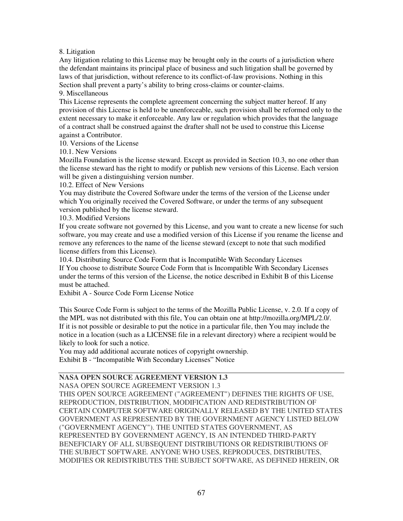8. Litigation

Any litigation relating to this License may be brought only in the courts of a jurisdiction where the defendant maintains its principal place of business and such litigation shall be governed by laws of that jurisdiction, without reference to its conflict-of-law provisions. Nothing in this Section shall prevent a party's ability to bring cross-claims or counter-claims.

9. Miscellaneous

This License represents the complete agreement concerning the subject matter hereof. If any provision of this License is held to be unenforceable, such provision shall be reformed only to the extent necessary to make it enforceable. Any law or regulation which provides that the language of a contract shall be construed against the drafter shall not be used to construe this License against a Contributor.

10. Versions of the License

10.1. New Versions

Mozilla Foundation is the license steward. Except as provided in Section 10.3, no one other than the license steward has the right to modify or publish new versions of this License. Each version will be given a distinguishing version number.

10.2. Effect of New Versions

You may distribute the Covered Software under the terms of the version of the License under which You originally received the Covered Software, or under the terms of any subsequent version published by the license steward.

10.3. Modified Versions

If you create software not governed by this License, and you want to create a new license for such software, you may create and use a modified version of this License if you rename the license and remove any references to the name of the license steward (except to note that such modified license differs from this License).

10.4. Distributing Source Code Form that is Incompatible With Secondary Licenses If You choose to distribute Source Code Form that is Incompatible With Secondary Licenses under the terms of this version of the License, the notice described in Exhibit B of this License must be attached.

Exhibit A - Source Code Form License Notice

This Source Code Form is subject to the terms of the Mozilla Public License, v. 2.0. If a copy of the MPL was not distributed with this file, You can obtain one at http://mozilla.org/MPL/2.0/. If it is not possible or desirable to put the notice in a particular file, then You may include the notice in a location (such as a LICENSE file in a relevant directory) where a recipient would be likely to look for such a notice.

You may add additional accurate notices of copyright ownership. Exhibit B - "Incompatible With Secondary Licenses" Notice

## **NASA OPEN SOURCE AGREEMENT VERSION 1.3**

NASA OPEN SOURCE AGREEMENT VERSION 1.3 THIS OPEN SOURCE AGREEMENT ("AGREEMENT") DEFINES THE RIGHTS OF USE, REPRODUCTION, DISTRIBUTION, MODIFICATION AND REDISTRIBUTION OF CERTAIN COMPUTER SOFTWARE ORIGINALLY RELEASED BY THE UNITED STATES GOVERNMENT AS REPRESENTED BY THE GOVERNMENT AGENCY LISTED BELOW ("GOVERNMENT AGENCY"). THE UNITED STATES GOVERNMENT, AS REPRESENTED BY GOVERNMENT AGENCY, IS AN INTENDED THIRD-PARTY BENEFICIARY OF ALL SUBSEQUENT DISTRIBUTIONS OR REDISTRIBUTIONS OF THE SUBJECT SOFTWARE. ANYONE WHO USES, REPRODUCES, DISTRIBUTES, MODIFIES OR REDISTRIBUTES THE SUBJECT SOFTWARE, AS DEFINED HEREIN, OR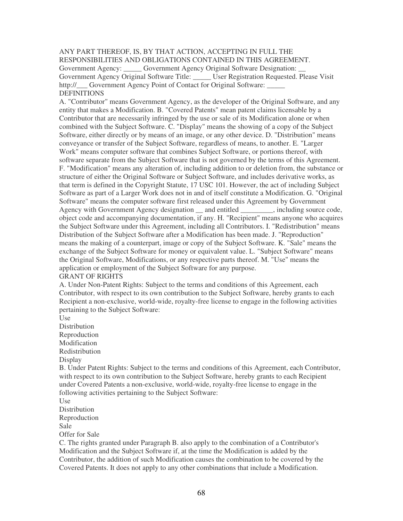## ANY PART THEREOF, IS, BY THAT ACTION, ACCEPTING IN FULL THE RESPONSIBILITIES AND OBLIGATIONS CONTAINED IN THIS AGREEMENT. Government Agency: Government Agency Original Software Designation: Government Agency Original Software Title: \_\_\_\_\_ User Registration Requested. Please Visit http:// Government Agency Point of Contact for Original Software: DEFINITIONS

A. "Contributor" means Government Agency, as the developer of the Original Software, and any entity that makes a Modification. B. "Covered Patents" mean patent claims licensable by a Contributor that are necessarily infringed by the use or sale of its Modification alone or when combined with the Subject Software. C. "Display" means the showing of a copy of the Subject Software, either directly or by means of an image, or any other device. D. "Distribution" means conveyance or transfer of the Subject Software, regardless of means, to another. E. "Larger Work" means computer software that combines Subject Software, or portions thereof, with software separate from the Subject Software that is not governed by the terms of this Agreement. F. "Modification" means any alteration of, including addition to or deletion from, the substance or structure of either the Original Software or Subject Software, and includes derivative works, as that term is defined in the Copyright Statute, 17 USC 101. However, the act of including Subject Software as part of a Larger Work does not in and of itself constitute a Modification. G. "Original Software" means the computer software first released under this Agreement by Government Agency with Government Agency designation \_\_ and entitled \_\_\_\_\_\_\_\_, including source code, object code and accompanying documentation, if any. H. "Recipient" means anyone who acquires the Subject Software under this Agreement, including all Contributors. I. "Redistribution" means Distribution of the Subject Software after a Modification has been made. J. "Reproduction" means the making of a counterpart, image or copy of the Subject Software. K. "Sale" means the exchange of the Subject Software for money or equivalent value. L. "Subject Software" means the Original Software, Modifications, or any respective parts thereof. M. "Use" means the application or employment of the Subject Software for any purpose.

#### GRANT OF RIGHTS

A. Under Non-Patent Rights: Subject to the terms and conditions of this Agreement, each Contributor, with respect to its own contribution to the Subject Software, hereby grants to each Recipient a non-exclusive, world-wide, royalty-free license to engage in the following activities pertaining to the Subject Software:

Use

Distribution

Reproduction

Modification

Redistribution

Display

B. Under Patent Rights: Subject to the terms and conditions of this Agreement, each Contributor, with respect to its own contribution to the Subject Software, hereby grants to each Recipient under Covered Patents a non-exclusive, world-wide, royalty-free license to engage in the following activities pertaining to the Subject Software:

Use

Distribution

Reproduction

Sale

Offer for Sale

C. The rights granted under Paragraph B. also apply to the combination of a Contributor's Modification and the Subject Software if, at the time the Modification is added by the Contributor, the addition of such Modification causes the combination to be covered by the Covered Patents. It does not apply to any other combinations that include a Modification.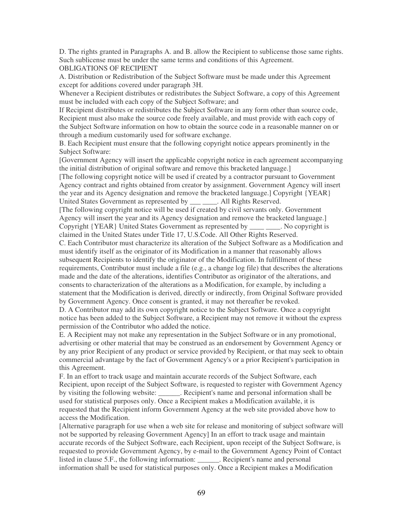D. The rights granted in Paragraphs A. and B. allow the Recipient to sublicense those same rights. Such sublicense must be under the same terms and conditions of this Agreement. OBLIGATIONS OF RECIPIENT

A. Distribution or Redistribution of the Subject Software must be made under this Agreement except for additions covered under paragraph 3H.

Whenever a Recipient distributes or redistributes the Subject Software, a copy of this Agreement must be included with each copy of the Subject Software; and

If Recipient distributes or redistributes the Subject Software in any form other than source code, Recipient must also make the source code freely available, and must provide with each copy of the Subject Software information on how to obtain the source code in a reasonable manner on or through a medium customarily used for software exchange.

B. Each Recipient must ensure that the following copyright notice appears prominently in the Subject Software:

[Government Agency will insert the applicable copyright notice in each agreement accompanying the initial distribution of original software and remove this bracketed language.]

[The following copyright notice will be used if created by a contractor pursuant to Government Agency contract and rights obtained from creator by assignment. Government Agency will insert the year and its Agency designation and remove the bracketed language.] Copyright {YEAR} United States Government as represented by \_\_\_ \_\_\_\_. All Rights Reserved.

[The following copyright notice will be used if created by civil servants only. Government Agency will insert the year and its Agency designation and remove the bracketed language.] Copyright {YEAR} United States Government as represented by \_\_\_\_ \_\_\_\_. No copyright is claimed in the United States under Title 17, U.S.Code. All Other Rights Reserved.

C. Each Contributor must characterize its alteration of the Subject Software as a Modification and must identify itself as the originator of its Modification in a manner that reasonably allows subsequent Recipients to identify the originator of the Modification. In fulfillment of these requirements, Contributor must include a file (e.g., a change log file) that describes the alterations made and the date of the alterations, identifies Contributor as originator of the alterations, and consents to characterization of the alterations as a Modification, for example, by including a statement that the Modification is derived, directly or indirectly, from Original Software provided by Government Agency. Once consent is granted, it may not thereafter be revoked.

D. A Contributor may add its own copyright notice to the Subject Software. Once a copyright notice has been added to the Subject Software, a Recipient may not remove it without the express permission of the Contributor who added the notice.

E. A Recipient may not make any representation in the Subject Software or in any promotional, advertising or other material that may be construed as an endorsement by Government Agency or by any prior Recipient of any product or service provided by Recipient, or that may seek to obtain commercial advantage by the fact of Government Agency's or a prior Recipient's participation in this Agreement.

F. In an effort to track usage and maintain accurate records of the Subject Software, each Recipient, upon receipt of the Subject Software, is requested to register with Government Agency by visiting the following website: \_\_\_\_\_\_. Recipient's name and personal information shall be used for statistical purposes only. Once a Recipient makes a Modification available, it is requested that the Recipient inform Government Agency at the web site provided above how to access the Modification.

[Alternative paragraph for use when a web site for release and monitoring of subject software will not be supported by releasing Government Agency] In an effort to track usage and maintain accurate records of the Subject Software, each Recipient, upon receipt of the Subject Software, is requested to provide Government Agency, by e-mail to the Government Agency Point of Contact listed in clause 5.F., the following information: \_\_\_\_\_\_. Recipient's name and personal information shall be used for statistical purposes only. Once a Recipient makes a Modification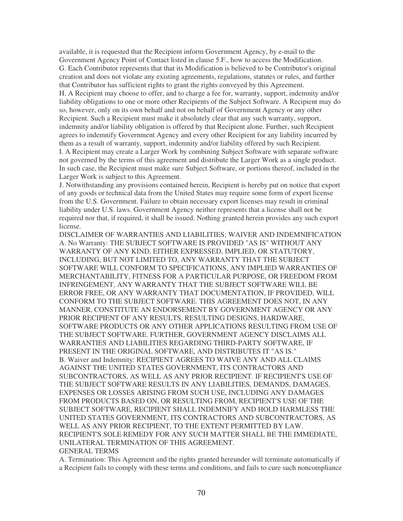available, it is requested that the Recipient inform Government Agency, by e-mail to the Government Agency Point of Contact listed in clause 5.F., how to access the Modification. G. Each Contributor represents that that its Modification is believed to be Contributor's original creation and does not violate any existing agreements, regulations, statutes or rules, and further that Contributor has sufficient rights to grant the rights conveyed by this Agreement.

H. A Recipient may choose to offer, and to charge a fee for, warranty, support, indemnity and/or liability obligations to one or more other Recipients of the Subject Software. A Recipient may do so, however, only on its own behalf and not on behalf of Government Agency or any other Recipient. Such a Recipient must make it absolutely clear that any such warranty, support, indemnity and/or liability obligation is offered by that Recipient alone. Further, such Recipient agrees to indemnify Government Agency and every other Recipient for any liability incurred by them as a result of warranty, support, indemnity and/or liability offered by such Recipient.

I. A Recipient may create a Larger Work by combining Subject Software with separate software not governed by the terms of this agreement and distribute the Larger Work as a single product. In such case, the Recipient must make sure Subject Software, or portions thereof, included in the Larger Work is subject to this Agreement.

J. Notwithstanding any provisions contained herein, Recipient is hereby put on notice that export of any goods or technical data from the United States may require some form of export license from the U.S. Government. Failure to obtain necessary export licenses may result in criminal liability under U.S. laws. Government Agency neither represents that a license shall not be required nor that, if required, it shall be issued. Nothing granted herein provides any such export license.

DISCLAIMER OF WARRANTIES AND LIABILITIES; WAIVER AND INDEMNIFICATION A. No Warranty: THE SUBJECT SOFTWARE IS PROVIDED "AS IS" WITHOUT ANY WARRANTY OF ANY KIND, EITHER EXPRESSED, IMPLIED, OR STATUTORY, INCLUDING, BUT NOT LIMITED TO, ANY WARRANTY THAT THE SUBJECT SOFTWARE WILL CONFORM TO SPECIFICATIONS, ANY IMPLIED WARRANTIES OF MERCHANTABILITY, FITNESS FOR A PARTICULAR PURPOSE, OR FREEDOM FROM INFRINGEMENT, ANY WARRANTY THAT THE SUBJECT SOFTWARE WILL BE ERROR FREE, OR ANY WARRANTY THAT DOCUMENTATION, IF PROVIDED, WILL CONFORM TO THE SUBJECT SOFTWARE. THIS AGREEMENT DOES NOT, IN ANY MANNER, CONSTITUTE AN ENDORSEMENT BY GOVERNMENT AGENCY OR ANY PRIOR RECIPIENT OF ANY RESULTS, RESULTING DESIGNS, HARDWARE, SOFTWARE PRODUCTS OR ANY OTHER APPLICATIONS RESULTING FROM USE OF THE SUBJECT SOFTWARE. FURTHER, GOVERNMENT AGENCY DISCLAIMS ALL WARRANTIES AND LIABILITIES REGARDING THIRD-PARTY SOFTWARE, IF PRESENT IN THE ORIGINAL SOFTWARE, AND DISTRIBUTES IT "AS IS." B. Waiver and Indemnity: RECIPIENT AGREES TO WAIVE ANY AND ALL CLAIMS AGAINST THE UNITED STATES GOVERNMENT, ITS CONTRACTORS AND SUBCONTRACTORS, AS WELL AS ANY PRIOR RECIPIENT. IF RECIPIENT'S USE OF THE SUBJECT SOFTWARE RESULTS IN ANY LIABILITIES, DEMANDS, DAMAGES, EXPENSES OR LOSSES ARISING FROM SUCH USE, INCLUDING ANY DAMAGES FROM PRODUCTS BASED ON, OR RESULTING FROM, RECIPIENT'S USE OF THE SUBJECT SOFTWARE, RECIPIENT SHALL INDEMNIFY AND HOLD HARMLESS THE UNITED STATES GOVERNMENT, ITS CONTRACTORS AND SUBCONTRACTORS, AS WELL AS ANY PRIOR RECIPIENT, TO THE EXTENT PERMITTED BY LAW. RECIPIENT'S SOLE REMEDY FOR ANY SUCH MATTER SHALL BE THE IMMEDIATE, UNILATERAL TERMINATION OF THIS AGREEMENT. GENERAL TERMS

A. Termination: This Agreement and the rights granted hereunder will terminate automatically if a Recipient fails to comply with these terms and conditions, and fails to cure such noncompliance